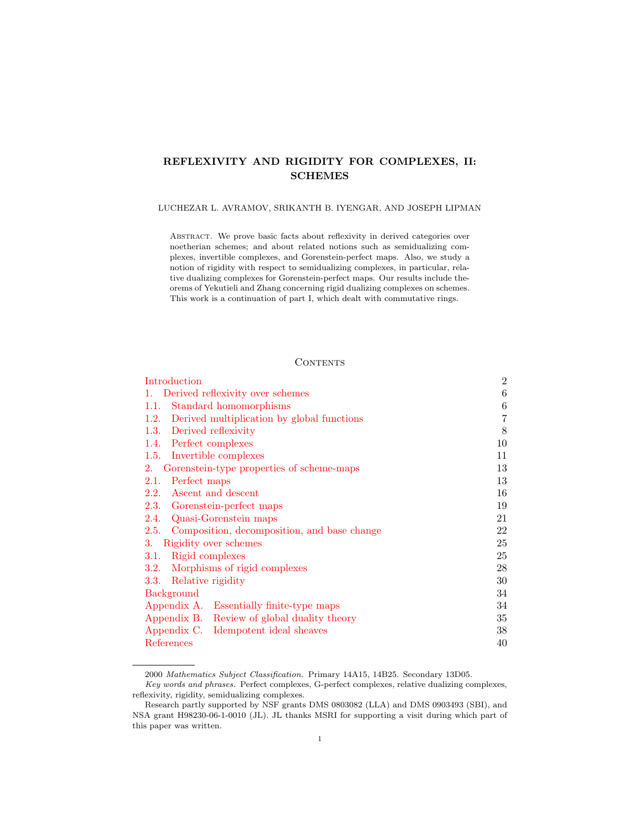# REFLEXIVITY AND RIGIDITY FOR COMPLEXES, II: SCHEMES

#### LUCHEZAR L. AVRAMOV, SRIKANTH B. IYENGAR, AND JOSEPH LIPMAN

Abstract. We prove basic facts about reflexivity in derived categories over noetherian schemes; and about related notions such as semidualizing complexes, invertible complexes, and Gorenstein-perfect maps. Also, we study a notion of rigidity with respect to semidualizing complexes, in particular, relative dualizing complexes for Gorenstein-perfect maps. Our results include theorems of Yekutieli and Zhang concerning rigid dualizing complexes on schemes. This work is a continuation of part I, which dealt with commutative rings.

## **CONTENTS**

| Introduction                                        | $\overline{2}$ |
|-----------------------------------------------------|----------------|
| Derived reflexivity over schemes<br>1.              | 6              |
| Standard homomorphisms<br>1.1.                      | 6              |
| Derived multiplication by global functions<br>1.2.  | 7              |
| 1.3. Derived reflexivity                            | 8              |
| 1.4. Perfect complexes                              | 10             |
| 1.5. Invertible complexes                           | 11             |
| Gorenstein-type properties of scheme-maps<br>2.     | 13             |
| Perfect maps<br>2.1.                                | 13             |
| Ascent and descent<br>2.2.                          | 16             |
| 2.3. Gorenstein-perfect maps                        | 19             |
| 2.4. Quasi-Gorenstein maps                          | 21             |
| Composition, decomposition, and base change<br>2.5. | 22             |
| Rigidity over schemes<br>3.                         | 25             |
| Rigid complexes<br>3.1.                             | 25             |
| Morphisms of rigid complexes<br>3.2.                | 28             |
| Relative rigidity<br>3.3.                           | 30             |
| <b>Background</b>                                   | 34             |
| Appendix A. Essentially finite-type maps            | 34             |
| Appendix B. Review of global duality theory         | 35             |
| Appendix C.<br>Idempotent ideal sheaves             | 38             |
| References                                          | 40             |

<sup>2000</sup> Mathematics Subject Classification. Primary 14A15, 14B25. Secondary 13D05.

Key words and phrases. Perfect complexes, G-perfect complexes, relative dualizing complexes, reflexivity, rigidity, semidualizing complexes.

Research partly supported by NSF grants DMS 0803082 (LLA) and DMS 0903493 (SBI), and NSA grant H98230-06-1-0010 (JL). JL thanks MSRI for supporting a visit during which part of this paper was written.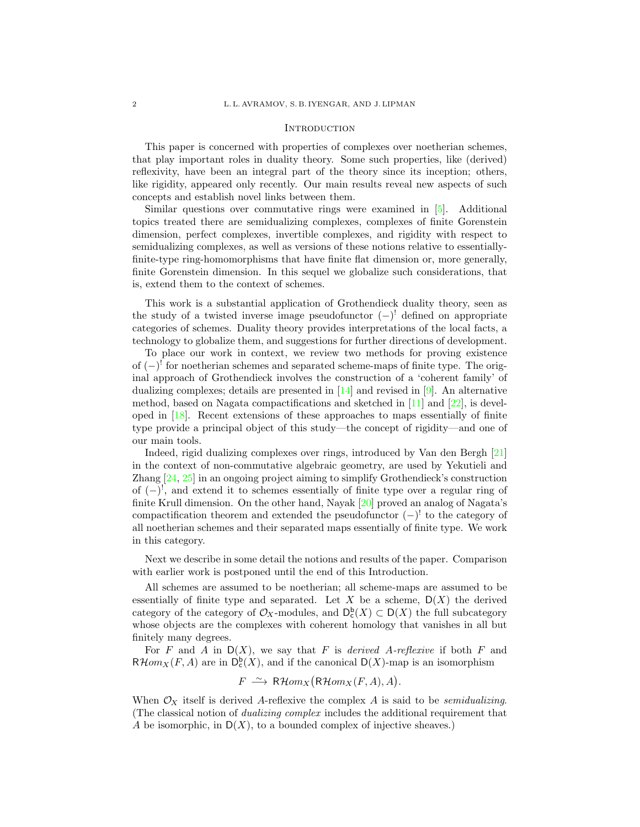#### **INTRODUCTION**

<span id="page-1-0"></span>This paper is concerned with properties of complexes over noetherian schemes, that play important roles in duality theory. Some such properties, like (derived) reflexivity, have been an integral part of the theory since its inception; others, like rigidity, appeared only recently. Our main results reveal new aspects of such concepts and establish novel links between them.

Similar questions over commutative rings were examined in [\[5\]](#page-39-1). Additional topics treated there are semidualizing complexes, complexes of finite Gorenstein dimension, perfect complexes, invertible complexes, and rigidity with respect to semidualizing complexes, as well as versions of these notions relative to essentiallyfinite-type ring-homomorphisms that have finite flat dimension or, more generally, finite Gorenstein dimension. In this sequel we globalize such considerations, that is, extend them to the context of schemes.

This work is a substantial application of Grothendieck duality theory, seen as the study of a twisted inverse image pseudofunctor (−) ! defined on appropriate categories of schemes. Duality theory provides interpretations of the local facts, a technology to globalize them, and suggestions for further directions of development.

To place our work in context, we review two methods for proving existence of  $(-)$ <sup>!</sup> for noetherian schemes and separated scheme-maps of finite type. The original approach of Grothendieck involves the construction of a 'coherent family' of dualizing complexes; details are presented in  $[14]$  and revised in  $[9]$ . An alternative method, based on Nagata compactifications and sketched in [\[11\]](#page-39-3) and [\[22\]](#page-40-1), is developed in [\[18\]](#page-40-2). Recent extensions of these approaches to maps essentially of finite type provide a principal object of this study—the concept of rigidity—and one of our main tools.

Indeed, rigid dualizing complexes over rings, introduced by Van den Bergh [\[21\]](#page-40-3) in the context of non-commutative algebraic geometry, are used by Yekutieli and Zhang [\[24,](#page-40-4) [25\]](#page-40-5) in an ongoing project aiming to simplify Grothendieck's construction of (−) ! , and extend it to schemes essentially of finite type over a regular ring of finite Krull dimension. On the other hand, Nayak [\[20\]](#page-40-6) proved an analog of Nagata's compactification theorem and extended the pseudofunctor  $(-)^{!}$  to the category of all noetherian schemes and their separated maps essentially of finite type. We work in this category.

Next we describe in some detail the notions and results of the paper. Comparison with earlier work is postponed until the end of this Introduction.

All schemes are assumed to be noetherian; all scheme-maps are assumed to be essentially of finite type and separated. Let X be a scheme,  $D(X)$  the derived category of the category of  $\mathcal{O}_X$ -modules, and  $D_c^{\mathsf{b}}(X) \subset D(X)$  the full subcategory whose objects are the complexes with coherent homology that vanishes in all but finitely many degrees.

For F and A in  $D(X)$ , we say that F is derived A-reflexive if both F and  $R\mathcal{H}om_X(F, A)$  are in  $D_c^b(X)$ , and if the canonical  $D(X)$ -map is an isomorphism

$$
F \stackrel{\sim}{\longrightarrow} \mathsf{R}\mathcal{H}om_X(\mathsf{R}\mathcal{H}om_X(F,A),A).
$$

When  $\mathcal{O}_X$  itself is derived A-reflexive the complex A is said to be *semidualizing*. (The classical notion of dualizing complex includes the additional requirement that A be isomorphic, in  $D(X)$ , to a bounded complex of injective sheaves.)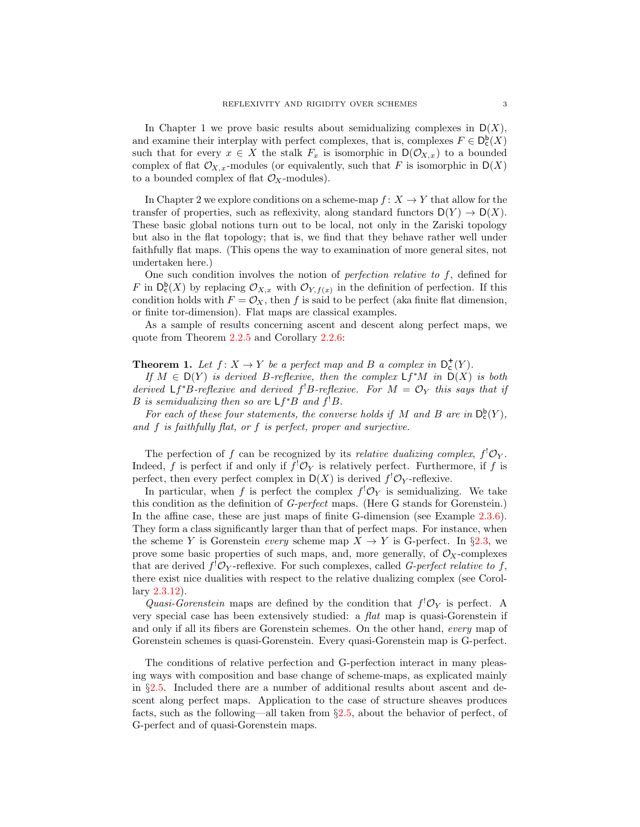In Chapter 1 we prove basic results about semidualizing complexes in  $D(X)$ , and examine their interplay with perfect complexes, that is, complexes  $F \in D_c^{\mathsf{b}}(X)$ such that for every  $x \in X$  the stalk  $F_x$  is isomorphic in  $\mathsf{D}(\mathcal{O}_{X,x})$  to a bounded complex of flat  $\mathcal{O}_{X,x}$ -modules (or equivalently, such that F is isomorphic in  $D(X)$ to a bounded complex of flat  $\mathcal{O}_X$ -modules).

In Chapter 2 we explore conditions on a scheme-map  $f: X \to Y$  that allow for the transfer of properties, such as reflexivity, along standard functors  $D(Y) \to D(X)$ . These basic global notions turn out to be local, not only in the Zariski topology but also in the flat topology; that is, we find that they behave rather well under faithfully flat maps. (This opens the way to examination of more general sites, not undertaken here.)

One such condition involves the notion of *perfection relative to f*, defined for F in  $D_c^b(X)$  by replacing  $\mathcal{O}_{X,x}$  with  $\mathcal{O}_{Y,f(x)}$  in the definition of perfection. If this condition holds with  $F = \mathcal{O}_X$ , then f is said to be perfect (aka finite flat dimension, or finite tor-dimension). Flat maps are classical examples.

As a sample of results concerning ascent and descent along perfect maps, we quote from Theorem [2.2.5](#page-17-0) and Corollary [2.2.6:](#page-17-1)

# **Theorem 1.** Let  $f: X \to Y$  be a perfect map and B a complex in  $D_c^+(Y)$ .

If  $M \in D(Y)$  is derived B-reflexive, then the complex  $\mathsf{L} f^*M$  in  $D(X)$  is both derived  $Lf^*B$ -reflexive and derived  $f^!B$ -reflexive. For  $M = \mathcal{O}_Y$  this says that if B is semidualizing then so are  $Lf^*B$  and  $f^!B$ .

For each of these four statements, the converse holds if M and B are in  $D_c^b(Y)$ , and f is faithfully flat, or f is perfect, proper and surjective.

The perfection of f can be recognized by its *relative dualizing complex*,  $f^{!}\mathcal{O}_Y$ . Indeed, f is perfect if and only if  $f' \mathcal{O}_Y$  is relatively perfect. Furthermore, if f is perfect, then every perfect complex in  $D(X)$  is derived  $f^{!}\mathcal{O}_Y$ -reflexive.

In particular, when f is perfect the complex  $f^{!}\mathcal{O}_Y$  is semidualizing. We take this condition as the definition of G-perfect maps. (Here G stands for Gorenstein.) In the affine case, these are just maps of finite G-dimension (see Example [2.3.6\)](#page-19-0). They form a class significantly larger than that of perfect maps. For instance, when the scheme Y is Gorenstein every scheme map  $X \to Y$  is G-perfect. In §[2.3,](#page-18-0) we prove some basic properties of such maps, and, more generally, of  $\mathcal{O}_X$ -complexes that are derived  $f^! \mathcal{O}_Y$ -reflexive. For such complexes, called *G-perfect relative to f*, there exist nice dualities with respect to the relative dualizing complex (see Corollary [2.3.12\)](#page-20-1).

Quasi-Gorenstein maps are defined by the condition that  $f^! \mathcal{O}_Y$  is perfect. A very special case has been extensively studied: a flat map is quasi-Gorenstein if and only if all its fibers are Gorenstein schemes. On the other hand, every map of Gorenstein schemes is quasi-Gorenstein. Every quasi-Gorenstein map is G-perfect.

The conditions of relative perfection and G-perfection interact in many pleasing ways with composition and base change of scheme-maps, as explicated mainly in §[2.5.](#page-21-0) Included there are a number of additional results about ascent and descent along perfect maps. Application to the case of structure sheaves produces facts, such as the following—all taken from §[2.5,](#page-21-0) about the behavior of perfect, of G-perfect and of quasi-Gorenstein maps.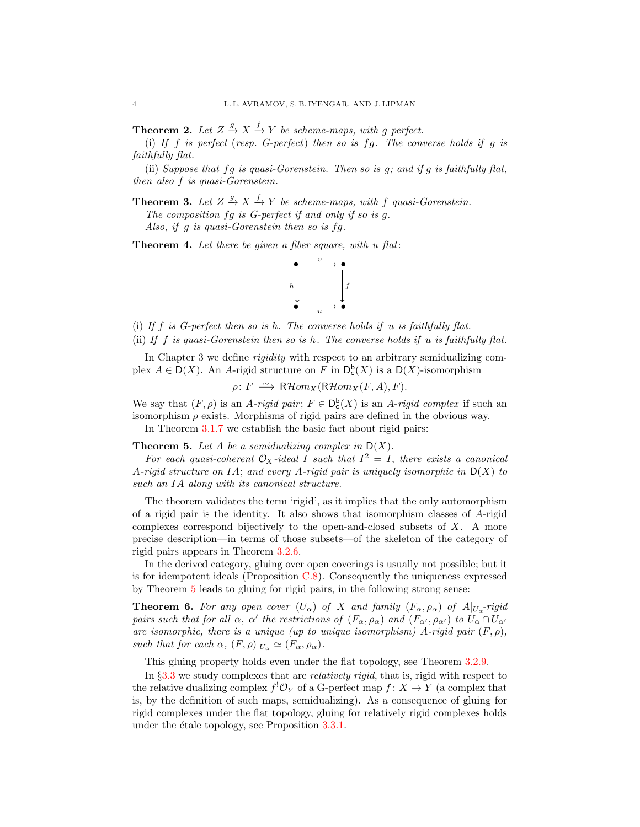**Theorem 2.** Let  $Z \stackrel{g}{\rightarrow} X \stackrel{f}{\rightarrow} Y$  be scheme-maps, with g perfect.

(i) If  $f$  is perfect (resp. G-perfect) then so is  $fg$ . The converse holds if  $g$  is faithfully flat.

(ii) Suppose that  $fg$  is quasi-Gorenstein. Then so is  $g$ ; and if  $g$  is faithfully flat, then also f is quasi-Gorenstein.

**Theorem 3.** Let  $Z \stackrel{g}{\rightarrow} X \stackrel{f}{\rightarrow} Y$  be scheme-maps, with f quasi-Gorenstein.

The composition fq is G-perfect if and only if so is q.

Also, if g is quasi-Gorenstein then so is fg.

**Theorem 4.** Let there be given a fiber square, with u flat:



(i) If  $f$  is G-perfect then so is h. The converse holds if u is faithfully flat. (ii) If  $f$  is quasi-Gorenstein then so is  $h$ . The converse holds if  $u$  is faithfully flat.

In Chapter 3 we define *rigidity* with respect to an arbitrary semidualizing complex  $A \in D(X)$ . An A-rigid structure on F in  $D_{c}^{b}(X)$  is a  $D(X)$ -isomorphism

 $\rho: F \longrightarrow \mathsf{R}\mathcal{H}om_X(\mathsf{R}\mathcal{H}om_X(F,A), F).$ 

We say that  $(F, \rho)$  is an A-rigid pair;  $F \in D_c^b(X)$  is an A-rigid complex if such an isomorphism  $\rho$  exists. Morphisms of rigid pairs are defined in the obvious way.

In Theorem [3.1.7](#page-25-0) we establish the basic fact about rigid pairs:

<span id="page-3-0"></span>**Theorem 5.** Let A be a semidualizing complex in  $D(X)$ .

For each quasi-coherent  $\mathcal{O}_X$ -ideal I such that  $I^2 = I$ , there exists a canonical A-rigid structure on IA; and every A-rigid pair is uniquely isomorphic in  $D(X)$  to such an IA along with its canonical structure.

The theorem validates the term 'rigid', as it implies that the only automorphism of a rigid pair is the identity. It also shows that isomorphism classes of A-rigid complexes correspond bijectively to the open-and-closed subsets of X. A more precise description—in terms of those subsets—of the skeleton of the category of rigid pairs appears in Theorem [3.2.6.](#page-28-0)

In the derived category, gluing over open coverings is usually not possible; but it is for idempotent ideals (Proposition [C.8\)](#page-39-4). Consequently the uniqueness expressed by Theorem [5](#page-3-0) leads to gluing for rigid pairs, in the following strong sense:

<span id="page-3-1"></span>**Theorem 6.** For any open cover  $(U_\alpha)$  of X and family  $(F_\alpha, \rho_\alpha)$  of  $A|_{U_\alpha}$ -rigid pairs such that for all  $\alpha$ ,  $\alpha'$  the restrictions of  $(F_{\alpha}, \rho_{\alpha})$  and  $(F_{\alpha'}, \rho_{\alpha'})$  to  $U_{\alpha} \cap U_{\alpha'}$ are isomorphic, there is a unique (up to unique isomorphism) A-rigid pair  $(F, \rho)$ , such that for each  $\alpha$ ,  $(F, \rho)|_{U_{\alpha}} \simeq (F_{\alpha}, \rho_{\alpha}).$ 

This gluing property holds even under the flat topology, see Theorem [3.2.9.](#page-29-1)

In §[3.3](#page-29-0) we study complexes that are *relatively rigid*, that is, rigid with respect to the relative dualizing complex  $f^! \mathcal{O}_Y$  of a G-perfect map  $f: X \to Y$  (a complex that is, by the definition of such maps, semidualizing). As a consequence of gluing for rigid complexes under the flat topology, gluing for relatively rigid complexes holds under the étale topology, see Proposition  $3.3.1$ .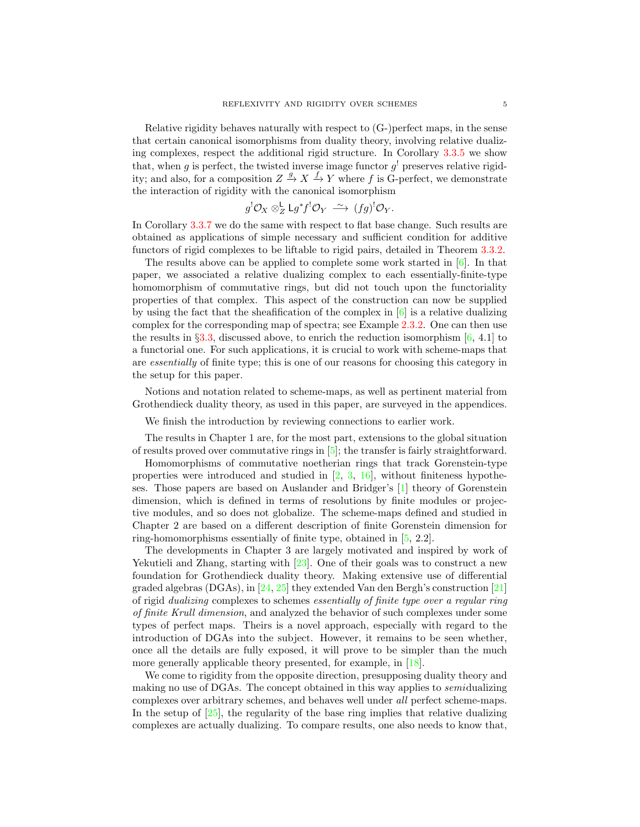Relative rigidity behaves naturally with respect to (G-)perfect maps, in the sense that certain canonical isomorphisms from duality theory, involving relative dualizing complexes, respect the additional rigid structure. In Corollary [3.3.5](#page-31-0) we show that, when g is perfect, the twisted inverse image functor  $g<sup>1</sup>$  preserves relative rigidity; and also, for a composition  $Z \stackrel{g}{\to} X \stackrel{f}{\to} Y$  where f is G-perfect, we demonstrate the interaction of rigidity with the canonical isomorphism

$$
g^{!}\mathcal{O}_X \otimes_Z^{\mathsf{L}} \mathsf{L} g^* f^{!}\mathcal{O}_Y \xrightarrow{\sim} (fg)^{!}\mathcal{O}_Y.
$$

In Corollary [3.3.7](#page-32-0) we do the same with respect to flat base change. Such results are obtained as applications of simple necessary and sufficient condition for additive functors of rigid complexes to be liftable to rigid pairs, detailed in Theorem [3.3.2.](#page-30-0)

The results above can be applied to complete some work started in  $[6]$ . In that paper, we associated a relative dualizing complex to each essentially-finite-type homomorphism of commutative rings, but did not touch upon the functoriality properties of that complex. This aspect of the construction can now be supplied by using the fact that the sheafification of the complex in  $[6]$  is a relative dualizing complex for the corresponding map of spectra; see Example [2.3.2.](#page-18-1) One can then use the results in §[3.3,](#page-29-0) discussed above, to enrich the reduction isomorphism  $[6, 4.1]$  to a functorial one. For such applications, it is crucial to work with scheme-maps that are essentially of finite type; this is one of our reasons for choosing this category in the setup for this paper.

Notions and notation related to scheme-maps, as well as pertinent material from Grothendieck duality theory, as used in this paper, are surveyed in the appendices.

We finish the introduction by reviewing connections to earlier work.

The results in Chapter 1 are, for the most part, extensions to the global situation of results proved over commutative rings in  $[5]$ ; the transfer is fairly straightforward.

Homomorphisms of commutative noetherian rings that track Gorenstein-type properties were introduced and studied in  $[2, 3, 16]$  $[2, 3, 16]$  $[2, 3, 16]$  $[2, 3, 16]$ , without finiteness hypotheses. Those papers are based on Auslander and Bridger's [\[1\]](#page-39-0) theory of Gorenstein dimension, which is defined in terms of resolutions by finite modules or projective modules, and so does not globalize. The scheme-maps defined and studied in Chapter 2 are based on a different description of finite Gorenstein dimension for ring-homomorphisms essentially of finite type, obtained in [\[5,](#page-39-1) 2.2].

The developments in Chapter 3 are largely motivated and inspired by work of Yekutieli and Zhang, starting with  $[23]$ . One of their goals was to construct a new foundation for Grothendieck duality theory. Making extensive use of differential graded algebras (DGAs), in [\[24,](#page-40-4) [25\]](#page-40-5) they extended Van den Bergh's construction [\[21\]](#page-40-3) of rigid dualizing complexes to schemes essentially of finite type over a regular ring of finite Krull dimension, and analyzed the behavior of such complexes under some types of perfect maps. Theirs is a novel approach, especially with regard to the introduction of DGAs into the subject. However, it remains to be seen whether, once all the details are fully exposed, it will prove to be simpler than the much more generally applicable theory presented, for example, in [\[18\]](#page-40-2).

We come to rigidity from the opposite direction, presupposing duality theory and making no use of DGAs. The concept obtained in this way applies to semidualizing complexes over arbitrary schemes, and behaves well under all perfect scheme-maps. In the setup of  $[25]$ , the regularity of the base ring implies that relative dualizing complexes are actually dualizing. To compare results, one also needs to know that,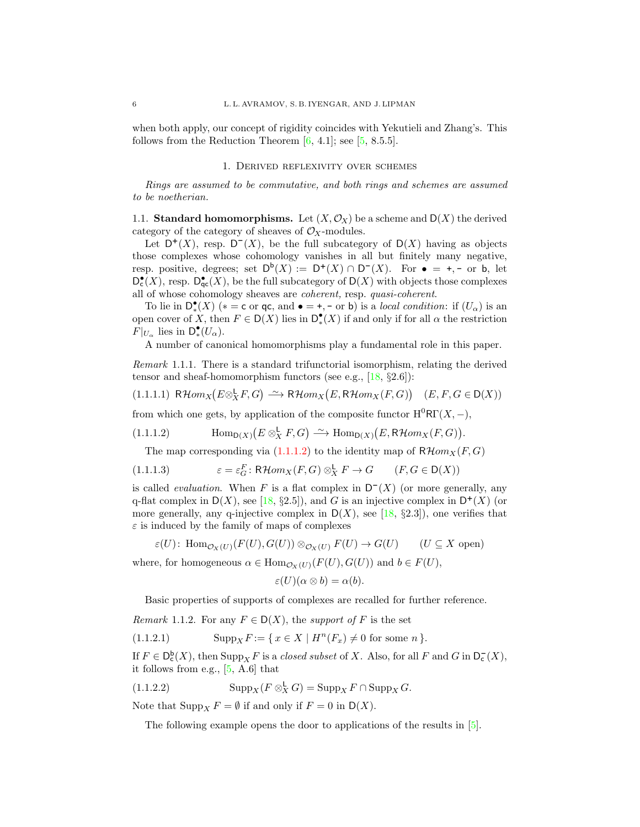when both apply, our concept of rigidity coincides with Yekutieli and Zhang's. This follows from the Reduction Theorem  $[6, 4.1]$ ; see  $[5, 8.5.5]$ .

## 1. Derived reflexivity over schemes

<span id="page-5-0"></span>Rings are assumed to be commutative, and both rings and schemes are assumed to be noetherian.

<span id="page-5-1"></span>1.1. **Standard homomorphisms.** Let  $(X, \mathcal{O}_X)$  be a scheme and  $D(X)$  the derived category of the category of sheaves of  $\mathcal{O}_X$ -modules.

Let  $D^+(X)$ , resp.  $D^-(X)$ , be the full subcategory of  $D(X)$  having as objects those complexes whose cohomology vanishes in all but finitely many negative, resp. positive, degrees; set  $D^b(X) := D^+(X) \cap D^-(X)$ . For  $\bullet = +, -$  or b, let  $D_{\mathsf{c}}^{\bullet}(X)$ , resp.  $D_{\mathsf{qc}}^{\bullet}(X)$ , be the full subcategory of  $D(X)$  with objects those complexes all of whose cohomology sheaves are coherent, resp. quasi-coherent.

To lie in  $D^{\bullet}_{*}(X)$  (\* = c or qc, and  $\bullet = +, -$  or b) is a *local condition*: if  $(U_{\alpha})$  is an open cover of X, then  $F \in D(X)$  lies in  $D^{\bullet}(X)$  if and only if for all  $\alpha$  the restriction  $F|_{U_{\alpha}}$  lies in  $\mathsf{D}^{\bullet}_{*}(U_{\alpha})$ .

A number of canonical homomorphisms play a fundamental role in this paper.

Remark 1.1.1. There is a standard trifunctorial isomorphism, relating the derived tensor and sheaf-homomorphism functors (see e.g.,  $[18, §2.6]$ ):

<span id="page-5-4"></span>
$$
(1.1.1.1) \quad \mathsf{R}\mathcal{H}om_X\big(E \otimes_X^{\mathsf{L}} F, G\big) \xrightarrow{\sim} \mathsf{R}\mathcal{H}om_X\big(E, \mathsf{R}\mathcal{H}om_X(F, G)\big) \quad (E, F, G \in \mathsf{D}(X))
$$

from which one gets, by application of the composite functor  $H^{0}R\Gamma(X, -)$ ,

(1.1.1.2) 
$$
\text{Hom}_{\mathsf{D}(X)}(E \otimes_X^{\mathsf{L}} F, G) \xrightarrow{\sim} \text{Hom}_{\mathsf{D}(X)}(E, \mathsf{R}\mathcal{H}om_X(F, G)).
$$

<span id="page-5-3"></span><span id="page-5-2"></span>The map corresponding via  $(1.1.1.2)$  to the identity map of  $R\mathcal{H}om_X(F,G)$ 

(1.1.1.3) 
$$
\varepsilon = \varepsilon_G^F \colon \mathsf{R}\mathcal{H}om_X(F,G) \otimes_X^{\mathsf{L}} F \to G \qquad (F, G \in \mathsf{D}(X))
$$

is called *evaluation*. When F is a flat complex in  $D^{-}(X)$  (or more generally, any q-flat complex in  $D(X)$ , see [\[18,](#page-40-2) §2.5]), and G is an injective complex in  $D^+(X)$  (or more generally, any q-injective complex in  $D(X)$ , see [\[18,](#page-40-2) §2.3]), one verifies that  $\varepsilon$  is induced by the family of maps of complexes

$$
\varepsilon(U) \colon \operatorname{Hom}_{\mathcal{O}_X(U)}(F(U), G(U)) \otimes_{\mathcal{O}_X(U)} F(U) \to G(U) \qquad (U \subseteq X \text{ open})
$$

where, for homogeneous  $\alpha \in \text{Hom}_{\mathcal{O}_X(U)}(F(U), G(U))$  and  $b \in F(U)$ ,

$$
\varepsilon(U)(\alpha\otimes b)=\alpha(b).
$$

<span id="page-5-5"></span>Basic properties of supports of complexes are recalled for further reference.

*Remark* 1.1.2. For any  $F \in D(X)$ , the support of F is the set

(1.1.2.1) 
$$
\text{Supp}_X F := \{ x \in X \mid H^n(F_x) \neq 0 \text{ for some } n \}.
$$

If  $F \in D_{\mathsf{c}}^{\mathsf{b}}(X)$ , then  $\text{Supp}_X F$  is a *closed subset* of X. Also, for all F and G in  $D_{\mathsf{c}}^{\mathsf{b}}(X)$ , it follows from e.g., [\[5,](#page-39-1) A.6] that

(1.1.2.2) 
$$
\operatorname{Supp}_X(F \otimes_X^{\mathsf{L}} G) = \operatorname{Supp}_X F \cap \operatorname{Supp}_X G.
$$

Note that  $\text{Supp}_X F = \emptyset$  if and only if  $F = 0$  in  $D(X)$ .

<span id="page-5-6"></span>The following example opens the door to applications of the results in [\[5\]](#page-39-1).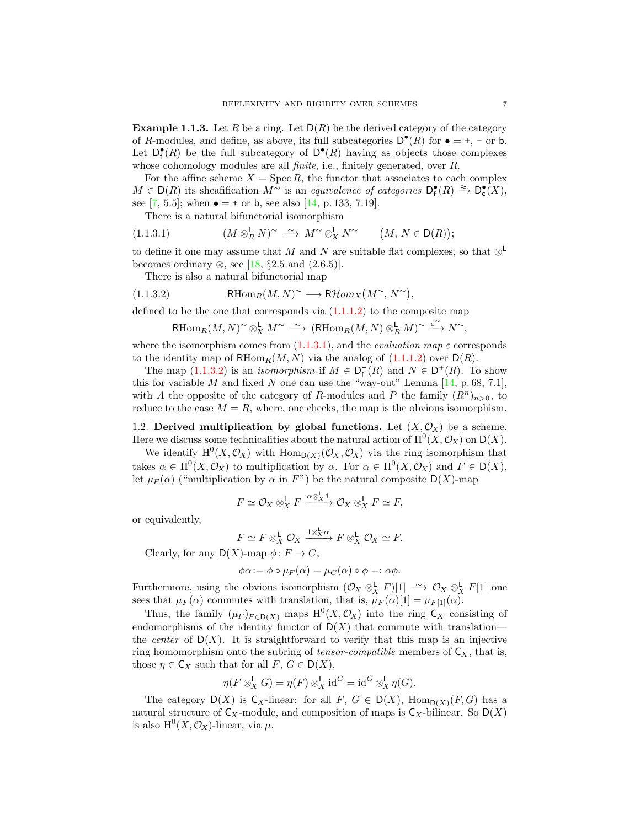<span id="page-6-3"></span>**Example 1.1.3.** Let R be a ring. Let  $D(R)$  be the derived category of the category of R-modules, and define, as above, its full subcategories  $D^{\bullet}(R)$  for  $\bullet = +, -$  or b. Let  $D_f^{\bullet}(R)$  be the full subcategory of  $D^{\bullet}(R)$  having as objects those complexes whose cohomology modules are all *finite*, i.e., finitely generated, over R.

For the affine scheme  $X = \text{Spec } R$ , the functor that associates to each complex  $M \in D(R)$  its sheafification  $M^{\sim}$  is an equivalence of categories  $D_f^{\bullet}(R) \xrightarrow{\approx} D_c^{\bullet}(X)$ , see [\[7,](#page-39-8) 5.5]; when  $\bullet = +$  or b, see also [\[14,](#page-40-0) p. 133, 7.19].

<span id="page-6-1"></span>There is a natural bifunctorial isomorphism

(1.1.3.1) 
$$
(M \otimes_R^{\mathsf{L}} N)^\sim \xrightarrow{\sim} M^\sim \otimes_X^{\mathsf{L}} N^\sim \qquad (M, N \in \mathsf{D}(R));
$$

to define it one may assume that M and N are suitable flat complexes, so that  $\otimes^{\mathsf{L}}$ becomes ordinary  $\otimes$ , see [\[18,](#page-40-2) §2.5 and (2.6.5)].

There is also a natural bifunctorial map

(1.1.3.2) 
$$
\mathrm{RHom}_R(M, N)^\sim \longrightarrow \mathrm{R}\mathcal{H}om_X(M^\sim, N^\sim),
$$

defined to be the one that corresponds via  $(1.1.1.2)$  to the composite map

<span id="page-6-2"></span>
$$
\text{\rm RHom}_R(M,N)^\sim \otimes^{\mathbf{L}}_X M^\sim \ \stackrel{\sim}{\longrightarrow} \ (\text{\rm RHom}_R(M,N) \otimes^{\mathbf{L}}_R M)^\sim \stackrel{\varepsilon^\sim}{\longrightarrow} N^\sim,
$$

where the isomorphism comes from  $(1.1.3.1)$ , and the *evaluation map*  $\varepsilon$  corresponds to the identity map of  $RHom_R(M, N)$  via the analog of  $(1.1.1.2)$  over  $D(R)$ .

The map [\(1.1.3.2\)](#page-6-2) is an *isomorphism* if  $M \in \mathsf{D}_{\mathsf{f}}^{\mathsf{I}}(R)$  and  $N \in \mathsf{D}^{+}(R)$ . To show this for variable M and fixed N one can use the "way-out" Lemma  $[14, p. 68, 7.1]$ , with A the opposite of the category of R-modules and P the family  $(R^n)_{n>0}$ , to reduce to the case  $M = R$ , where, one checks, the map is the obvious isomorphism.

<span id="page-6-0"></span>1.2. Derived multiplication by global functions. Let  $(X, \mathcal{O}_X)$  be a scheme. Here we discuss some technicalities about the natural action of  $\mathrm{H}^{0}(X,\mathcal{O}_{X})$  on  $\mathsf{D}(X)$ .

We identify  $H^0(X, \mathcal{O}_X)$  with  $\text{Hom}_{D(X)}(\mathcal{O}_X, \mathcal{O}_X)$  via the ring isomorphism that takes  $\alpha \in H^0(X, \mathcal{O}_X)$  to multiplication by  $\alpha$ . For  $\alpha \in H^0(X, \mathcal{O}_X)$  and  $F \in D(X)$ , let  $\mu_F(\alpha)$  ("multiplication by  $\alpha$  in F") be the natural composite  $D(X)$ -map

$$
F \simeq \mathcal{O}_X \otimes_X^{\mathsf{L}} F \xrightarrow{\alpha \otimes_X^{\mathsf{L}} 1} \mathcal{O}_X \otimes_X^{\mathsf{L}} F \simeq F,
$$

or equivalently,

$$
F \simeq F \otimes_X^{\mathsf{L}} \mathcal{O}_X \xrightarrow{1 \otimes_X^{\mathsf{L}} \alpha} F \otimes_X^{\mathsf{L}} \mathcal{O}_X \simeq F.
$$

Clearly, for any  $D(X)$ -map  $\phi: F \to C$ ,

$$
\phi \alpha := \phi \circ \mu_F(\alpha) = \mu_C(\alpha) \circ \phi =: \alpha \phi.
$$

Furthermore, using the obvious isomorphism  $(\mathcal{O}_X \otimes^{\mathsf{L}}_X F)[1] \longrightarrow \mathcal{O}_X \otimes^{\mathsf{L}}_X F[1]$  one sees that  $\mu_F(\alpha)$  commutes with translation, that is,  $\mu_F(\alpha)[1] = \mu_{F[1]}(\alpha)$ .

Thus, the family  $(\mu_F)_{F \in D(X)}$  maps  $H^0(X, \mathcal{O}_X)$  into the ring  $C_X$  consisting of endomorphisms of the identity functor of  $D(X)$  that commute with translation the *center* of  $D(X)$ . It is straightforward to verify that this map is an injective ring homomorphism onto the subring of *tensor-compatible* members of  $C_X$ , that is, those  $\eta \in \mathsf{C}_X$  such that for all  $F, G \in \mathsf{D}(X)$ ,

$$
\eta(F \otimes_X^{\mathsf{L}} G) = \eta(F) \otimes_X^{\mathsf{L}} \mathrm{id}^G = \mathrm{id}^G \otimes_X^{\mathsf{L}} \eta(G).
$$

The category  $D(X)$  is  $C_X$ -linear: for all  $F, G \in D(X)$ ,  $Hom_{D(X)}(F, G)$  has a natural structure of  $C_X$ -module, and composition of maps is  $C_X$ -bilinear. So  $D(X)$ is also  $\mathrm{H}^0(X,\mathcal{O}_X)$ -linear, via  $\mu$ .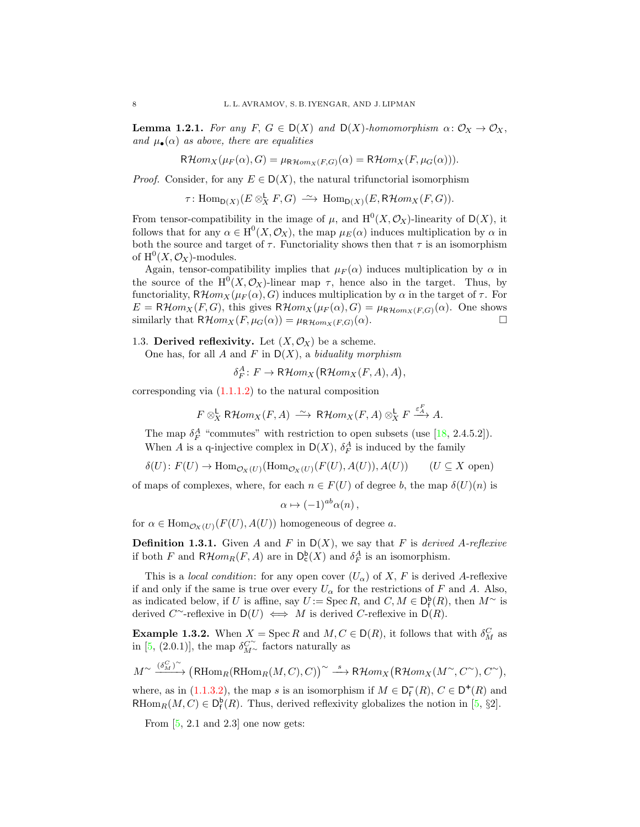<span id="page-7-2"></span>**Lemma 1.2.1.** For any F,  $G \in D(X)$  and  $D(X)$ -homomorphism  $\alpha: \mathcal{O}_X \to \mathcal{O}_X$ , and  $\mu_{\bullet}(\alpha)$  as above, there are equalities

$$
\mathsf{R}\mathcal{H}om_X(\mu_F(\alpha), G) = \mu_{\mathsf{R}\mathcal{H}om_X(F, G)}(\alpha) = \mathsf{R}\mathcal{H}om_X(F, \mu_G(\alpha))).
$$

*Proof.* Consider, for any  $E \in D(X)$ , the natural trifunctorial isomorphism

 $\tau: \text{Hom}_{D(X)}(E \otimes^{\mathbf{L}}_X F, G) \longrightarrow \text{Hom}_{D(X)}(E, \mathsf{R}\mathcal{H}om_X(F, G)).$ 

From tensor-compatibility in the image of  $\mu$ , and  $H^0(X, \mathcal{O}_X)$ -linearity of  $D(X)$ , it follows that for any  $\alpha \in H^0(X, \mathcal{O}_X)$ , the map  $\mu_E(\alpha)$  induces multiplication by  $\alpha$  in both the source and target of  $\tau$ . Functoriality shows then that  $\tau$  is an isomorphism of  $\mathrm{H}^{0}(X,\mathcal{O}_X)$ -modules.

Again, tensor-compatibility implies that  $\mu_F(\alpha)$  induces multiplication by  $\alpha$  in the source of the  $H^0(X, \mathcal{O}_X)$ -linear map  $\tau$ , hence also in the target. Thus, by functoriality,  $R\mathcal{H}om_X(\mu_F(\alpha), G)$  induces multiplication by  $\alpha$  in the target of  $\tau$ . For  $E = \mathsf{R}\mathcal{H}om_X(F, G)$ , this gives  $\mathsf{R}\mathcal{H}om_X(\mu_F(\alpha), G) = \mu_{\mathsf{R}\mathcal{H}om_X(F, G)}(\alpha)$ . One shows similarly that  $R\mathcal{H}om_X(F,\mu_G(\alpha)) = \mu_{R\mathcal{H}om_X(F,G)}(\alpha).$ 

<span id="page-7-0"></span>1.3. Derived reflexivity. Let  $(X, \mathcal{O}_X)$  be a scheme.

One has, for all A and F in  $D(X)$ , a biduality morphism

 $\delta_F^A\colon F\to \mathsf{R}\mathcal{H}om_X(\mathsf{R}\mathcal{H}om_X(F,A),A),$ 

corresponding via  $(1.1.1.2)$  to the natural composition

$$
F \otimes^{\mathsf{L}}_X \mathsf{R}\mathcal{H}om_X(F,A) \xrightarrow{\sim} \mathsf{R}\mathcal{H}om_X(F,A) \otimes^{\mathsf{L}}_X F \xrightarrow{\varepsilon_A^F} A.
$$

The map  $\delta_F^A$  "commutes" with restriction to open subsets (use [\[18,](#page-40-2) 2.4.5.2]). When A is a q-injective complex in  $D(X)$ ,  $\delta_F^A$  is induced by the family

 $\delta(U): F(U) \to \text{Hom}_{\mathcal{O}_X(U)}(\text{Hom}_{\mathcal{O}_X(U)}(F(U), A(U)), A(U))$  (U  $\subseteq X$  open)

of maps of complexes, where, for each  $n \in F(U)$  of degree b, the map  $\delta(U)(n)$  is

$$
\alpha \mapsto (-1)^{ab} \alpha(n) \,,
$$

for  $\alpha \in \text{Hom}_{\mathcal{O}_Y(U)}(F(U), A(U))$  homogeneous of degree a.

<span id="page-7-1"></span>**Definition 1.3.1.** Given A and F in  $D(X)$ , we say that F is derived A-reflexive if both F and  $R\mathcal{H}om_R(F,A)$  are in  $D_c^b(X)$  and  $\delta_F^A$  is an isomorphism.

This is a *local condition*: for any open cover  $(U_{\alpha})$  of X, F is derived A-reflexive if and only if the same is true over every  $U_{\alpha}$  for the restrictions of F and A. Also, as indicated below, if U is affine, say  $U := \operatorname{Spec} R$ , and  $C, M \in D_f^{\mathsf{b}}(R)$ , then  $M^{\sim}$  is derived C~-reflexive in  $D(U) \iff M$  is derived C-reflexive in  $D(R)$ .

**Example 1.3.2.** When  $X = \operatorname{Spec} R$  and  $M, C \in D(R)$ , it follows that with  $\delta_M^C$  as in [\[5,](#page-39-1) (2.0.1)], the map  $\delta_{M\sim}^{C^{\sim}}$  factors naturally as

$$
M^{\sim} \xrightarrow{(\delta_M^C)^{\sim}} (\mathsf{R}\mathrm{Hom}_R(\mathsf{R}\mathrm{Hom}_R(M,C),C))^{\sim} \xrightarrow{s} \mathsf{R}\mathcal{H}om_X(\mathsf{R}\mathcal{H}om_X(M^{\sim},C^{\sim}),C^{\sim}),
$$

where, as in [\(1.1.3.2\)](#page-6-2), the map s is an isomorphism if  $M \in \mathsf{D}_{\mathsf{f}}^{-}(R)$ ,  $C \in \mathsf{D}^{+}(R)$  and RHom<sub>R</sub> $(M, C) \in D_f^{\mathsf{b}}(R)$ . Thus, derived reflexivity globalizes the notion in [\[5,](#page-39-1) §2].

From  $[5, 2.1, 2.3]$  one now gets: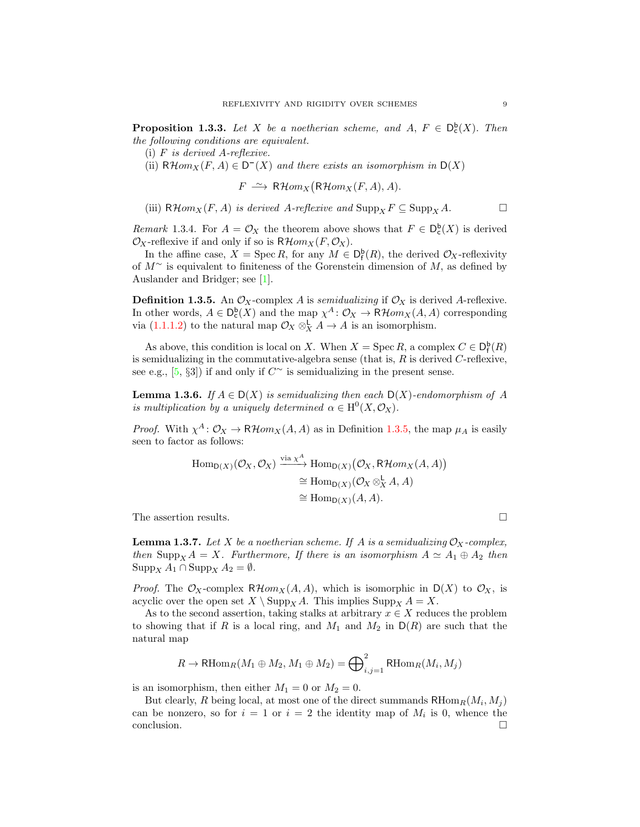<span id="page-8-1"></span>**Proposition 1.3.3.** Let X be a noetherian scheme, and  $A, F \in D_c^b(X)$ . Then the following conditions are equivalent.

(i) F is derived A-reflexive.

(ii)  $R\mathcal{H}om_X(F, A) \in \mathsf{D}^-(X)$  and there exists an isomorphism in  $\mathsf{D}(X)$ 

 $F \stackrel{\sim}{\longrightarrow} \mathsf{R}\mathcal{H}om_X(\mathsf{R}\mathcal{H}om_X(F,A),A).$ 

(iii)  $\mathsf{R}\mathcal{H}om_X(F, A)$  is derived A-reflexive and  $\mathrm{Supp}_X F \subseteq \mathrm{Supp}_X A$ .

<span id="page-8-2"></span>*Remark* 1.3.4. For  $A = \mathcal{O}_X$  the theorem above shows that  $F \in D_c^b(X)$  is derived  $\mathcal{O}_X$ -reflexive if and only if so is  $R\mathcal{H}om_X(F,\mathcal{O}_X)$ .

In the affine case,  $X = \operatorname{Spec} R$ , for any  $M \in D_f^{\mathsf{b}}(R)$ , the derived  $\mathcal{O}_X$ -reflexivity of  $M^{\sim}$  is equivalent to finiteness of the Gorenstein dimension of M, as defined by Auslander and Bridger; see [\[1\]](#page-39-0).

<span id="page-8-0"></span>**Definition 1.3.5.** An  $\mathcal{O}_X$ -complex A is semidualizing if  $\mathcal{O}_X$  is derived A-reflexive. In other words,  $A \in D_c^b(X)$  and the map  $\chi^A: \mathcal{O}_X \to \mathsf{R}\mathcal{H}om_X(A, A)$  corresponding via  $(1.1.1.2)$  to the natural map  $\mathcal{O}_X \otimes_X^{\mathsf{L}} A \to A$  is an isomorphism.

As above, this condition is local on X. When  $X = \operatorname{Spec} R$ , a complex  $C \in D_f^{\mathsf{b}}(R)$ is semidualizing in the commutative-algebra sense (that is,  $R$  is derived  $C$ -reflexive, see e.g., [\[5,](#page-39-1) §3]) if and only if  $C^{\sim}$  is semidualizing in the present sense.

**Lemma 1.3.6.** If  $A \in D(X)$  is semidualizing then each  $D(X)$ -endomorphism of A is multiplication by a uniquely determined  $\alpha \in H^0(X, \mathcal{O}_X)$ .

*Proof.* With  $\chi^A$ :  $\mathcal{O}_X \to \mathsf{R}\mathcal{H}om_X(A, A)$  as in Definition [1.3.5,](#page-8-0) the map  $\mu_A$  is easily seen to factor as follows:

$$
\text{Hom}_{\mathsf{D}(X)}(\mathcal{O}_X, \mathcal{O}_X) \xrightarrow{\text{via } \chi^A} \text{Hom}_{\mathsf{D}(X)}(\mathcal{O}_X, \mathsf{R}\mathcal{H}om_X(A, A))
$$
\n
$$
\cong \text{Hom}_{\mathsf{D}(X)}(\mathcal{O}_X \otimes_X^{\mathsf{L}} A, A)
$$
\n
$$
\cong \text{Hom}_{\mathsf{D}(X)}(A, A).
$$

The assertion results.  $\hfill\Box$ 

<span id="page-8-3"></span>**Lemma 1.3.7.** Let X be a noetherian scheme. If A is a semidualizing  $\mathcal{O}_X$ -complex, then Supp<sub>X</sub>  $A = X$ . Furthermore, If there is an isomorphism  $A \simeq A_1 \oplus A_2$  then  $\text{Supp}_X A_1 \cap \text{Supp}_X A_2 = \emptyset.$ 

*Proof.* The  $\mathcal{O}_X$ -complex  $\mathcal{RH}$ *om*<sub>X</sub> $(A, A)$ , which is isomorphic in  $D(X)$  to  $\mathcal{O}_X$ , is acyclic over the open set  $X \setminus \text{Supp}_X A$ . This implies  $\text{Supp}_X A = X$ .

As to the second assertion, taking stalks at arbitrary  $x \in X$  reduces the problem to showing that if R is a local ring, and  $M_1$  and  $M_2$  in  $D(R)$  are such that the natural map

$$
R \to \mathrm{RHom}_R(M_1 \oplus M_2, M_1 \oplus M_2) = \bigoplus_{i,j=1}^2 \mathrm{RHom}_R(M_i, M_j)
$$

is an isomorphism, then either  $M_1 = 0$  or  $M_2 = 0$ .

But clearly, R being local, at most one of the direct summands  $RHom_R(M_i, M_j)$ can be nonzero, so for  $i = 1$  or  $i = 2$  the identity map of  $M_i$  is 0, whence the conclusion.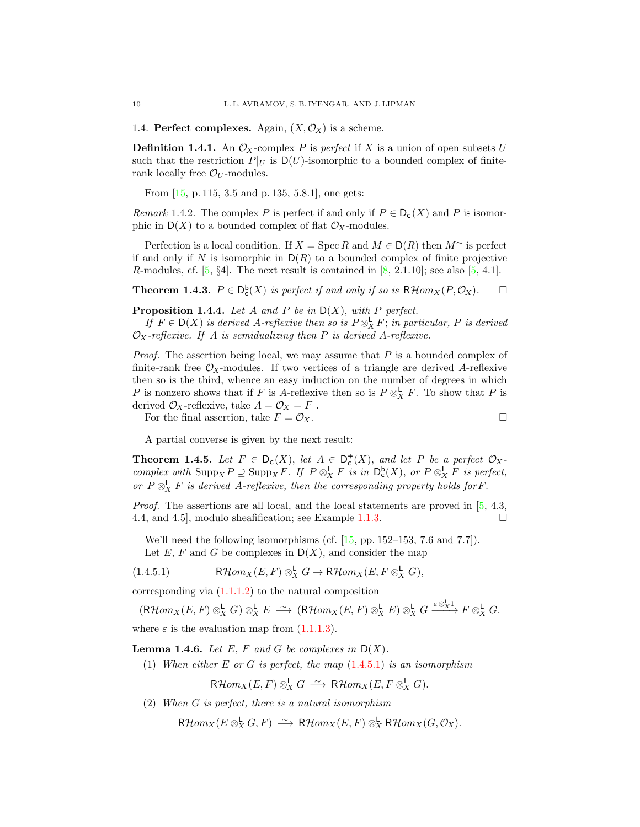<span id="page-9-0"></span>1.4. Perfect complexes. Again,  $(X, \mathcal{O}_X)$  is a scheme.

**Definition 1.4.1.** An  $\mathcal{O}_X$ -complex P is perfect if X is a union of open subsets U such that the restriction  $P|_U$  is  $D(U)$ -isomorphic to a bounded complex of finiterank locally free  $\mathcal{O}_U$ -modules.

From [\[15,](#page-40-9) p. 115, 3.5 and p. 135, 5.8.1], one gets:

<span id="page-9-5"></span>Remark 1.4.2. The complex P is perfect if and only if  $P \in D_c(X)$  and P is isomorphic in  $D(X)$  to a bounded complex of flat  $\mathcal{O}_X$ -modules.

Perfection is a local condition. If  $X = \operatorname{Spec} R$  and  $M \in D(R)$  then  $M^{\sim}$  is perfect if and only if N is isomorphic in  $D(R)$  to a bounded complex of finite projective R-modules, cf.  $[5, \S4]$ . The next result is contained in  $[8, 2.1.10]$ ; see also  $[5, 4.1]$ .

<span id="page-9-2"></span>**Theorem 1.4.3.**  $P \in D_c^b(X)$  is perfect if and only if so is  $R\mathcal{H}om_X(P,\mathcal{O}_X)$ .  $\Box$ 

<span id="page-9-4"></span>**Proposition 1.4.4.** Let A and P be in  $D(X)$ , with P perfect.

If  $F \in D(X)$  is derived A-reflexive then so is  $P \otimes^{\mathsf{L}}_X F$ ; in particular, P is derived  $\mathcal{O}_X$ -reflexive. If A is semidualizing then P is derived A-reflexive.

*Proof.* The assertion being local, we may assume that  $P$  is a bounded complex of finite-rank free  $\mathcal{O}_X$ -modules. If two vertices of a triangle are derived A-reflexive then so is the third, whence an easy induction on the number of degrees in which P is nonzero shows that if F is A-reflexive then so is  $P \otimes_X^{\mathsf{L}} F$ . To show that P is derived  $\mathcal{O}_X$ -reflexive, take  $A = \mathcal{O}_X = F$ .

For the final assertion, take  $F = \mathcal{O}_X$ .

A partial converse is given by the next result:

<span id="page-9-6"></span>**Theorem 1.4.5.** Let  $F \in D_c(X)$ , let  $A \in D_c^+(X)$ , and let P be a perfect  $\mathcal{O}_X$ . complex with  $\text{Supp}_X P \supseteq \text{Supp}_X F$ . If  $P \otimes_X^{\mathsf{L}} F$  is in  $\mathsf{D}_{\mathsf{c}}^{\mathsf{b}}(X)$ , or  $P \otimes_X^{\mathsf{L}} F$  is perfect, or  $P \otimes_X^{\mathsf{L}} F$  is derived A-reflexive, then the corresponding property holds for F.

Proof. The assertions are all local, and the local statements are proved in [\[5,](#page-39-1) 4.3, 4.4, and 4.5], modulo sheafification; see Example [1.1.3.](#page-6-3)

<span id="page-9-1"></span>We'll need the following isomorphisms (cf.  $[15, pp. 152-153, 7.6 \text{ and } 7.7]$ ). Let  $E, F$  and  $G$  be complexes in  $D(X)$ , and consider the map

(1.4.5.1) 
$$
\mathsf{R}\mathcal{H}om_X(E,F)\otimes_X^{\mathsf{L}} G\to\mathsf{R}\mathcal{H}om_X(E,F\otimes_X^{\mathsf{L}} G),
$$

corresponding via  $(1.1.1.2)$  to the natural composition

$$
(\mathsf{R}\mathcal{H}om_X(E,F)\otimes^{\mathsf{L}}_X G)\otimes^{\mathsf{L}}_X E\ \stackrel{\sim}{\longrightarrow}\ (\mathsf{R}\mathcal{H}om_X(E,F)\otimes^{\mathsf{L}}_X E)\otimes^{\mathsf{L}}_X G\stackrel{\varepsilon\otimes^{\mathsf{L}}_X 1}{\longrightarrow} F\otimes^{\mathsf{L}}_X G.
$$

where  $\varepsilon$  is the evaluation map from [\(1.1.1.3\)](#page-5-3).

<span id="page-9-3"></span>**Lemma 1.4.6.** Let E, F and G be complexes in  $D(X)$ .

(1) When either  $E$  or  $G$  is perfect, the map  $(1.4.5.1)$  is an isomorphism

 ${\sf R}\mathcal{H} om_X(E,F)\otimes^{\mathsf{L}}_X G \ \stackrel{\sim}{\longrightarrow}\ {\sf R}\mathcal{H} om_X(E,F\otimes^{\mathsf{L}}_X G).$ 

(2) When G is perfect, there is a natural isomorphism

 $\mathsf{R}\mathcal{H}om_X(E\otimes^{\mathsf{L}}_X G, F) \,\stackrel{\sim}{\longrightarrow}\, \mathsf{R}\mathcal{H}om_X(E, F) \otimes^{\mathsf{L}}_X \mathsf{R}\mathcal{H}om_X(G, \mathcal{O}_X).$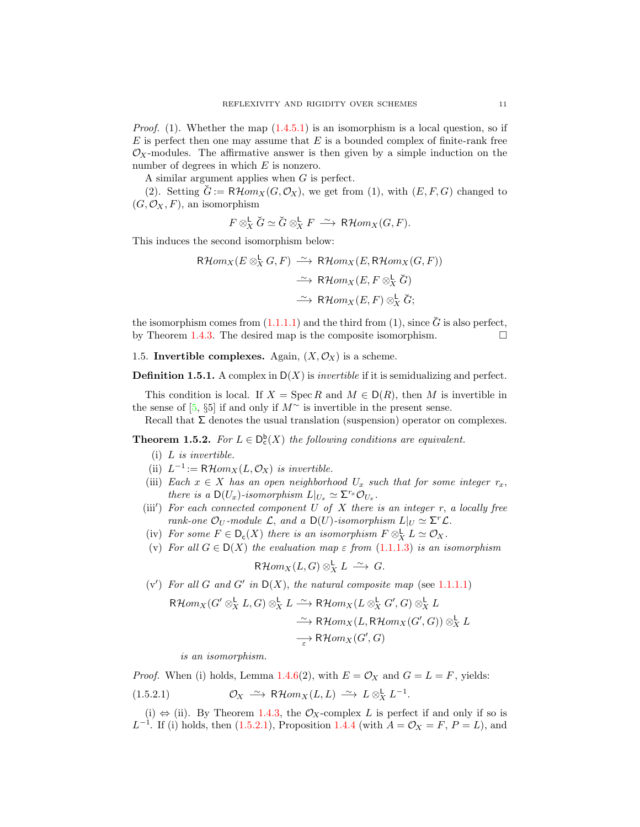*Proof.* (1). Whether the map  $(1.4.5.1)$  is an isomorphism is a local question, so if  $E$  is perfect then one may assume that  $E$  is a bounded complex of finite-rank free  $\mathcal{O}_X$ -modules. The affirmative answer is then given by a simple induction on the number of degrees in which E is nonzero.

A similar argument applies when G is perfect.

(2). Setting  $\check{G} := \mathsf{R}\mathcal{H}om_X(G,\mathcal{O}_X)$ , we get from (1), with  $(E, F, G)$  changed to  $(G, \mathcal{O}_X, F)$ , an isomorphism

 $F \otimes_X^{\mathsf{L}} \check{G} \simeq \check{G} \otimes_X^{\mathsf{L}} F \stackrel{\sim}{\longrightarrow} \mathsf{R}\mathcal{H}om_X(G,F).$ 

This induces the second isomorphism below:

$$
\mathsf{R}\mathcal{H}om_X(E \otimes_X^{\mathbf{L}} G, F) \xrightarrow{\sim} \mathsf{R}\mathcal{H}om_X(E, \mathsf{R}\mathcal{H}om_X(G, F))
$$
  

$$
\xrightarrow{\sim} \mathsf{R}\mathcal{H}om_X(E, F \otimes_X^{\mathbf{L}} \check{G})
$$
  

$$
\xrightarrow{\sim} \mathsf{R}\mathcal{H}om_X(E, F) \otimes_X^{\mathbf{L}} \check{G};
$$

the isomorphism comes from  $(1.1.1.1)$  and the third from  $(1)$ , since  $\check{G}$  is also perfect, by Theorem [1.4.3.](#page-9-2) The desired map is the composite isomorphism.  $\Box$ 

<span id="page-10-0"></span>1.5. Invertible complexes. Again,  $(X, \mathcal{O}_X)$  is a scheme.

**Definition 1.5.1.** A complex in  $D(X)$  is *invertible* if it is semidualizing and perfect.

This condition is local. If  $X = \operatorname{Spec} R$  and  $M \in D(R)$ , then M is invertible in the sense of [\[5,](#page-39-1) §5] if and only if  $M^{\sim}$  is invertible in the present sense.

Recall that  $\Sigma$  denotes the usual translation (suspension) operator on complexes.

<span id="page-10-2"></span>**Theorem 1.5.2.** For  $L \in D_c^b(X)$  the following conditions are equivalent.

- (i) L is invertible.
- (ii)  $L^{-1} := \mathsf{R}\mathcal{H}om_X(L, \mathcal{O}_X)$  is invertible.
- (iii) Each  $x \in X$  has an open neighborhood  $U_x$  such that for some integer  $r_x$ , there is a  $D(U_x)$ -isomorphism  $L|_{U_x} \simeq \Sigma^{r_x} \mathcal{O}_{U_x}$ .
- (iii') For each connected component  $U$  of  $X$  there is an integer  $r$ , a locally free rank-one  $\mathcal{O}_U$ -module  $\mathcal{L}$ , and a  $\mathsf{D}(U)$ -isomorphism  $L|_U \simeq \Sigma^r \mathcal{L}$ .
- (iv) For some  $F \in D_c(X)$  there is an isomorphism  $F \otimes_X^{\mathsf{L}} L \simeq \mathcal{O}_X$ .
- (v) For all  $G \in D(X)$  the evaluation map  $\varepsilon$  from  $(1.1.1.3)$  is an isomorphism

$$
\mathsf{R}\mathcal{H}om_X(L,G)\otimes^{\mathsf{L}}_X L \stackrel{\sim}{\longrightarrow} G.
$$

(v') For all G and G' in  $D(X)$ , the natural composite map (see [1.1.1.1\)](#page-5-4)

$$
\mathsf{R}\mathcal{H}om_X(G' \otimes^{\mathbf{L}}_X L, G) \otimes^{\mathbf{L}}_X L \xrightarrow{\sim} \mathsf{R}\mathcal{H}om_X(L \otimes^{\mathbf{L}}_X G', G) \otimes^{\mathbf{L}}_X L
$$
  

$$
\xrightarrow{\sim} \mathsf{R}\mathcal{H}om_X(L, \mathsf{R}\mathcal{H}om_X(G', G)) \otimes^{\mathbf{L}}_X L
$$
  

$$
\xrightarrow[\varepsilon]{} \mathsf{R}\mathcal{H}om_X(G', G)
$$

<span id="page-10-1"></span>is an isomorphism.

*Proof.* When (i) holds, Lemma [1.4.6\(](#page-9-3)2), with  $E = \mathcal{O}_X$  and  $G = L = F$ , yields:

(1.5.2.1) 
$$
\mathcal{O}_X \xrightarrow{\sim} R\mathcal{H}om_X(L,L) \xrightarrow{\sim} L \otimes_X^L L^{-1}.
$$

(i)  $\Leftrightarrow$  (ii). By Theorem [1.4.3,](#page-9-2) the  $\mathcal{O}_X$ -complex L is perfect if and only if so is  $L^{-1}$ . If (i) holds, then [\(1.5.2.1\)](#page-10-1), Proposition [1.4.4](#page-9-4) (with  $A = \mathcal{O}_X = F, P = L$ ), and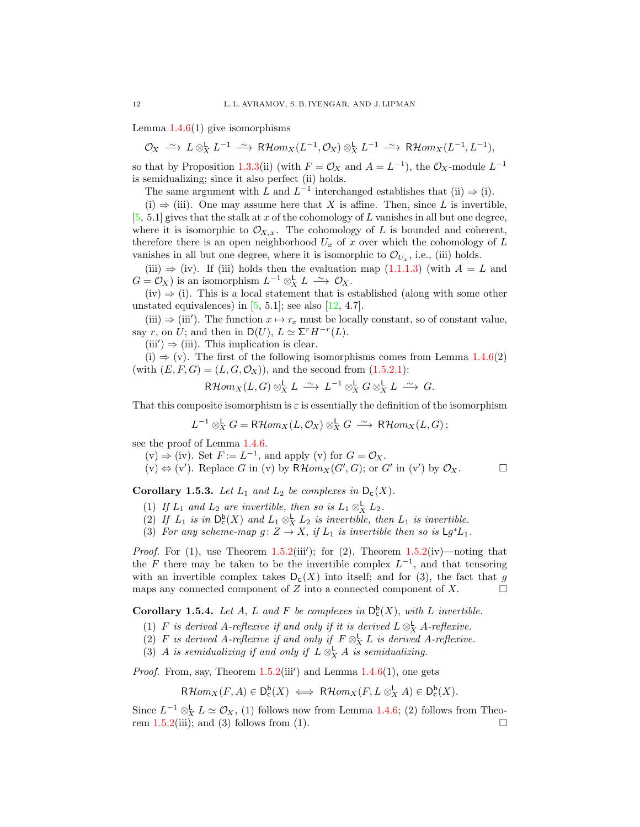Lemma  $1.4.6(1)$  $1.4.6(1)$  give isomorphisms

 $\mathcal{O}_X \ \xrightarrow{\sim} \ L \otimes^{\mathsf{L}}_X L^{-1} \ \xrightarrow{\sim} \ \mathsf{R}\mathcal{H}om_X(L^{-1}, \mathcal{O}_X) \otimes^{\mathsf{L}}_X L^{-1} \ \xrightarrow{\sim} \ \mathsf{R}\mathcal{H}om_X(L^{-1}, L^{-1}),$ 

so that by Proposition [1.3.3\(](#page-8-1)ii) (with  $F = \mathcal{O}_X$  and  $A = L^{-1}$ ), the  $\mathcal{O}_X$ -module  $L^{-1}$ is semidualizing; since it also perfect (ii) holds.

The same argument with L and  $L^{-1}$  interchanged establishes that (ii)  $\Rightarrow$  (i).

(i)  $\Rightarrow$  (iii). One may assume here that X is affine. Then, since L is invertible,  $[5, 5.1]$  $[5, 5.1]$  gives that the stalk at x of the cohomology of L vanishes in all but one degree, where it is isomorphic to  $\mathcal{O}_{X,x}$ . The cohomology of L is bounded and coherent, therefore there is an open neighborhood  $U_x$  of x over which the cohomology of L vanishes in all but one degree, where it is isomorphic to  $\mathcal{O}_{U_x}$ , i.e., (iii) holds.

(iii)  $\Rightarrow$  (iv). If (iii) holds then the evaluation map [\(1.1.1.3\)](#page-5-3) (with  $A = L$  and  $G = \mathcal{O}_X$ ) is an isomorphism  $L^{-1} \otimes_X^{\mathbb{L}} L \longrightarrow \mathcal{O}_X$ .

 $(iv) \Rightarrow (i)$ . This is a local statement that is established (along with some other unstated equivalences) in  $[5, 5.1]$ ; see also  $[12, 4.7]$ .

(iii)  $\Rightarrow$  (iii'). The function  $x \mapsto r_x$  must be locally constant, so of constant value, say r, on U; and then in  $D(U)$ ,  $L \simeq \Sigma^r H^{-r}(L)$ .

 $(iii') \Rightarrow (iii)$ . This implication is clear.

 $(i) \Rightarrow (v)$ . The first of the following isomorphisms comes from Lemma [1.4.6\(](#page-9-3)2) (with  $(E, F, G) = (L, G, \mathcal{O}_X)$ ), and the second from  $(1.5.2.1)$ :

$$
\mathsf{R}\mathcal{H}om_X(L,G)\otimes^{\mathsf{L}}_X L \stackrel{\sim}{\longrightarrow} L^{-1}\otimes^{\mathsf{L}}_X G\otimes^{\mathsf{L}}_X L \stackrel{\sim}{\longrightarrow} G.
$$

That this composite isomorphism is  $\varepsilon$  is essentially the definition of the isomorphism

$$
L^{-1}\otimes^{\mathsf{L}}_X G=\mathsf{R}\mathcal{H}om_X(L,\mathcal{O}_X)\otimes^{\mathsf{L}}_X G\ \stackrel{\sim}{\longrightarrow}\ \mathsf{R}\mathcal{H}om_X(L,G)\,;
$$

see the proof of Lemma [1.4.6.](#page-9-3)

 $(v) \Rightarrow (iv)$ . Set  $F := L^{-1}$ , and apply  $(v)$  for  $G = \mathcal{O}_X$ .

 $(v) \Leftrightarrow (v')$ . Replace G in (v) by  $R\mathcal{H}om_X(G', G)$ ; or G' in (v') by  $\mathcal{O}_X$ .

<span id="page-11-1"></span>Corollary 1.5.3. Let  $L_1$  and  $L_2$  be complexes in  $D_c(X)$ .

- (1) If  $L_1$  and  $L_2$  are invertible, then so is  $L_1 \otimes_X^{\mathsf{L}} L_2$ .
- (2) If  $L_1$  is in  $D_c^b(X)$  and  $L_1 \otimes_X^L L_2$  is invertible, then  $L_1$  is invertible.
- (3) For any scheme-map  $g: Z \to X$ , if  $L_1$  is invertible then so is  $\mathsf{L} g^* L_1$ .

*Proof.* For  $(1)$ , use Theorem [1.5.2\(](#page-10-2)iii'); for  $(2)$ , Theorem 1.5.2(iv)—noting that the F there may be taken to be the invertible complex  $L^{-1}$ , and that tensoring with an invertible complex takes  $D_c(X)$  into itself; and for (3), the fact that g maps any connected component of Z into a connected component of X.  $\Box$ 

<span id="page-11-0"></span>**Corollary 1.5.4.** Let A, L and F be complexes in  $D_c^b(X)$ , with L invertible.

- (1) F is derived A-reflexive if and only if it is derived  $L \otimes_X^{\mathsf{L}} A$ -reflexive.
- (2) F is derived A-reflexive if and only if  $F \otimes_X^{\mathsf{L}} L$  is derived A-reflexive.
- (3) A is semidualizing if and only if  $L \otimes_X^{\mathsf{L}} A$  is semidualizing.

*Proof.* From, say, Theorem  $1.5.2(iii')$  $1.5.2(iii')$  and Lemma  $1.4.6(1)$  $1.4.6(1)$ , one gets

$$
\mathsf{R}\mathcal{H}om_X(F,A)\in\mathsf{D}^{\mathsf{b}}_{\mathsf{c}}(X)\iff\mathsf{R}\mathcal{H}om_X(F,L\otimes^{\mathsf{L}}_X A)\in\mathsf{D}^{\mathsf{b}}_{\mathsf{c}}(X).
$$

Since  $L^{-1} \otimes_X^{\mathsf{L}} L \simeq \mathcal{O}_X$ , (1) follows now from Lemma [1.4.6;](#page-9-3) (2) follows from Theo-rem [1.5.2\(](#page-10-2)iii); and (3) follows from (1).  $\square$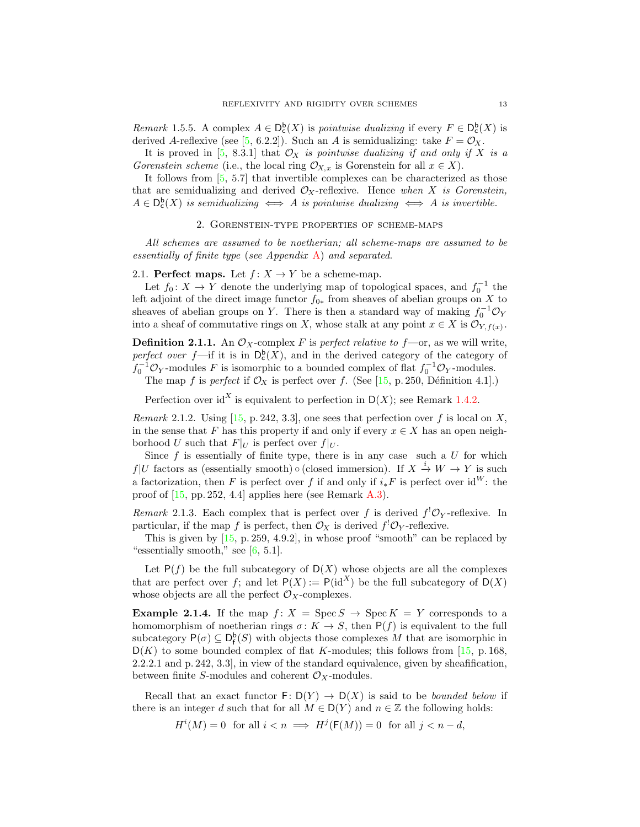<span id="page-12-4"></span>Remark 1.5.5. A complex  $A \in D_c^b(X)$  is pointwise dualizing if every  $F \in D_c^b(X)$  is derived A-reflexive (see [\[5,](#page-39-1) 6.2.2]). Such an A is semidualizing: take  $F = \mathcal{O}_X$ .

It is proved in [\[5,](#page-39-1) 8.3.1] that  $\mathcal{O}_X$  is pointwise dualizing if and only if X is a Gorenstein scheme (i.e., the local ring  $\mathcal{O}_{X,x}$  is Gorenstein for all  $x \in X$ ).

It follows from [\[5,](#page-39-1) 5.7] that invertible complexes can be characterized as those that are semidualizing and derived  $\mathcal{O}_X$ -reflexive. Hence when X is Gorenstein,  $A \in D_c^b(X)$  is semidualizing  $\iff A$  is pointwise dualizing  $\iff A$  is invertible.

#### 2. Gorenstein-type properties of scheme-maps

<span id="page-12-0"></span>All schemes are assumed to be noetherian; all scheme-maps are assumed to be essentially of finite type (see Appendix [A\)](#page-33-1) and separated.

<span id="page-12-1"></span>2.1. Perfect maps. Let  $f: X \to Y$  be a scheme-map.

Let  $f_0: X \to Y$  denote the underlying map of topological spaces, and  $f_0^{-1}$  the left adjoint of the direct image functor  $f_{0*}$  from sheaves of abelian groups on X to sheaves of abelian groups on Y. There is then a standard way of making  $f_0^{-1} \mathcal{O}_Y$ into a sheaf of commutative rings on X, whose stalk at any point  $x \in X$  is  $\mathcal{O}_{Y, f(x)}$ .

**Definition 2.1.1.** An  $\mathcal{O}_X$ -complex F is perfect relative to f—or, as we will write, perfect over  $f$ —if it is in  $D_c^b(X)$ , and in the derived category of the category of  $f_0^{-1} \mathcal{O}_Y$ -modules F is isomorphic to a bounded complex of flat  $f_0^{-1} \mathcal{O}_Y$ -modules. The map f is perfect if  $\mathcal{O}_X$  is perfect over f. (See [\[15,](#page-40-9) p. 250, Définition 4.1].)

Perfection over id<sup>X</sup> is equivalent to perfection in  $D(X)$ ; see Remark [1.4.2.](#page-9-5)

<span id="page-12-2"></span>*Remark* 2.1.2. Using [\[15,](#page-40-9) p. 242, 3.3], one sees that perfection over f is local on X, in the sense that F has this property if and only if every  $x \in X$  has an open neighborhood U such that  $F|_U$  is perfect over  $f|_U$ .

Since  $f$  is essentially of finite type, there is in any case such a  $U$  for which  $f|U$  factors as (essentially smooth)  $\circ$  (closed immersion). If  $X \stackrel{i}{\to} W \to Y$  is such a factorization, then F is perfect over f if and only if  $i_*F$  is perfect over id<sup>W</sup>: the proof of [\[15,](#page-40-9) pp. 252, 4.4] applies here (see Remark [A.3\)](#page-34-1).

<span id="page-12-3"></span>Remark 2.1.3. Each complex that is perfect over f is derived  $f^! \mathcal{O}_Y$ -reflexive. In particular, if the map f is perfect, then  $\mathcal{O}_X$  is derived  $f^! \mathcal{O}_Y$ -reflexive.

This is given by  $[15, p. 259, 4.9.2]$ , in whose proof "smooth" can be replaced by "essentially smooth," see  $[6, 5.1]$ .

Let  $P(f)$  be the full subcategory of  $D(X)$  whose objects are all the complexes that are perfect over f; and let  $P(X) := P(\mathrm{id}^X)$  be the full subcategory of  $D(X)$ whose objects are all the perfect  $\mathcal{O}_X$ -complexes.

**Example 2.1.4.** If the map  $f: X = \text{Spec } S \to \text{Spec } K = Y$  corresponds to a homomorphism of noetherian rings  $\sigma: K \to S$ , then  $P(f)$  is equivalent to the full subcategory  $P(\sigma) \subseteq D_f^b(S)$  with objects those complexes M that are isomorphic in  $D(K)$  to some bounded complex of flat K-modules; this follows from [\[15,](#page-40-9) p. 168, 2.2.2.1 and p. 242, 3.3], in view of the standard equivalence, given by sheafification, between finite S-modules and coherent  $\mathcal{O}_X$ -modules.

Recall that an exact functor  $\mathsf{F}: \mathsf{D}(Y) \to \mathsf{D}(X)$  is said to be *bounded below* if there is an integer d such that for all  $M \in D(Y)$  and  $n \in \mathbb{Z}$  the following holds:

 $H^i(M) = 0$  for all  $i < n \implies H^j(\mathsf{F}(M)) = 0$  for all  $j < n - d$ ,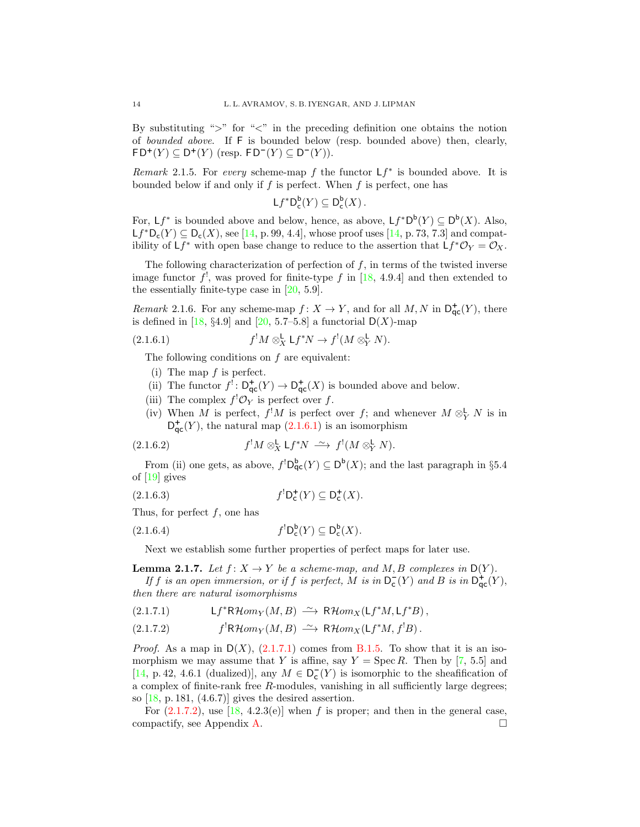By substituting " $>$ " for " $\lt$ " in the preceding definition one obtains the notion of bounded above. If F is bounded below (resp. bounded above) then, clearly,  $FD^+(Y) \subseteq D^+(Y)$  (resp.  $FD^-(Y) \subseteq D^-(Y)$ ).

<span id="page-13-5"></span>Remark 2.1.5. For every scheme-map f the functor  $Lf^*$  is bounded above. It is bounded below if and only if  $f$  is perfect. When  $f$  is perfect, one has

 $\mathsf{L} f^\ast \mathsf{D}^{\mathsf{b}}_\mathsf{c}(Y) \subseteq \mathsf{D}^{\mathsf{b}}_\mathsf{c}(X)$  .

For,  $Lf^*$  is bounded above and below, hence, as above,  $Lf^*D^b(Y) \subseteq D^b(X)$ . Also,  $Lf^*D_c(Y) \subseteq D_c(X)$ , see [\[14,](#page-40-0) p. 99, 4.4], whose proof uses [14, p. 73, 7.3] and compatibility of  $Lf^*$  with open base change to reduce to the assertion that  $Lf^* \mathcal{O}_Y = \mathcal{O}_X$ .

The following characterization of perfection of  $f$ , in terms of the twisted inverse image functor  $f^!$ , was proved for finite-type f in [\[18,](#page-40-2) 4.9.4] and then extended to the essentially finite-type case in [\[20,](#page-40-6) 5.9].

<span id="page-13-3"></span>Remark 2.1.6. For any scheme-map  $f: X \to Y$ , and for all  $M, N$  in  $\mathsf{D}^+_{\mathsf{qc}}(Y)$ , there is defined in [\[18,](#page-40-2) §4.9] and [\[20,](#page-40-6) 5.7–5.8] a functorial  $D(X)$ -map

(2.1.6.1) 
$$
f^!M \otimes_X^{\mathsf{L}} \mathsf{L} f^*N \to f^!(M \otimes_Y^{\mathsf{L}} N).
$$

The following conditions on  $f$  are equivalent:

- <span id="page-13-0"></span>(i) The map  $f$  is perfect.
- (ii) The functor  $f' : D^+_{\mathsf{qc}}(Y) \to D^+_{\mathsf{qc}}(X)$  is bounded above and below.
- (iii) The complex  $f^! \mathcal{O}_Y$  is perfect over f.
- <span id="page-13-7"></span>(iv) When M is perfect,  $f^!M$  is perfect over f; and whenever  $M \otimes^{\mathsf{L}}_Y N$  is in  $D_{\mathsf{qc}}^+(Y)$ , the natural map  $(2.1.6.1)$  is an isomorphism

(2.1.6.2) 
$$
f^!M \otimes_X^{\mathsf{L}} \mathsf{L} f^*N \stackrel{\sim}{\longrightarrow} f^! (M \otimes_Y^{\mathsf{L}} N).
$$

From (ii) one gets, as above,  $f^! D_{\mathsf{qc}}^{\mathsf{b}}(Y) \subseteq D^{\mathsf{b}}(X)$ ; and the last paragraph in §5.4 of [\[19\]](#page-40-11) gives

<span id="page-13-6"></span>
$$
(2.1.6.3) \t f^! \mathsf{D}^+_{\mathsf{c}}(Y) \subseteq \mathsf{D}^+_{\mathsf{c}}(X).
$$

Thus, for perfect  $f$ , one has

$$
(2.1.6.4) \t f^! D_c^{\mathsf{b}}(Y) \subseteq D_c^{\mathsf{b}}(X).
$$

Next we establish some further properties of perfect maps for later use.

<span id="page-13-4"></span>**Lemma 2.1.7.** Let  $f: X \to Y$  be a scheme-map, and M, B complexes in  $D(Y)$ . If f is an open immersion, or if f is perfect, M is in  $D_{\mathsf{c}}^{-}(Y)$  and B is in  $D_{\mathsf{qc}}^{+}(Y)$ ,

then there are natural isomorphisms

<span id="page-13-1"></span>
$$
(2.1.7.1) \tLf^*R\mathcal{H}om_Y(M, B) \xrightarrow{\sim} R\mathcal{H}om_X(\mathsf{L}f^*M, \mathsf{L}f^*B),
$$

<span id="page-13-2"></span>(2.1.7.2) 
$$
f^!\mathsf{R}\mathcal{H}om_Y(M,B) \xrightarrow{\sim} \mathsf{R}\mathcal{H}om_X(\mathsf{L}f^*M, f^!B).
$$

*Proof.* As a map in  $D(X)$ , [\(2.1.7.1\)](#page-13-1) comes from [B.1.5.](#page-35-0) To show that it is an isomorphism we may assume that Y is affine, say  $Y = \text{Spec } R$ . Then by [\[7,](#page-39-8) 5.5] and [\[14,](#page-40-0) p. 42, 4.6.1 (dualized)], any  $M \in D_c^{-}(Y)$  is isomorphic to the sheafification of a complex of finite-rank free R-modules, vanishing in all sufficiently large degrees; so  $[18, p. 181, (4.6.7)]$  gives the desired assertion.

For  $(2.1.7.2)$ , use  $[18, 4.2.3(e)]$  when f is proper; and then in the general case, compactify, see Appendix [A.](#page-33-1)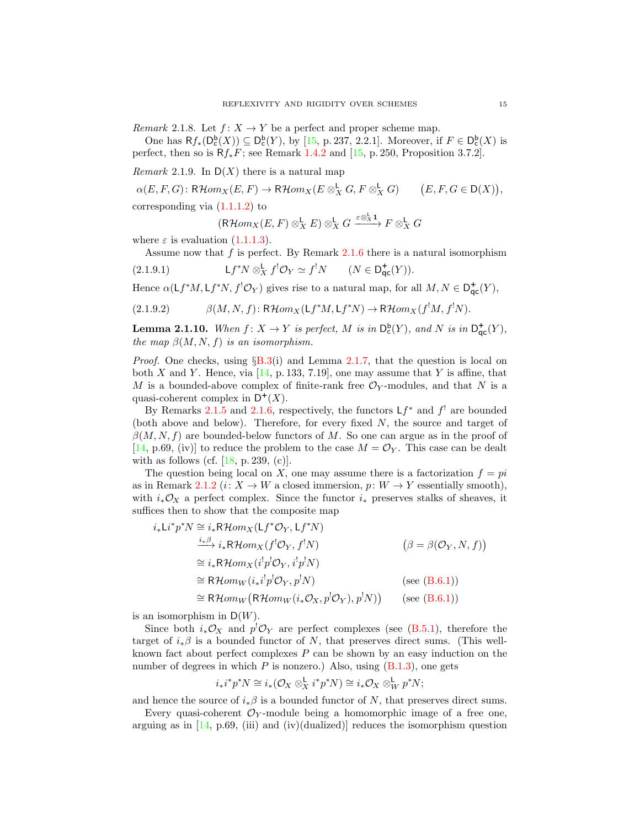<span id="page-14-1"></span>*Remark* 2.1.8. Let  $f: X \to Y$  be a perfect and proper scheme map.

One has  $Rf_*(D_c^b(X)) \subseteq D_c^b(Y)$ , by [\[15,](#page-40-9) p. 237, 2.2.1]. Moreover, if  $F \in D_c^b(X)$  is perfect, then so is  $Rf_*F$ ; see Remark [1.4.2](#page-9-5) and [\[15,](#page-40-9) p. 250, Proposition 3.7.2].

Remark 2.1.9. In  $D(X)$  there is a natural map

 $\alpha(E, F, G) \colon \mathsf{R}\mathcal{H}om_X(E, F) \to \mathsf{R}\mathcal{H}om_X(E \otimes_X^{\mathsf{L}} G, F \otimes_X^{\mathsf{L}} G) \qquad \big(E, F, G \in \mathsf{D}(X)\big),$ 

corresponding via  $(1.1.1.2)$  to

$$
(\mathsf{R}\mathcal{H}om_X(E,F)\otimes^{\mathsf{L}}_X E)\otimes^{\mathsf{L}}_X G\xrightarrow{\varepsilon\otimes^{\mathsf{L}}_X\mathbf{1}} F\otimes^{\mathsf{L}}_X G
$$

where  $\varepsilon$  is evaluation [\(1.1.1.3\)](#page-5-3).

Assume now that  $f$  is perfect. By Remark [2.1.6](#page-13-3) there is a natural isomorphism

 $(2.1.9.1)$ \* $N \otimes_X^{\mathsf{L}} f^! \mathcal{O}_Y \simeq f^! N \qquad (N \in \mathsf{D}_{\mathsf{qc}}^{\mathsf{+}}(Y)).$ 

Hence  $\alpha(\mathsf{L}f^*M, \mathsf{L}f^*N, f^!\mathcal{O}_Y)$  gives rise to a natural map, for all  $M, N \in \mathsf{D}^+_{\mathsf{qc}}(Y)$ ,

$$
(2.1.9.2) \qquad \beta(M, N, f): \mathsf{R}\mathcal{H}om_X(\mathsf{L}f^*M, \mathsf{L}f^*N) \to \mathsf{R}\mathcal{H}om_X(f^!M, f^!N).
$$

<span id="page-14-0"></span>**Lemma 2.1.10.** When  $f: X \to Y$  is perfect, M is in  $D_c^{\mathsf{b}}(Y)$ , and N is in  $D_{\mathsf{qc}}^{\mathsf{+}}(Y)$ , the map  $\beta(M, N, f)$  is an isomorphism.

*Proof.* One checks, using  $\S$ [B.3\(](#page-35-1)i) and Lemma [2.1.7,](#page-13-4) that the question is local on both X and Y. Hence, via  $[14, p. 133, 7.19]$ , one may assume that Y is affine, that M is a bounded-above complex of finite-rank free  $\mathcal{O}_Y$ -modules, and that N is a quasi-coherent complex in  $D^+(X)$ .

By Remarks [2.1.5](#page-13-5) and [2.1.6,](#page-13-3) respectively, the functors  $Lf^*$  and  $f^!$  are bounded (both above and below). Therefore, for every fixed N, the source and target of  $\beta(M, N, f)$  are bounded-below functors of M. So one can argue as in the proof of [\[14,](#page-40-0) p.69, (iv)] to reduce the problem to the case  $M = \mathcal{O}_Y$ . This case can be dealt with as follows (cf.  $[18, p. 239, (c)]$ .

The question being local on X, one may assume there is a factorization  $f = pi$ as in Remark [2.1.2](#page-12-2) ( $i: X \to W$  a closed immersion,  $p: W \to Y$  essentially smooth), with  $i_*\mathcal{O}_X$  a perfect complex. Since the functor  $i_*$  preserves stalks of sheaves, it suffices then to show that the composite map

$$
i_{*}Li^{*}p^{*}N \cong i_{*}R\mathcal{H}om_{X}(Lf^{*}\mathcal{O}_{Y}, Lf^{*}N)
$$
  
\n
$$
\xrightarrow{i_{*}\beta} i_{*}R\mathcal{H}om_{X}(f^{!}\mathcal{O}_{Y}, f^{!}N)
$$
  
\n
$$
\cong i_{*}R\mathcal{H}om_{X}(i^{!}p^{!}\mathcal{O}_{Y}, i^{!}p^{!}N)
$$
  
\n
$$
\cong R\mathcal{H}om_{W}(i_{*}i^{!}p^{!}\mathcal{O}_{Y}, p^{!}N)
$$
  
\n
$$
\cong R\mathcal{H}om_{W}(R\mathcal{H}om_{W}(i_{*}\mathcal{O}_{X}, p^{!}\mathcal{O}_{Y}), p^{!}N)
$$
  
\n(see (B.6.1))  
\n
$$
\cong R\mathcal{H}om_{W}(R\mathcal{H}om_{W}(i_{*}\mathcal{O}_{X}, p^{!}\mathcal{O}_{Y}), p^{!}N)
$$
  
\n(see (B.6.1))

is an isomorphism in  $D(W)$ .

Since both  $i_*\mathcal{O}_X$  and  $p^{\dagger}\mathcal{O}_Y$  are perfect complexes (see [\(B.5.1\)](#page-36-1), therefore the target of  $i_*\beta$  is a bounded functor of N, that preserves direct sums. (This wellknown fact about perfect complexes  $P$  can be shown by an easy induction on the number of degrees in which  $P$  is nonzero.) Also, using  $(B.1.3)$ , one gets

$$
i_*i^*p^*N \cong i_*(\mathcal{O}_X \otimes_X^{\mathsf{L}} i^*p^*N) \cong i_*\mathcal{O}_X \otimes_W^{\mathsf{L}} p^*N;
$$

and hence the source of  $i_*\beta$  is a bounded functor of N, that preserves direct sums.

Every quasi-coherent  $\mathcal{O}_Y$ -module being a homomorphic image of a free one, arguing as in  $[14, p.69, (iii)$  and  $(iv)(dualized)]$  reduces the isomorphism question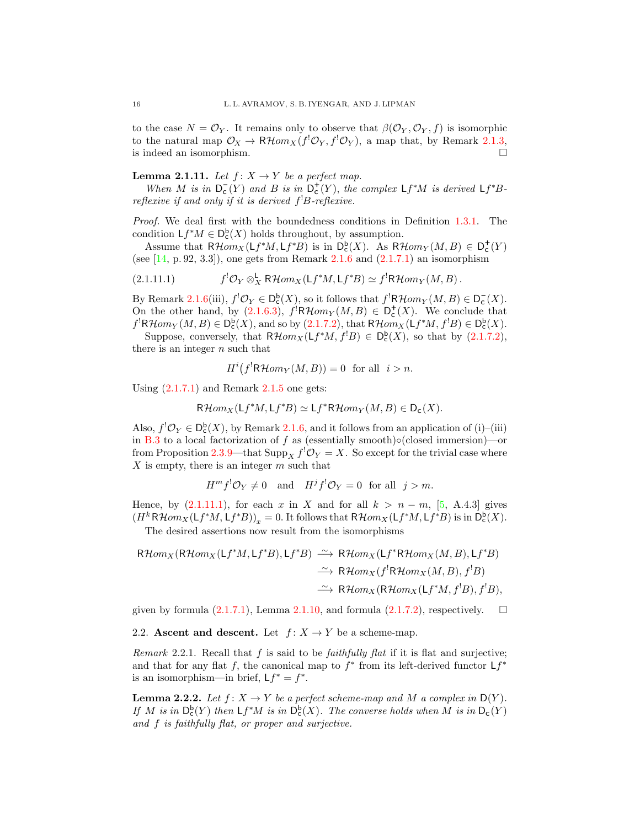to the case  $N = \mathcal{O}_Y$ . It remains only to observe that  $\beta(\mathcal{O}_Y, \mathcal{O}_Y, f)$  is isomorphic to the natural map  $\mathcal{O}_X \to \mathsf{R}\mathcal{H}om_X(f^!\mathcal{O}_Y,f^!\mathcal{O}_Y)$ , a map that, by Remark [2.1.3,](#page-12-3) is indeed an isomorphism.  $\hfill \square$ 

<span id="page-15-4"></span>**Lemma 2.1.11.** Let  $f: X \rightarrow Y$  be a perfect map.

When M is in  $D_c(Y)$  and B is in  $D_c^+(Y)$ , the complex  $Lf^*M$  is derived  $Lf^*B$ reflexive if and only if it is derived  $f^!B$ -reflexive.

Proof. We deal first with the boundedness conditions in Definition [1.3.1.](#page-7-1) The condition  $Lf^*M \in D_c^b(X)$  holds throughout, by assumption.

Assume that  $R\mathcal{H}om_X(Lf^*M,Lf^*B)$  is in  $D_c^b(X)$ . As  $R\mathcal{H}om_Y(M,B) \in D_c^+(Y)$ (see  $[14, p. 92, 3.3]$ ), one gets from Remark [2.1.6](#page-13-3) and  $(2.1.7.1)$  an isomorphism

<span id="page-15-1"></span>(2.1.11.1) 
$$
f^{!}\mathcal{O}_{Y}\otimes_{X}^{L}R\mathcal{H}om_{X}(Lf^{*}M, Lf^{*}B)\simeq f^{!}R\mathcal{H}om_{Y}(M, B).
$$

By Remark [2.1.6\(](#page-13-3)iii),  $f' \mathcal{O}_Y \in D_c^{\mathsf{b}}(X)$ , so it follows that  $f' \mathsf{R}\mathcal{H}om_Y(M, B) \in D_c^-(X)$ . On the other hand, by [\(2.1.6.3\)](#page-13-6),  $f^{\dagger}R\mathcal{H}om_Y(M, B) \in D_c^+(X)$ . We conclude that  $f^!R\mathcal{H}om_Y(M, B) \in D_c^b(X)$ , and so by  $(2.1.7.2)$ , that  $R\mathcal{H}om_X(\mathsf{L} f^*M, f^!B) \in D_c^b(X)$ .

Suppose, conversely, that  $R\mathcal{H}om_X(Lf^*M, f^!B) \in D_c^b(X)$ , so that by  $(2.1.7.2)$ , there is an integer  $n$  such that

$$
H^i(f^!\mathsf{R}\mathcal{H}om_Y(M,B)) = 0 \text{ for all } i > n.
$$

Using  $(2.1.7.1)$  and Remark  $2.1.5$  one gets:

$$
\mathsf{R}\mathcal{H}om_X(\mathsf{L}f^*M, \mathsf{L}f^*B) \simeq \mathsf{L}f^*\mathsf{R}\mathcal{H}om_Y(M, B) \in \mathsf{D}_\mathsf{C}(X).
$$

Also,  $f' \mathcal{O}_Y \in D_c^b(X)$ , by Remark [2.1.6,](#page-13-3) and it follows from an application of (i)–(iii) in [B.3](#page-35-1) to a local factorization of f as (essentially smooth)∘(closed immersion)—or from Proposition [2.3.9—](#page-19-1)that  $\text{Supp}_X f^! \mathcal{O}_Y = X$ . So except for the trivial case where  $X$  is empty, there is an integer  $m$  such that

$$
H^m f^! \mathcal{O}_Y \neq 0 \quad \text{and} \quad H^j f^! \mathcal{O}_Y = 0 \text{ for all } j > m.
$$

Hence, by  $(2.1.11.1)$ , for each x in X and for all  $k > n - m$ , [\[5,](#page-39-1) A.4.3] gives  $(H^k R \mathcal{H} om_X(\mathsf{L} f^*M, \mathsf{L} f^*B))_x = 0.$  It follows that  $R \mathcal{H} om_X(\mathsf{L} f^*M, \mathsf{L} f^*B)$  is in  $\mathsf{D}^{\mathsf{b}}_{\mathsf{c}}(X)$ .

The desired assertions now result from the isomorphisms

 $R\mathcal{H}om_X(R\mathcal{H}om_X(Lf^*M,Lf^*B),Lf^*B) \longrightarrow R\mathcal{H}om_X(Lf^*R\mathcal{H}om_X(M,B),Lf^*B)$  $\longrightarrow$  RHom<sub>X</sub>(f<sup>'</sup>RHom<sub>X</sub>(M, B), f<sup>'</sup>B)  $\longrightarrow$  RHom<sub>X</sub>(RHom<sub>X</sub>(Lf<sup>\*</sup>M,f<sup>1</sup>B),f<sup>1</sup>B),

given by formula  $(2.1.7.1)$ , Lemma [2.1.10,](#page-14-0) and formula  $(2.1.7.2)$ , respectively.  $\square$ 

<span id="page-15-0"></span>2.2. Ascent and descent. Let  $f: X \to Y$  be a scheme-map.

<span id="page-15-2"></span>*Remark* 2.2.1. Recall that f is said to be *faithfully flat* if it is flat and surjective; and that for any flat f, the canonical map to  $f^*$  from its left-derived functor  $Lf^*$ is an isomorphism—in brief,  $Lf^* = f^*$ .

<span id="page-15-3"></span>**Lemma 2.2.2.** Let  $f: X \to Y$  be a perfect scheme-map and M a complex in  $D(Y)$ . If M is in  $D_c^b(Y)$  then  $Lf^*M$  is in  $D_c^b(X)$ . The converse holds when M is in  $D_c(Y)$ and f is faithfully flat, or proper and surjective.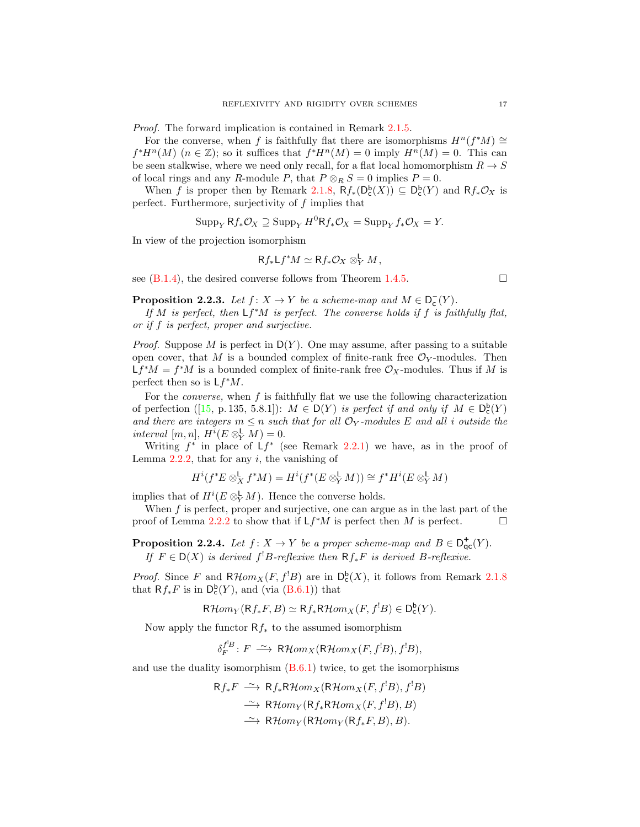Proof. The forward implication is contained in Remark [2.1.5.](#page-13-5)

For the converse, when f is faithfully flat there are isomorphisms  $H^n(f^*M) \cong$  $f^*H^n(M)$   $(n \in \mathbb{Z})$ ; so it suffices that  $f^*H^n(M) = 0$  imply  $H^n(M) = 0$ . This can be seen stalkwise, where we need only recall, for a flat local homomorphism  $R \to S$ of local rings and any R-module P, that  $P \otimes_R S = 0$  implies  $P = 0$ .

When f is proper then by Remark [2.1.8,](#page-14-1)  $Rf_*(D_c^b(X)) \subseteq D_c^b(Y)$  and  $Rf_*\mathcal{O}_X$  is perfect. Furthermore, surjectivity of  $f$  implies that

$$
\operatorname{Supp}_{Y} Rf_{*} \mathcal{O}_{X} \supseteq \operatorname{Supp}_{Y} H^{0}Rf_{*} \mathcal{O}_{X} = \operatorname{Supp}_{Y} f_{*} \mathcal{O}_{X} = Y.
$$

In view of the projection isomorphism

$$
Rf_*Lf^*M \simeq Rf_*\mathcal{O}_X \otimes^{\mathsf{L}}_Y M,
$$

see  $(B.1.4)$ , the desired converse follows from Theorem [1.4.5.](#page-9-6)

<span id="page-16-1"></span>**Proposition 2.2.3.** Let  $f: X \to Y$  be a scheme-map and  $M \in D_c^-(Y)$ .

If M is perfect, then  $Lf^*M$  is perfect. The converse holds if f is faithfully flat, or if f is perfect, proper and surjective.

*Proof.* Suppose M is perfect in  $D(Y)$ . One may assume, after passing to a suitable open cover, that M is a bounded complex of finite-rank free  $\mathcal{O}_Y$ -modules. Then  $Lf^*M = f^*M$  is a bounded complex of finite-rank free  $\mathcal{O}_X$ -modules. Thus if M is perfect then so is  $Lf^*M$ .

For the *converse*, when  $f$  is faithfully flat we use the following characterization ofperfection ([\[15,](#page-40-9) p. 135, 5.8.1]):  $M \in D(Y)$  is perfect if and only if  $M \in D_c^b(Y)$ and there are integers  $m \leq n$  such that for all  $\mathcal{O}_Y$ -modules E and all i outside the interval  $[m, n], H^i(E \otimes^{\mathsf{L}}_Y M) = 0.$ 

Writing  $f^*$  in place of  $Lf^*$  (see Remark [2.2.1\)](#page-15-2) we have, as in the proof of Lemma  $2.2.2$ , that for any i, the vanishing of

$$
H^i(f^*E \otimes_X^{\mathsf{L}} f^*M) = H^i(f^*(E \otimes_Y^{\mathsf{L}} M)) \cong f^*H^i(E \otimes_Y^{\mathsf{L}} M)
$$

implies that of  $H^i(E \otimes^{\mathsf{L}}_Y M)$ . Hence the converse holds.

When  $f$  is perfect, proper and surjective, one can argue as in the last part of the proof of Lemma [2.2.2](#page-15-3) to show that if  $Lf^*M$  is perfect then M is perfect.

<span id="page-16-0"></span>**Proposition 2.2.4.** Let  $f: X \to Y$  be a proper scheme-map and  $B \in D_{\text{qc}}^+(Y)$ . If  $F \in D(X)$  is derived  $f^!B$ -reflexive then  $Rf_*F$  is derived B-reflexive.

*Proof.* Since F and  $R\mathcal{H}om_X(F, f^!B)$  are in  $D_c^b(X)$ , it follows from Remark [2.1.8](#page-14-1) that  $Rf_*F$  is in  $D_c^b(Y)$ , and (via  $(B.6.1)$ ) that

$$
\mathsf{R}\mathcal{H}om_Y(\mathsf{R}f_*F,B)\simeq \mathsf{R}f_*\mathsf{R}\mathcal{H}om_X(F,f^!B)\in \mathsf{D}^{\mathsf{b}}_{\mathsf{c}}(Y).
$$

Now apply the functor  $Rf_*$  to the assumed isomorphism

$$
\delta_F^{f^!B}\colon F\; \stackrel{\sim}{\longrightarrow}\; \mathsf{R}\mathcal{H}om_X(\mathsf{R}\mathcal{H}om_X(F,f^!B),f^!B),
$$

and use the duality isomorphism [\(B.6.1\)](#page-36-0) twice, to get the isomorphisms

$$
Rf_*F \xrightarrow{\sim} Rf_*R\mathcal{H}om_X(R\mathcal{H}om_X(F, f^!B), f^!B)
$$
  
\n
$$
\xrightarrow{\sim} R\mathcal{H}om_Y(Rf_*R\mathcal{H}om_X(F, f^!B), B)
$$
  
\n
$$
\xrightarrow{\sim} R\mathcal{H}om_Y(R\mathcal{H}om_Y(Rf_*F, B), B).
$$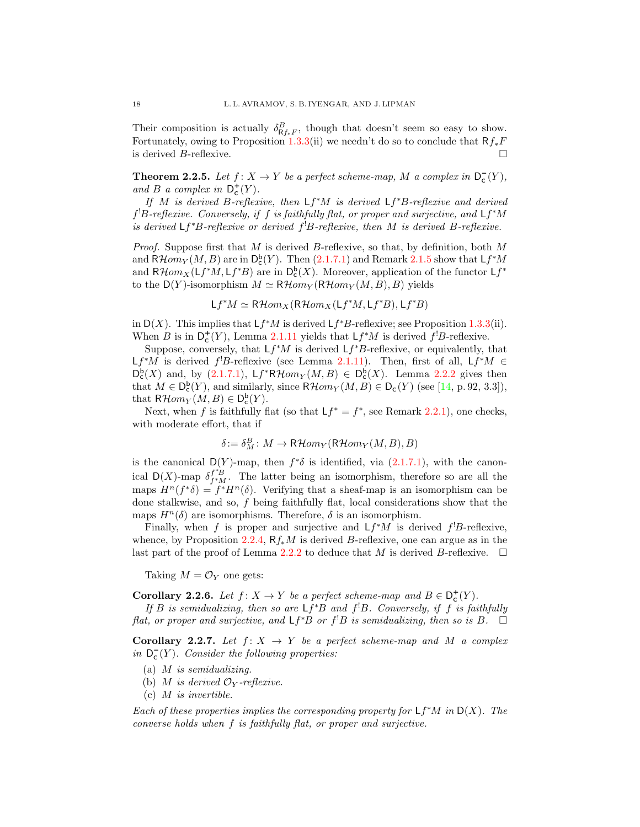Their composition is actually  $\delta_{\mathsf{R}f_*F}^B$ , though that doesn't seem so easy to show. Fortunately, owing to Proposition [1.3.3\(](#page-8-1)ii) we needn't do so to conclude that  $Rf_*F$ is derived  $B$ -reflexive.

<span id="page-17-0"></span>**Theorem 2.2.5.** Let  $f: X \to Y$  be a perfect scheme-map, M a complex in  $D_c^-(Y)$ , and B a complex in  $D_{\mathsf{c}}^{+}(Y)$ .

If M is derived B-reflexive, then  $Lf^*M$  is derived  $Lf^*B$ -reflexive and derived  $f<sup>1</sup>B$ -reflexive. Conversely, if f is faithfully flat, or proper and surjective, and  $Lf^*M$ is derived  $Lf^*B$ -reflexive or derived  $f^!B$ -reflexive, then M is derived  $B$ -reflexive.

*Proof.* Suppose first that M is derived B-reflexive, so that, by definition, both M and  $R\mathcal{H}om_Y(M, B)$  are in  $\mathsf{D}^{\mathsf{b}}_{\mathsf{c}}(Y)$ . Then  $(2.1.7.1)$  and Remark  $2.1.5$  show that  $\mathsf{L}f^*M$ and  $R\mathcal{H}om_X(\mathsf{L}f^*M, \mathsf{L}f^*B)$  are in  $\mathsf{D}^{\mathsf{b}}_{\mathsf{c}}(X)$ . Moreover, application of the functor  $\mathsf{L}f^*$ to the  $D(Y)$ -isomorphism  $M \simeq R\mathcal{H}om_Y(R\mathcal{H}om_Y(M, B), B)$  yields

$$
Lf^*M \simeq R\mathcal{H}om_X(R\mathcal{H}om_X(Lf^*M,Lf^*B),Lf^*B)
$$

in  $D(X)$ . This implies that  $Lf^*M$  is derived  $Lf^*B$ -reflexive; see Proposition [1.3.3\(](#page-8-1)ii). When B is in  $D_c^+(Y)$ , Lemma [2.1.11](#page-15-4) yields that  $Lf^*M$  is derived  $f^!B$ -reflexive.

Suppose, conversely, that  $Lf^*M$  is derived  $Lf^*B$ -reflexive, or equivalently, that Lf<sup>\*</sup>M is derived f<sup>1</sup>B-reflexive (see Lemma [2.1.11\)](#page-15-4). Then, first of all, Lf<sup>\*</sup>M ∈  $\mathsf{D}^{\mathsf{b}}_{\mathsf{c}}(X)$  and, by [\(2.1.7.1\)](#page-13-1),  $\mathsf{L}f^*R\mathcal{H}om_Y(M, B) \in \mathsf{D}^{\mathsf{b}}_{\mathsf{c}}(X)$ . Lemma [2.2.2](#page-15-3) gives then that  $M \in D_{\mathsf{c}}^{\mathsf{b}}(Y)$ , and similarly, since  $\mathsf{R}\mathcal{H}om_Y(M, B) \in D_{\mathsf{c}}(Y)$  (see [\[14,](#page-40-0) p. 92, 3.3]), that  $R\mathcal{H}om_Y(M, B) \in \mathsf{D}_{\mathsf{c}}^{\mathsf{b}}(Y)$ .

Next, when f is faithfully flat (so that  $Lf^* = f^*$ , see Remark [2.2.1\)](#page-15-2), one checks, with moderate effort, that if

$$
\delta := \delta_M^B \colon M \to \mathsf{R}\mathcal{H}om_Y(\mathsf{R}\mathcal{H}om_Y(M,B),B)
$$

is the canonical D(Y)-map, then  $f^*\delta$  is identified, via [\(2.1.7.1\)](#page-13-1), with the canonical D(X)-map  $\delta^{f^*B}_{f^*M}$ . The latter being an isomorphism, therefore so are all the maps  $H^n(f^*\delta) = f^*H^n(\delta)$ . Verifying that a sheaf-map is an isomorphism can be done stalkwise, and so, f being faithfully flat, local considerations show that the maps  $H^n(\delta)$  are isomorphisms. Therefore,  $\delta$  is an isomorphism.

Finally, when f is proper and surjective and  $Lf^*M$  is derived  $f^!B$ -reflexive, whence, by Proposition [2.2.4,](#page-16-0)  $Rf_*M$  is derived B-reflexive, one can argue as in the last part of the proof of Lemma [2.2.2](#page-15-3) to deduce that M is derived B-reflexive.  $\Box$ 

Taking  $M = \mathcal{O}_Y$  one gets:

<span id="page-17-1"></span>**Corollary 2.2.6.** Let  $f: X \to Y$  be a perfect scheme-map and  $B \in D_{c}^{+}(Y)$ .

If B is semidualizing, then so are  $Lf^*B$  and  $f^!B$ . Conversely, if f is faithfully flat, or proper and surjective, and  $Lf^*B$  or  $f^!B$  is semidualizing, then so is B.  $\Box$ 

<span id="page-17-2"></span>Corollary 2.2.7. Let  $f: X \to Y$  be a perfect scheme-map and M a complex in  $D_{c}(Y)$ . Consider the following properties:

- (a) M is semidualizing.
- (b) M is derived  $\mathcal{O}_Y$ -reflexive.
- $(c)$  *M* is invertible.

Each of these properties implies the corresponding property for  $Lf^*M$  in  $D(X)$ . The converse holds when f is faithfully flat, or proper and surjective.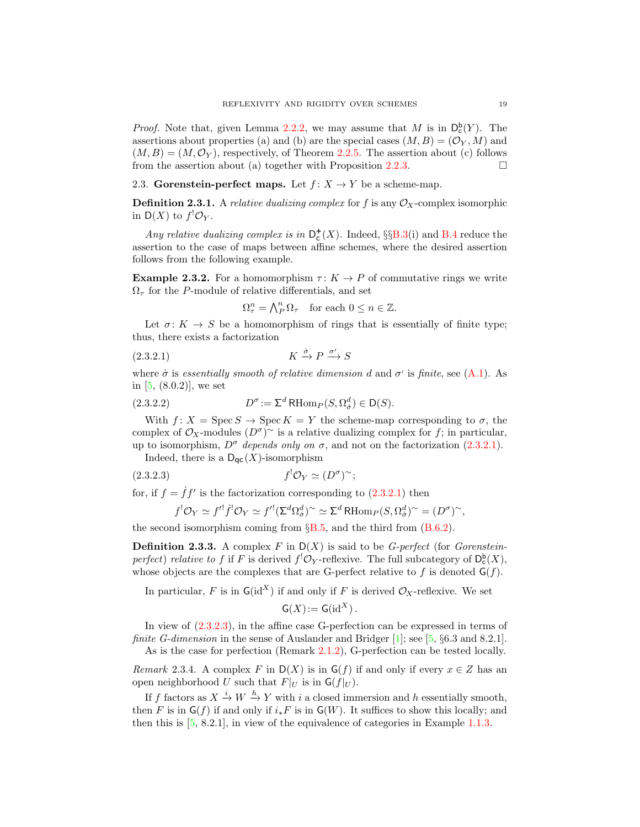*Proof.* Note that, given Lemma [2.2.2,](#page-15-3) we may assume that M is in  $D_c^b(Y)$ . The assertions about properties (a) and (b) are the special cases  $(M, B) = (\mathcal{O}_Y, M)$  and  $(M, B) = (M, \mathcal{O}_Y)$ , respectively, of Theorem [2.2.5.](#page-17-0) The assertion about (c) follows from the assertion about (a) together with Proposition [2.2.3.](#page-16-1)  $\Box$ 

<span id="page-18-0"></span>2.3. Gorenstein-perfect maps. Let  $f: X \to Y$  be a scheme-map.

**Definition 2.3.1.** A *relative dualizing complex* for f is any  $\mathcal{O}_X$ -complex isomorphic in  $\mathsf{D}(X)$  to  $f^{!}\mathcal{O}_Y$ .

Any relative dualizing complex is in  $D_c^+(X)$ . Indeed, §§[B.3\(](#page-35-1)i) and [B.4](#page-36-2) reduce the assertion to the case of maps between affine schemes, where the desired assertion follows from the following example.

<span id="page-18-1"></span>**Example 2.3.2.** For a homomorphism  $\tau: K \to P$  of commutative rings we write  $\Omega_{\tau}$  for the P-module of relative differentials, and set

<span id="page-18-2"></span>
$$
\Omega_{\tau}^{n} = \bigwedge_{P}^{n} \Omega_{\tau} \quad \text{for each } 0 \le n \in \mathbb{Z}.
$$

Let  $\sigma: K \to S$  be a homomorphism of rings that is essentially of finite type; thus, there exists a factorization

$$
(2.3.2.1) \t\t K \xrightarrow{\dot{\sigma}} P \xrightarrow{\sigma'} S
$$

where  $\dot{\sigma}$  is essentially smooth of relative dimension d and  $\sigma'$  is finite, see [\(A.1\)](#page-33-2). As in [\[5,](#page-39-1) (8.0.2)], we set

(2.3.2.2) 
$$
D^{\sigma} := \Sigma^{d} \operatorname{RHom}_{P}(S, \Omega_{\sigma}^{d}) \in D(S).
$$

With  $f: X = \operatorname{Spec} S \to \operatorname{Spec} K = Y$  the scheme-map corresponding to  $\sigma$ , the complex of  $\mathcal{O}_X$ -modules  $(D^{\sigma})^{\sim}$  is a relative dualizing complex for f; in particular, up to isomorphism,  $D^{\sigma}$  depends only on  $\sigma$ , and not on the factorization [\(2.3.2.1\)](#page-18-2).

Indeed, there is a  $\mathsf{D}_{\mathsf{qc}}(X)$ -isomorphism

$$
(2.3.2.3) \t\t f' \mathcal{O}_Y \simeq (D^{\sigma})^{\sim};
$$

for, if  $f = \dot{f}f'$  is the factorization corresponding to  $(2.3.2.1)$  then

<span id="page-18-3"></span>
$$
f^{!}\mathcal{O}_{Y} \simeq f'^{!}\dot{f}^{!}\mathcal{O}_{Y} \simeq f'^{!}(\Sigma^{d}\Omega_{\dot{\sigma}}^{d})^{\sim} \simeq \Sigma^{d} \operatorname{RHom}_{P}(S,\Omega_{\dot{\sigma}}^{d})^{\sim} = (D^{\sigma})^{\sim},
$$

the second isomorphism coming from  $\S 5, \S 5$ , and the third from  $(B.6.2)$ .

**Definition 2.3.3.** A complex F in  $D(X)$  is said to be G-perfect (for Gorensteinperfect) relative to f if F is derived  $f^! \mathcal{O}_Y$ -reflexive. The full subcategory of  $D_c^b(X)$ , whose objects are the complexes that are G-perfect relative to f is denoted  $G(f)$ .

In particular, F is in  $G(\mathrm{id}^X)$  if and only if F is derived  $\mathcal{O}_X$ -reflexive. We set

$$
\mathsf{G}(X) := \mathsf{G}(\mathrm{id}^X).
$$

In view of [\(2.3.2.3\)](#page-18-3), in the affine case G-perfection can be expressed in terms of *finite G-dimension* in the sense of Auslander and Bridger [\[1\]](#page-39-0); see [\[5,](#page-39-1)  $\S 6.3$  and 8.2.1]. As is the case for perfection (Remark [2.1.2\)](#page-12-2), G-perfection can be tested locally.

<span id="page-18-4"></span>Remark 2.3.4. A complex F in  $D(X)$  is in  $G(f)$  if and only if every  $x \in Z$  has an open neighborhood U such that  $F|_U$  is in  $G(f|_U)$ .

If f factors as  $X \xrightarrow{i} W \xrightarrow{h} Y$  with i a closed immersion and h essentially smooth, then F is in  $\mathsf{G}(f)$  if and only if  $i_*F$  is in  $\mathsf{G}(W)$ . It suffices to show this locally; and then this is [\[5,](#page-39-1) 8.2.1], in view of the equivalence of categories in Example [1.1.3.](#page-6-3)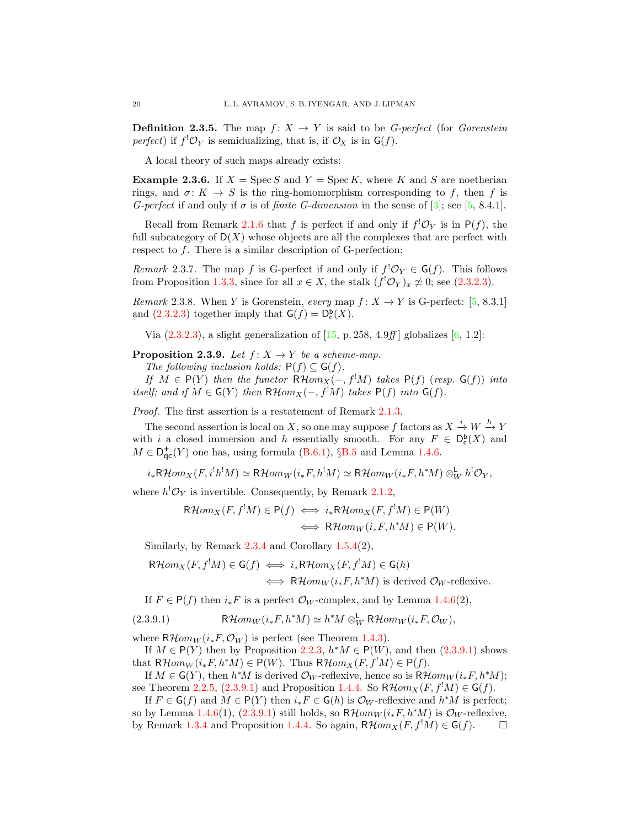**Definition 2.3.5.** The map  $f: X \to Y$  is said to be *G-perfect* (for *Gorenstein* perfect) if  $f^! \mathcal{O}_Y$  is semidualizing, that is, if  $\mathcal{O}_X$  is in  $\mathsf{G}(f)$ .

A local theory of such maps already exists:

<span id="page-19-0"></span>**Example 2.3.6.** If  $X = \text{Spec } S$  and  $Y = \text{Spec } K$ , where K and S are noetherian rings, and  $\sigma: K \to S$  is the ring-homomorphism corresponding to f, then f is G-perfect if and only if  $\sigma$  is of finite G-dimension in the sense of [\[3\]](#page-39-7); see [\[5,](#page-39-1) 8.4.1].

Recall from Remark [2.1.6](#page-13-3) that f is perfect if and only if  $f^! \mathcal{O}_Y$  is in  $P(f)$ , the full subcategory of  $D(X)$  whose objects are all the complexes that are perfect with respect to f. There is a similar description of G-perfection:

Remark 2.3.7. The map f is G-perfect if and only if  $f' \mathcal{O}_Y \in G(f)$ . This follows from Proposition [1.3.3,](#page-8-1) since for all  $x \in X$ , the stalk  $(f^{!}\mathcal{O}_{Y})_{x} \neq 0$ ; see [\(2.3.2.3\)](#page-18-3).

<span id="page-19-3"></span>Remark 2.3.8. When Y is Gorenstein, every map  $f: X \to Y$  is G-perfect: [\[5,](#page-39-1) 8.3.1] and  $(2.3.2.3)$  together imply that  $G(f) = D_c^b(X)$ .

Via  $(2.3.2.3)$ , a slight generalization of  $[15, p.258, 4.9ff]$  globalizes  $[6, 1.2]$ :

<span id="page-19-1"></span>**Proposition 2.3.9.** Let  $f: X \rightarrow Y$  be a scheme-map.

The following inclusion holds:  $P(f) \subseteq G(f)$ .

If  $M \in P(Y)$  then the functor  $R\mathcal{H}om_X(-, f^!M)$  takes  $P(f)$  (resp.  $G(f)$ ) into itself; and if  $M \in G(Y)$  then  $R\mathcal{H}om_X(-, f^!M)$  takes  $P(f)$  into  $G(f)$ .

Proof. The first assertion is a restatement of Remark [2.1.3.](#page-12-3)

The second assertion is local on X, so one may suppose f factors as  $X \stackrel{i}{\to} W \stackrel{h}{\to} Y$ with i a closed immersion and h essentially smooth. For any  $F \in D_c^{\mathsf{b}}(X)$  and  $M \in \mathsf{D}^+_{\mathsf{qc}}(Y)$  one has, using formula [\(B.6.1\)](#page-36-0), §[B.5](#page-36-3) and Lemma [1.4.6.](#page-9-3)

 $i_*\mathsf{R}\mathcal{H} om_X(F, i^!h^!M) \simeq \mathsf{R}\mathcal{H} om_W(i_*F, h^!M) \simeq \mathsf{R}\mathcal{H} om_W(i_*F, h^*M) \otimes^{\mathbf{L}}_W h^! \mathcal{O}_Y,$ 

where  $h^! \mathcal{O}_Y$  is invertible. Consequently, by Remark [2.1.2,](#page-12-2)

$$
\mathsf{R}\mathcal{H}om_X(F, f^!M) \in \mathsf{P}(f) \iff i_*\mathsf{R}\mathcal{H}om_X(F, f^!M) \in \mathsf{P}(W)
$$
  

$$
\iff \mathsf{R}\mathcal{H}om_W(i_*F, h^*M) \in \mathsf{P}(W).
$$

Similarly, by Remark [2.3.4](#page-18-4) and Corollary [1.5.4\(](#page-11-0)2),

$$
\mathsf{R}\mathcal{H}om_X(F, f^!M) \in \mathsf{G}(f) \iff i_*\mathsf{R}\mathcal{H}om_X(F, f^!M) \in \mathsf{G}(h)
$$
  

$$
\iff \mathsf{R}\mathcal{H}om_W(i_*F, h^*M) \text{ is derived } \mathcal{O}_W\text{-reflexive.}
$$

<span id="page-19-2"></span>If  $F \in P(f)$  then  $i_* F$  is a perfect  $\mathcal{O}_W$ -complex, and by Lemma [1.4.6\(](#page-9-3)2),

(2.3.9.1) 
$$
\mathsf{R}\mathcal{H}om_W(i_*F,h^*M)\simeq h^*M\otimes^{\mathsf{L}}_W\mathsf{R}\mathcal{H}om_W(i_*F,\mathcal{O}_W),
$$

where  $R\mathcal{H}om_W(i_*F, \mathcal{O}_W)$  is perfect (see Theorem [1.4.3\)](#page-9-2).

If  $M \in P(Y)$  then by Proposition [2.2.3,](#page-16-1)  $h^*M \in P(W)$ , and then  $(2.3.9.1)$  shows that  $R\mathcal{H}om_W(i_*F, h^*M) \in P(W)$ . Thus  $R\mathcal{H}om_X(F, f^!M) \in P(f)$ .

If  $M \in G(Y)$ , then  $h^*M$  is derived  $\mathcal{O}_W$ -reflexive, hence so is  $R\mathcal{H}om_W(i_*F, h^*M);$ see Theorem [2.2.5,](#page-17-0) [\(2.3.9.1\)](#page-19-2) and Proposition [1.4.4.](#page-9-4) So  $R\mathcal{H}om_X(F, f^!M) \in G(f)$ .

If  $F \in \mathsf{G}(f)$  and  $M \in \mathsf{P}(Y)$  then  $i_* F \in \mathsf{G}(h)$  is  $\mathcal{O}_W$ -reflexive and  $h^*M$  is perfect; so by Lemma [1.4.6\(](#page-9-3)1), [\(2.3.9.1\)](#page-19-2) still holds, so  $R\mathcal{H}om_W(i_*F, h^*M)$  is  $\mathcal{O}_W$ -reflexive, by Remark [1.3.4](#page-8-2) and Proposition [1.4.4.](#page-9-4) So again,  $R\mathcal{H}om_X(F, f^!M) \in G(f)$ .  $\Box$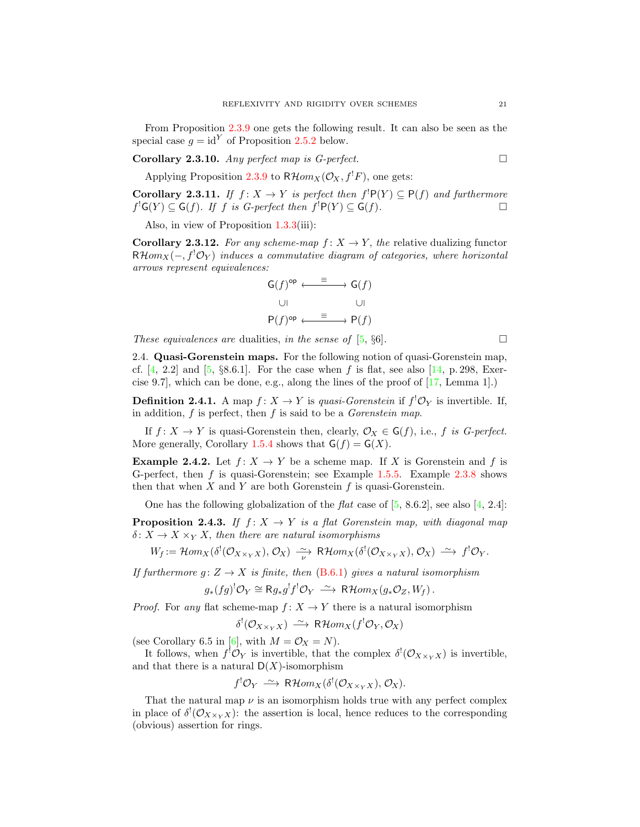From Proposition [2.3.9](#page-19-1) one gets the following result. It can also be seen as the special case  $g = id^Y$  of Proposition [2.5.2](#page-21-1) below.

**Corollary 2.3.10.** Any perfect map is G-perfect.  $\Box$ 

Applying Proposition [2.3.9](#page-19-1) to  $R\mathcal{H}om_X(\mathcal{O}_X, f^!F)$ , one gets:

**Corollary 2.3.11.** If  $f: X \to Y$  is perfect then  $f^!P(Y) \subseteq P(f)$  and furthermore  $f^{\mathsf{!}}\mathsf{G}(Y) \subseteq \mathsf{G}(f)$ . If f is G-perfect then  $f^{\mathsf{!}}\mathsf{P}(Y) \subseteq \mathsf{G}(f)$ .

Also, in view of Proposition [1.3.3\(](#page-8-1)iii):

<span id="page-20-1"></span>**Corollary 2.3.12.** For any scheme-map  $f: X \to Y$ , the relative dualizing functor  $R\mathcal{H}om_X(-, f^! \mathcal{O}_Y)$  induces a commutative diagram of categories, where horizontal arrows represent equivalences:

$$
\begin{array}{ccc}\nG(f)^{\text{op}} & \xrightarrow{\equiv} & G(f) \\
\downarrow & & \downarrow \\
P(f)^{\text{op}} & \xrightarrow{\equiv} & P(f)\n\end{array}
$$

These equivalences are dualities, in the sense of [\[5,](#page-39-1)  $\S6$ ].

<span id="page-20-0"></span>2.4. Quasi-Gorenstein maps. For the following notion of quasi-Gorenstein map, cf.  $[4, 2.2]$  and  $[5, \S8.6.1]$ . For the case when f is flat, see also  $[14, p. 298, \S{Exer-}$ cise 9.7], which can be done, e.g., along the lines of the proof of  $[17, \text{Lemma } 1]$ .

**Definition 2.4.1.** A map  $f: X \to Y$  is quasi-Gorenstein if  $f^! \mathcal{O}_Y$  is invertible. If, in addition,  $f$  is perfect, then  $f$  is said to be a *Gorenstein map*.

If  $f: X \to Y$  is quasi-Gorenstein then, clearly,  $\mathcal{O}_X \in G(f)$ , i.e., f is G-perfect. More generally, Corollary [1.5.4](#page-11-0) shows that  $G(f) = G(X)$ .

**Example 2.4.2.** Let  $f: X \to Y$  be a scheme map. If X is Gorenstein and f is G-perfect, then f is quasi-Gorenstein; see Example [1.5.5.](#page-12-4) Example [2.3.8](#page-19-3) shows then that when  $X$  and  $Y$  are both Gorenstein  $f$  is quasi-Gorenstein.

One has the following globalization of the  $flat$  case of  $[5, 8.6.2]$ , see also  $[4, 2.4]$ :

**Proposition 2.4.3.** If  $f: X \rightarrow Y$  is a flat Gorenstein map, with diagonal map  $\delta: X \to X \times_Y X$ , then there are natural isomorphisms

$$
W_f := \mathcal{H}om_X(\delta^!(\mathcal{O}_{X \times_Y X}), \mathcal{O}_X) \xrightarrow[\nu]{\sim} \mathsf{R}\mathcal{H}om_X(\delta^!(\mathcal{O}_{X \times_Y X}), \mathcal{O}_X) \xrightarrow{\sim} f^!\mathcal{O}_Y.
$$

If furthermore  $g: Z \to X$  is finite, then [\(B.6.1\)](#page-36-0) gives a natural isomorphism

 $g_*(fg)^! \mathcal{O}_Y \cong \mathsf{R} g_* g^! f^! \mathcal{O}_Y \longrightarrow \mathsf{R}\mathcal{H}om_X(g_*\mathcal{O}_Z, W_f)$ .

*Proof.* For any flat scheme-map  $f: X \to Y$  there is a natural isomorphism

 $\delta^{!}(\mathcal{O}_{X \times_Y X}) \stackrel{\sim}{\longrightarrow} \mathsf{R}\mathcal{H}om_X(f^{!}\mathcal{O}_Y, \mathcal{O}_X)$ 

(see Corollary 6.5 in [\[6\]](#page-39-5), with  $M = \mathcal{O}_X = N$ ).

It follows, when  $f^! \mathcal{O}_Y$  is invertible, that the complex  $\delta^! (\mathcal{O}_{X \times_Y X})$  is invertible, and that there is a natural  $D(X)$ -isomorphism

$$
f^! \mathcal{O}_Y \xrightarrow{\sim} \mathsf{R}\mathcal{H}om_X(\delta^! (\mathcal{O}_{X \times_Y X}), \mathcal{O}_X).
$$

That the natural map  $\nu$  is an isomorphism holds true with any perfect complex in place of  $\delta^{!}(\mathcal{O}_{X\times_Y X})$ : the assertion is local, hence reduces to the corresponding (obvious) assertion for rings.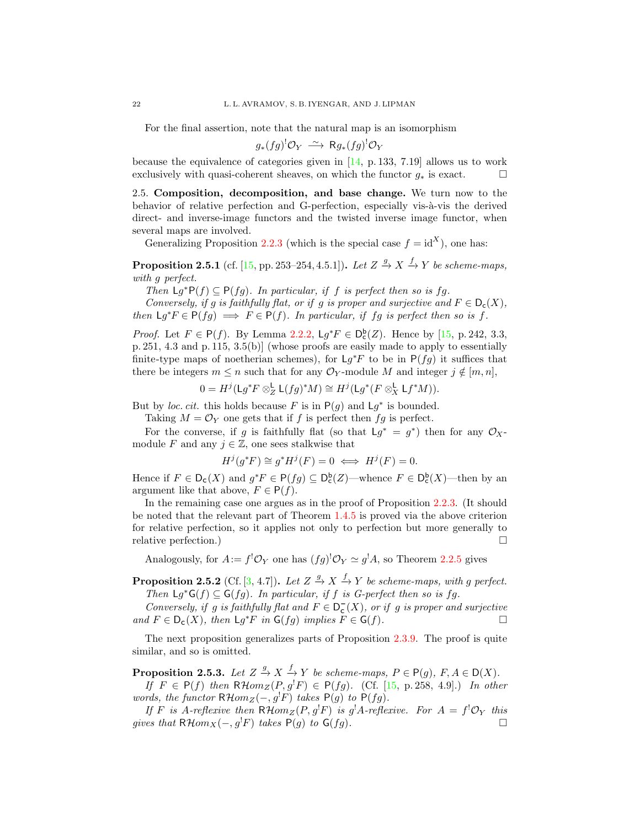For the final assertion, note that the natural map is an isomorphism

$$
g_*(fg)^! \mathcal{O}_Y \longrightarrow \mathsf{R}g_*(fg)^! \mathcal{O}_Y
$$

because the equivalence of categories given in [\[14,](#page-40-0) p. 133, 7.19] allows us to work exclusively with quasi-coherent sheaves, on which the functor  $q_*$  is exact.  $\Box$ 

<span id="page-21-0"></span>2.5. Composition, decomposition, and base change. We turn now to the behavior of relative perfection and G-perfection, especially vis- $\grave{a}$ -vis the derived direct- and inverse-image functors and the twisted inverse image functor, when several maps are involved.

Generalizing Proposition [2.2.3](#page-16-1) (which is the special case  $f = id^X$ ), one has:

<span id="page-21-3"></span>**Proposition 2.5.1** (cf. [\[15,](#page-40-9) pp. 253–254, 4.5.1]). Let  $Z \stackrel{g}{\rightarrow} X \stackrel{f}{\rightarrow} Y$  be scheme-maps, with g perfect.

Then  $\mathsf{L}g^*\mathsf{P}(f) \subseteq \mathsf{P}(fg)$ . In particular, if f is perfect then so is fg.

Conversely, if g is faithfully flat, or if g is proper and surjective and  $F \in D_c(X)$ , then  $\mathsf{L} g^* F \in \mathsf{P}(fg) \implies F \in \mathsf{P}(f)$ . In particular, if fg is perfect then so is f.

*Proof.* Let  $F \in P(f)$ . By Lemma [2.2.2,](#page-15-3)  $\mathsf{L}g^*F \in D_c^{\mathsf{b}}(Z)$ . Hence by [\[15,](#page-40-9) p. 242, 3.3, p. 251, 4.3 and p. 115, 3.5(b)] (whose proofs are easily made to apply to essentially finite-type maps of noetherian schemes), for  $\mathsf{L} g^* F$  to be in  $\mathsf{P}(fg)$  it suffices that there be integers  $m \leq n$  such that for any  $\mathcal{O}_Y$ -module M and integer  $j \notin [m, n]$ ,

$$
0 = H^{j}(\mathsf{L} g^* F \otimes_Z^{\mathsf{L}} \mathsf{L}(f g)^* M) \cong H^{j}(\mathsf{L} g^*(F \otimes_X^{\mathsf{L}} \mathsf{L} f^* M)).
$$

But by loc. cit. this holds because F is in  $P(g)$  and  $Lg^*$  is bounded.

Taking  $M = \mathcal{O}_Y$  one gets that if f is perfect then fg is perfect.

For the converse, if g is faithfully flat (so that  $Lg^* = g^*$ ) then for any  $\mathcal{O}_X$ module F and any  $j \in \mathbb{Z}$ , one sees stalkwise that

$$
H^j(g^*F) \cong g^*H^j(F) = 0 \iff H^j(F) = 0.
$$

Hence if  $F \in D_c(X)$  and  $g^*F \in P(fg) \subseteq D_c^b(Z)$ —whence  $F \in D_c^b(X)$ —then by an argument like that above,  $F \in P(f)$ .

In the remaining case one argues as in the proof of Proposition [2.2.3.](#page-16-1) (It should be noted that the relevant part of Theorem [1.4.5](#page-9-6) is proved via the above criterion for relative perfection, so it applies not only to perfection but more generally to relative perfection.)

Analogously, for  $A := f^{!}\mathcal{O}_Y$  one has  $(fg)^{!}\mathcal{O}_Y \simeq g^{!}A$ , so Theorem [2.2.5](#page-17-0) gives

<span id="page-21-1"></span>**Proposition 2.5.2** (Cf. [\[3,](#page-39-7) 4.7]). Let  $Z \stackrel{g}{\rightarrow} X \stackrel{f}{\rightarrow} Y$  be scheme-maps, with g perfect. Then  $\mathsf{L} g^* \mathsf{G}(f) \subseteq \mathsf{G}(fg)$ . In particular, if f is G-perfect then so is fg.

Conversely, if g is faithfully flat and  $F \in D_c^-(X)$ , or if g is proper and surjective and  $F \in D_c(X)$ , then  $Lg^*F$  in  $G(fg)$  implies  $F \in G(f)$ .

The next proposition generalizes parts of Proposition [2.3.9.](#page-19-1) The proof is quite similar, and so is omitted.

<span id="page-21-2"></span>**Proposition 2.5.3.** Let  $Z \stackrel{g}{\to} X \stackrel{f}{\to} Y$  be scheme-maps,  $P \in \mathsf{P}(g)$ ,  $F, A \in \mathsf{D}(X)$ .

If  $F \in P(f)$  then  $R\mathcal{H}om_Z(P, g^!F) \in P(fg)$ . (Cf. [\[15,](#page-40-9) p. 258, 4.9].) In other words, the functor  $R\mathcal{H}om_Z(-, g^!F)$  takes  $P(g)$  to  $P(fg)$ .

If F is A-reflexive then  $R\mathcal{H}om_Z(P, g^!F)$  is g'A-reflexive. For  $A = f^! \mathcal{O}_Y$  this gives that  $R\mathcal{H}om_X(-,g^!F)$  takes  $P(g)$  to  $G(fg)$ .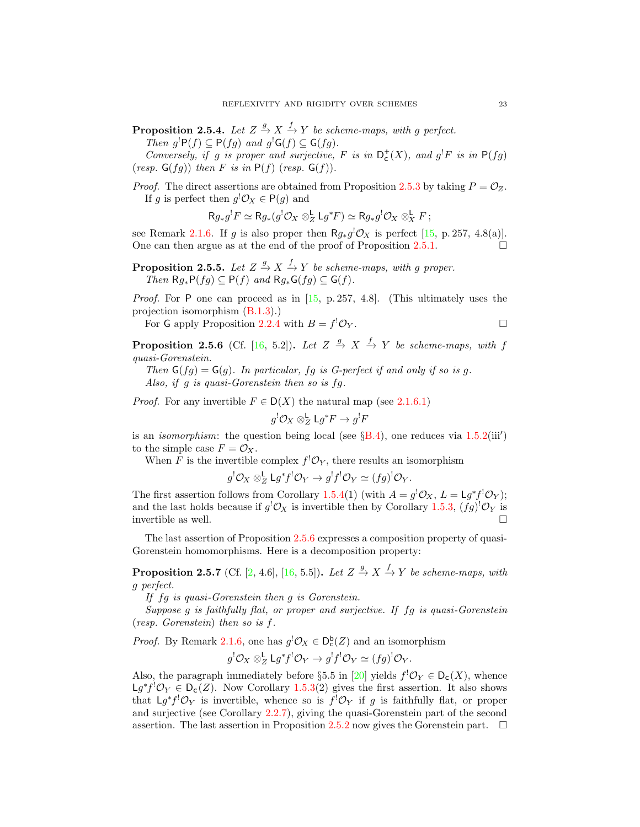<span id="page-22-1"></span>**Proposition 2.5.4.** Let  $Z \stackrel{g}{\rightarrow} X \stackrel{f}{\rightarrow} Y$  be scheme-maps, with g perfect. Then  $g^!P(f) \subseteq P(fg)$  and  $g^!G(f) \subseteq G(fg)$ .

Conversely, if g is proper and surjective, F is in  $D_c^+(X)$ , and  $g^!F$  is in  $P(fg)$ (resp.  $G(fg)$ ) then F is in  $P(f)$  (resp.  $G(f)$ ).

*Proof.* The direct assertions are obtained from Proposition [2.5.3](#page-21-2) by taking  $P = \mathcal{O}_Z$ . If g is perfect then  $g' \mathcal{O}_X \in \mathsf{P}(g)$  and

 $Rg_*g^!F \simeq Rg_*(g^! \mathcal{O}_X \otimes_Z^{\mathsf{L}} \mathsf{L} g^*F) \simeq Rg_*g^! \mathcal{O}_X \otimes_X^{\mathsf{L}} F$ ;

see Remark [2.1.6.](#page-13-3) If g is also proper then  $Rg_*g' \mathcal{O}_X$  is perfect [\[15,](#page-40-9) p. 257, 4.8(a)]. One can then argue as at the end of the proof of Proposition [2.5.1.](#page-21-3)  $\Box$ 

**Proposition 2.5.5.** Let  $Z \stackrel{g}{\rightarrow} X \stackrel{f}{\rightarrow} Y$  be scheme-maps, with g proper. Then  $Rg_*P(fg) \subseteq P(f)$  and  $Rg_*G(fg) \subseteq G(f)$ .

*Proof.* For P one can proceed as in  $[15, p. 257, 4.8]$ . (This ultimately uses the projection isomorphism [\(B.1.3\)](#page-34-2).)

For G apply Proposition 2.2.4 with 
$$
B = f^{!}\mathcal{O}_{Y}
$$
.

<span id="page-22-0"></span>**Proposition 2.5.6** (Cf. [\[16,](#page-40-7) 5.2]). Let  $Z \stackrel{g}{\to} X \stackrel{f}{\to} Y$  be scheme-maps, with f quasi-Gorenstein.

Then  $G(fg) = G(g)$ . In particular, fg is G-perfect if and only if so is g. Also, if g is quasi-Gorenstein then so is fg.

*Proof.* For any invertible  $F \in D(X)$  the natural map (see [2.1.6.1\)](#page-13-0)

$$
g^{!}\mathcal{O}_X \otimes^{\mathsf{L}}_Z \mathsf{L} g^* F \to g^{!} F
$$

is an *isomorphism*: the question being local (see  $\S B.4$ ), one reduces via [1.5.2\(](#page-10-2)iii') to the simple case  $F = \mathcal{O}_X$ .

When F is the invertible complex  $f^!O_Y$ , there results an isomorphism

$$
g^{!}\mathcal{O}_X \otimes^{\mathsf{L}}_Z \mathsf{L} g^* f^{!}\mathcal{O}_Y \to g^{!} f^{!}\mathcal{O}_Y \simeq (fg)^{!}\mathcal{O}_Y.
$$

The first assertion follows from Corollary [1.5.4\(](#page-11-0)1) (with  $A = g^{!}\mathcal{O}_X$ ,  $L = \mathsf{L}g^*f^{!}\mathcal{O}_Y$ ); and the last holds because if  $g^{\dagger} \mathcal{O}_X$  is invertible then by Corollary [1.5.3,](#page-11-1)  $(fg)^{\dagger} \mathcal{O}_Y$  is invertible as well.

The last assertion of Proposition [2.5.6](#page-22-0) expresses a composition property of quasi-Gorenstein homomorphisms. Here is a decomposition property:

**Proposition 2.5.7** (Cf. [\[2,](#page-39-6) 4.6], [\[16,](#page-40-7) 5.5]). Let  $Z \stackrel{g}{\rightarrow} X \stackrel{f}{\rightarrow} Y$  be scheme-maps, with g perfect.

If fg is quasi-Gorenstein then g is Gorenstein.

Suppose g is faithfully flat, or proper and surjective. If fg is quasi-Gorenstein (resp. Gorenstein) then so is f.

*Proof.* By Remark [2.1.6,](#page-13-3) one has  $g' \mathcal{O}_X \in D_c^b(Z)$  and an isomorphism

$$
g^{!}\mathcal{O}_X \otimes^{\mathsf{L}}_Z \mathsf{L} g^* f^{!}\mathcal{O}_Y \to g^{!} f^{!}\mathcal{O}_Y \simeq (fg)^{!}\mathcal{O}_Y.
$$

Also, the paragraph immediately before §5.5 in [\[20\]](#page-40-6) yields  $f' \mathcal{O}_Y \in D_c(X)$ , whence  $\mathsf{L} g^* f^! \mathcal{O}_Y \in \mathsf{D}_c(Z)$ . Now Corollary [1.5.3\(](#page-11-1)2) gives the first assertion. It also shows that  $\mathsf{L}g^*f^!\mathcal{O}_Y$  is invertible, whence so is  $f^!\mathcal{O}_Y$  if g is faithfully flat, or proper and surjective (see Corollary [2.2.7\)](#page-17-2), giving the quasi-Gorenstein part of the second assertion. The last assertion in Proposition [2.5.2](#page-21-1) now gives the Gorenstein part.  $\Box$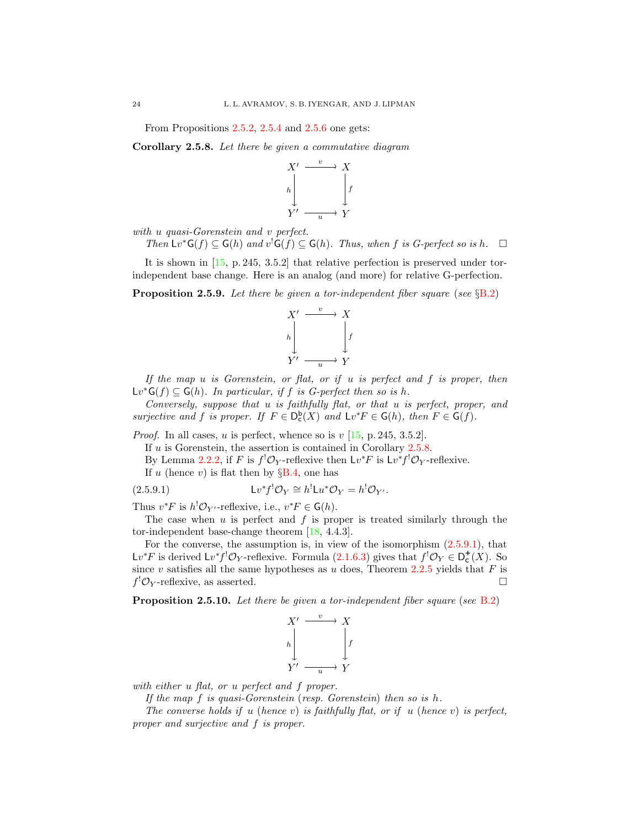From Propositions [2.5.2,](#page-21-1) [2.5.4](#page-22-1) and [2.5.6](#page-22-0) one gets:

<span id="page-23-0"></span>Corollary 2.5.8. Let there be given a commutative diagram



with u quasi-Gorenstein and v perfect.

Then  $Lv^*\mathsf{G}(f) \subseteq \mathsf{G}(h)$  and  $v^*\mathsf{G}(f) \subseteq \mathsf{G}(h)$ . Thus, when f is G-perfect so is h.  $\square$ 

It is shown in [\[15,](#page-40-9) p. 245, 3.5.2] that relative perfection is preserved under torindependent base change. Here is an analog (and more) for relative G-perfection.

<span id="page-23-2"></span>**Proposition 2.5.9.** Let there be given a tor-independent fiber square (see  $\S$ [B.2\)](#page-35-3)



If the map  $u$  is Gorenstein, or flat, or if  $u$  is perfect and  $f$  is proper, then  $Lv^*G(f) \subseteq G(h)$ . In particular, if f is G-perfect then so is h.

Conversely, suppose that u is faithfully flat, or that u is perfect, proper, and surjective and f is proper. If  $F \in D_c^b(X)$  and  $Lv^*F \in G(h)$ , then  $F \in G(f)$ .

*Proof.* In all cases, u is perfect, whence so is  $v$  [\[15,](#page-40-9) p. 245, 3.5.2].

If  $u$  is Gorenstein, the assertion is contained in Corollary [2.5.8.](#page-23-0)

By Lemma [2.2.2,](#page-15-3) if F is  $f^! \mathcal{O}_Y$ -reflexive then  $\mathsf{L} v^* F$  is  $\mathsf{L} v^* f^! \mathcal{O}_Y$ -reflexive.

<span id="page-23-1"></span>If u (hence v) is flat then by  $\S B.4$ , one has

(2.5.9.1) 
$$
Lv^*f^!\mathcal{O}_Y \cong h^!Lu^*\mathcal{O}_Y = h^!\mathcal{O}_{Y'}.
$$

Thus  $v^*F$  is  $h^!O_{Y'}$ -reflexive, i.e.,  $v^*F \in \mathsf{G}(h)$ .

The case when  $u$  is perfect and  $f$  is proper is treated similarly through the tor-independent base-change theorem [\[18,](#page-40-2) 4.4.3].

For the converse, the assumption is, in view of the isomorphism  $(2.5.9.1)$ , that Lv<sup>\*</sup>F is derived Lv<sup>\*</sup>f<sup>!</sup>O<sub>Y</sub>-reflexive. Formula [\(2.1.6.3\)](#page-13-6) gives that  $f'$ O<sub>Y</sub> ∈ D<sub>c</sub><sup>+</sup>(X). So since v satisfies all the same hypotheses as u does, Theorem  $2.2.5$  yields that F is  $f^! \mathcal{O}_Y$ -reflexive, as asserted.

**Proposition 2.5.10.** Let there be given a tor-independent fiber square (see [B.2\)](#page-35-3)



with either u flat, or u perfect and f proper.

If the map  $f$  is quasi-Gorenstein (resp. Gorenstein) then so is  $h$ .

The converse holds if u (hence v) is faithfully flat, or if u (hence v) is perfect, proper and surjective and f is proper.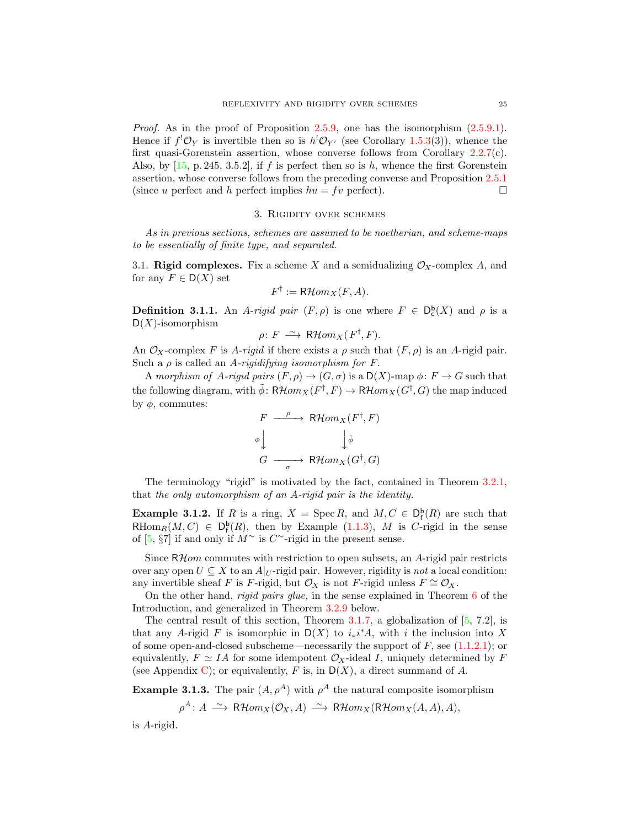Proof. As in the proof of Proposition [2.5.9,](#page-23-2) one has the isomorphism  $(2.5.9.1)$ . Hence if  $f^! \mathcal{O}_Y$  is invertible then so is  $h^! \mathcal{O}_{Y'}$  (see Corollary [1.5.3\(](#page-11-1)3)), whence the first quasi-Gorenstein assertion, whose converse follows from Corollary [2.2.7\(](#page-17-2)c). Also, by  $[15, p. 245, 3.5.2]$ , if f is perfect then so is h, whence the first Gorenstein assertion, whose converse follows from the preceding converse and Proposition [2.5.1](#page-21-3) (since u perfect and h perfect implies  $hu = fv$  perfect).

#### 3. Rigidity over schemes

<span id="page-24-0"></span>As in previous sections, schemes are assumed to be noetherian, and scheme-maps to be essentially of finite type, and separated.

<span id="page-24-1"></span>3.1. Rigid complexes. Fix a scheme X and a semidualizing  $\mathcal{O}_X$ -complex A, and for any  $F \in D(X)$  set

$$
F^{\dagger} := \mathsf{R}\mathcal{H}om_X(F, A).
$$

**Definition 3.1.1.** An A-rigid pair  $(F, \rho)$  is one where  $F \in D_c^b(X)$  and  $\rho$  is a  $D(X)$ -isomorphism

$$
\rho \colon F \longrightarrow \mathsf{R}\mathcal{H}om_X(F^\dagger, F).
$$

An  $\mathcal{O}_X$ -complex F is A-rigid if there exists a  $\rho$  such that  $(F, \rho)$  is an A-rigid pair. Such a  $\rho$  is called an A-rigidifying isomorphism for F.

A morphism of A-rigid pairs  $(F, \rho) \to (G, \sigma)$  is a  $D(X)$ -map  $\phi \colon F \to G$  such that the following diagram, with  $\tilde{\phi}$ :  $R\mathcal{H}om_X(F^{\dagger}, F) \to R\mathcal{H}om_X(G^{\dagger}, G)$  the map induced by  $φ$ , commutes:

$$
F \xrightarrow{\rho} \mathsf{R}\mathcal{H}om_X(F^{\dagger}, F)
$$
  
\n
$$
\phi \downarrow \qquad \qquad \downarrow \tilde{\phi}
$$
  
\n
$$
G \xrightarrow{\sigma} \mathsf{R}\mathcal{H}om_X(G^{\dagger}, G)
$$

The terminology "rigid" is motivated by the fact, contained in Theorem [3.2.1,](#page-27-1) that the only automorphism of an A-rigid pair is the identity.

**Example 3.1.2.** If R is a ring,  $X = \text{Spec } R$ , and  $M, C \in D_f^{\mathsf{b}}(R)$  are such that RHom<sub>R</sub> $(M, C) \in D_f^b(R)$ , then by Example [\(1.1.3\)](#page-6-3), M is C-rigid in the sense of [\[5,](#page-39-1) §7] if and only if  $M^{\sim}$  is  $C^{\sim}$ -rigid in the present sense.

Since  $R\mathcal{H}$ om commutes with restriction to open subsets, an A-rigid pair restricts over any open  $U \subseteq X$  to an  $A|_{U}$ -rigid pair. However, rigidity is not a local condition: any invertible sheaf F is F-rigid, but  $\mathcal{O}_X$  is not F-rigid unless  $F \cong \mathcal{O}_X$ .

On the other hand, rigid pairs glue, in the sense explained in Theorem [6](#page-3-1) of the Introduction, and generalized in Theorem [3.2.9](#page-29-1) below.

The central result of this section, Theorem [3.1.7,](#page-25-0) a globalization of  $[5, 7.2]$ , is that any A-rigid F is isomorphic in  $D(X)$  to  $i_*i^*A$ , with i the inclusion into X of some open-and-closed subscheme—necessarily the support of  $F$ , see  $(1.1.2.1)$ ; or equivalently,  $F \simeq IA$  for some idempotent  $\mathcal{O}_X$ -ideal I, uniquely determined by F (see Appendix [C\)](#page-37-0); or equivalently, F is, in  $D(X)$ , a direct summand of A.

<span id="page-24-2"></span>**Example 3.1.3.** The pair  $(A, \rho^A)$  with  $\rho^A$  the natural composite isomorphism

$$
\rho^A\colon A \xrightarrow{\sim} \mathsf{R}\mathcal{H}om_X(\mathcal{O}_X,A) \xrightarrow{\sim} \mathsf{R}\mathcal{H}om_X(\mathsf{R}\mathcal{H}om_X(A,A),A),
$$

is A-rigid.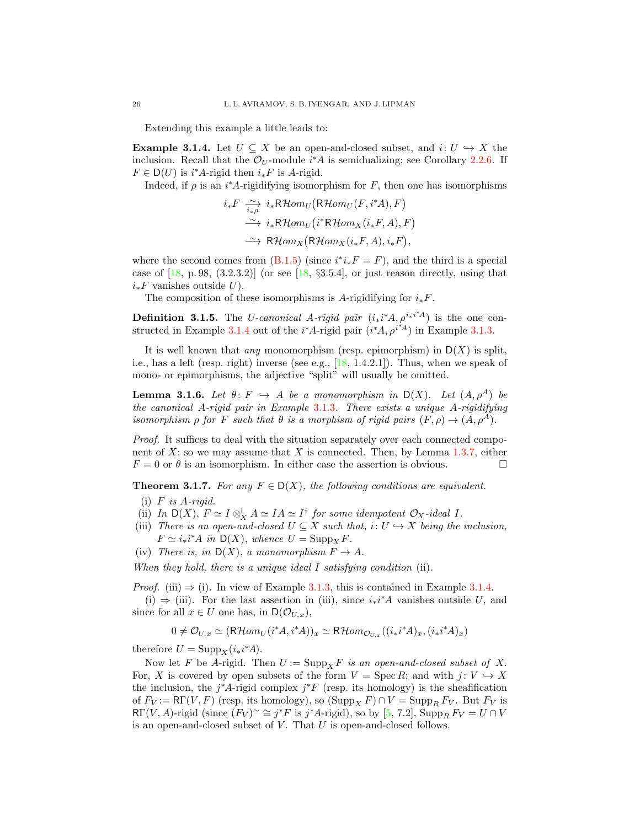Extending this example a little leads to:

<span id="page-25-1"></span>**Example 3.1.4.** Let  $U \subseteq X$  be an open-and-closed subset, and  $i: U \hookrightarrow X$  the inclusion. Recall that the  $\mathcal{O}_U$ -module  $i^*A$  is semidualizing; see Corollary [2.2.6.](#page-17-1) If  $F \in D(U)$  is *i*<sup>\*</sup>*A*-rigid then  $i_*F$  is *A*-rigid.

Indeed, if  $\rho$  is an i<sup>\*</sup>A-rigidifying isomorphism for F, then one has isomorphisms

$$
i_{*}F \xrightarrow[i_{*}\rho]{i_{*}} i_{*}R\mathcal{H}om_{U}(R\mathcal{H}om_{U}(F,i^{*}A), F)
$$
  
\n
$$
\xrightarrow{\sim} i_{*}R\mathcal{H}om_{U}(i^{*}R\mathcal{H}om_{X}(i_{*}F, A), F)
$$
  
\n
$$
\xrightarrow{\sim} R\mathcal{H}om_{X}(R\mathcal{H}om_{X}(i_{*}F, A), i_{*}F),
$$

where the second comes from  $(B.1.5)$  (since  $i^*i_*F = F$ ), and the third is a special case of  $[18, p. 98, (3.2.3.2)]$  (or see [\[18,](#page-40-2) §3.5.4], or just reason directly, using that  $i_*F$  vanishes outside U).

The composition of these isomorphisms is A-rigidifying for  $i_*F$ .

<span id="page-25-3"></span>**Definition 3.1.5.** The *U*-canonical A-rigid pair  $(i_*i^*A, \rho^{i_*i^*A})$  is the one con-structed in Example [3.1.4](#page-25-1) out of the  $i^*A$ -rigid pair  $(i^*A, \rho^{i^*A})$  in Example [3.1.3.](#page-24-2)

It is well known that *any* monomorphism (resp. epimorphism) in  $D(X)$  is split, i.e., has a left (resp. right) inverse (see e.g.,  $[18, 1.4.2.1]$ ). Thus, when we speak of mono- or epimorphisms, the adjective "split" will usually be omitted.

<span id="page-25-2"></span>**Lemma 3.1.6.** Let  $\theta: F \hookrightarrow A$  be a monomorphism in  $D(X)$ . Let  $(A, \rho^A)$  be the canonical A-rigid pair in Example [3.1.3](#page-24-2). There exists a unique A-rigidifying isomorphism  $\rho$  for F such that  $\theta$  is a morphism of rigid pairs  $(F, \rho) \to (A, \rho^A)$ .

Proof. It suffices to deal with the situation separately over each connected component of  $X$ ; so we may assume that  $X$  is connected. Then, by Lemma [1.3.7,](#page-8-3) either  $F = 0$  or  $\theta$  is an isomorphism. In either case the assertion is obvious.

<span id="page-25-0"></span>**Theorem 3.1.7.** For any  $F \in D(X)$ , the following conditions are equivalent.

- $(i)$  F is A-rigid.
- (ii) In  $D(X)$ ,  $F \simeq I \otimes_X^{\mathbb{L}} A \simeq IA \simeq I^{\dagger}$  for some idempotent  $\mathcal{O}_X$ -ideal I.
- (iii) There is an open-and-closed  $U \subseteq X$  such that,  $i: U \hookrightarrow X$  being the inclusion,  $F \simeq i_* i^* A$  in  $\mathsf{D}(X)$ , whence  $U = \mathrm{Supp}_X F$ .
- (iv) There is, in  $D(X)$ , a monomorphism  $F \to A$ .

When they hold, there is a unique ideal  $I$  satisfying condition (ii).

*Proof.* (iii)  $\Rightarrow$  (i). In view of Example [3.1.3,](#page-24-2) this is contained in Example [3.1.4.](#page-25-1)

(i)  $\Rightarrow$  (iii). For the last assertion in (iii), since  $i_*i^*A$  vanishes outside U, and since for all  $x \in U$  one has, in  $\mathsf{D}(\mathcal{O}_{U,x}),$ 

 $0 \neq \mathcal{O}_{U,x} \simeq (\mathsf{R}\mathcal{H}om_U(i^*A, i^*A))_x \simeq \mathsf{R}\mathcal{H}om_{\mathcal{O}_{U,x}}((i_*i^*A)_x, (i_*i^*A)_x)$ 

therefore  $U = \text{Supp}_X(i_*i^*A)$ .

Now let F be A-rigid. Then  $U := \text{Supp}_X F$  is an open-and-closed subset of X. For, X is covered by open subsets of the form  $V = \text{Spec } R$ ; and with  $j: V \hookrightarrow X$ the inclusion, the  $j^*A$ -rigid complex  $j^*F$  (resp. its homology) is the sheafification of  $F_V := \mathsf{R}\Gamma(V, F)$  (resp. its homology), so  $(\mathrm{Supp}_X F) \cap V = \mathrm{Supp}_R F_V$ . But  $F_V$  is RΓ(V, A)-rigid (since  $(F_V)^\sim \cong j^*F$  is  $j^*A$ -rigid), so by [\[5,](#page-39-1) 7.2],  $\text{Supp}_R F_V = U \cap V$ is an open-and-closed subset of  $V$ . That  $U$  is open-and-closed follows.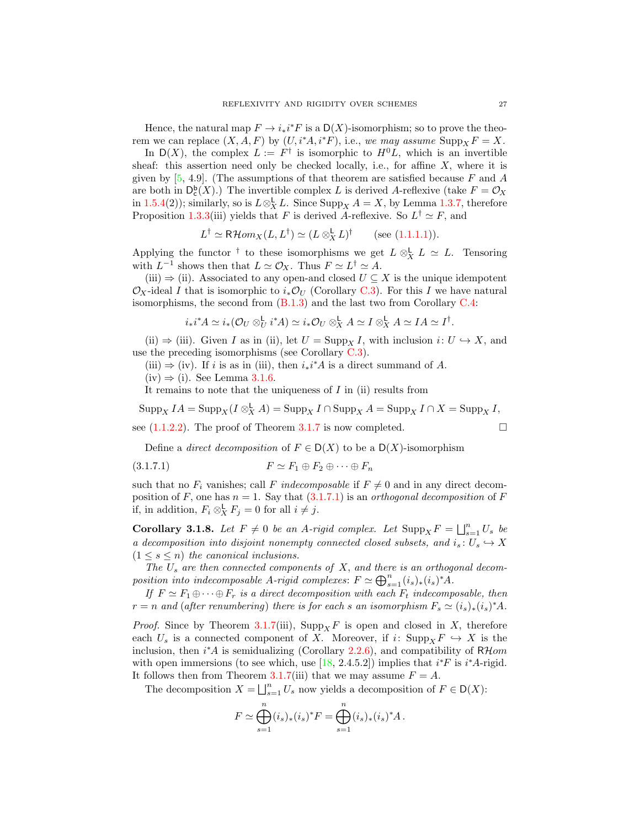Hence, the natural map  $F \to i_*i^*F$  is a  $D(X)$ -isomorphism; so to prove the theorem we can replace  $(X, A, F)$  by  $(U, i^*A, i^*F)$ , i.e., we may assume  $\text{Supp}_X F = X$ .

In  $D(X)$ , the complex  $L := F^{\dagger}$  is isomorphic to  $H^0L$ , which is an invertible sheaf: this assertion need only be checked locally, i.e., for affine  $X$ , where it is given by  $[5, 4.9]$ . (The assumptions of that theorem are satisfied because F and A are both in  $D_c^b(X)$ .) The invertible complex L is derived A-reflexive (take  $F = \mathcal{O}_X$ in [1.5.4\(](#page-11-0)2)); similarly, so is  $L \otimes^{\mathsf{L}}_X L$ . Since  $\text{Supp}_X A = X$ , by Lemma [1.3.7,](#page-8-3) therefore Proposition [1.3.3\(](#page-8-1)iii) yields that F is derived A-reflexive. So  $L^{\dagger} \simeq F$ , and

$$
L^{\dagger} \simeq \mathsf{R}\mathcal{H}om_X(L, L^{\dagger}) \simeq (L \otimes_X^{\mathsf{L}} L)^{\dagger} \qquad \text{(see (1.1.1.1))}.
$$

Applying the functor <sup>†</sup> to these isomorphisms we get  $L \otimes_X^{\mathsf{L}} L \simeq L$ . Tensoring with  $L^{-1}$  shows then that  $L \simeq \mathcal{O}_X$ . Thus  $F \simeq L^{\dagger} \simeq A$ .

(iii)  $\Rightarrow$  (ii). Associated to any open-and closed  $U \subseteq X$  is the unique idempotent  $\mathcal{O}_X$ -ideal I that is isomorphic to  $i_*\mathcal{O}_U$  (Corollary [C.3\)](#page-37-1). For this I we have natural isomorphisms, the second from  $(B.1.3)$  and the last two from Corollary [C.4:](#page-38-0)

$$
i_*i^*A \simeq i_*(\mathcal{O}_U \otimes^{\mathsf{L}}_U i^*A) \simeq i_*\mathcal{O}_U \otimes^{\mathsf{L}}_X A \simeq I \otimes^{\mathsf{L}}_X A \simeq IA \simeq I^{\dagger}.
$$

(ii)  $\Rightarrow$  (iii). Given I as in (ii), let  $U = \text{Supp}_X I$ , with inclusion  $i: U \hookrightarrow X$ , and use the preceding isomorphisms (see Corollary [C.3\)](#page-37-1).

(iii)  $\Rightarrow$  (iv). If *i* is as in (iii), then  $i_*i^*A$  is a direct summand of A.

 $(iv) \Rightarrow (i)$ . See Lemma [3.1.6.](#page-25-2)

It remains to note that the uniqueness of  $I$  in (ii) results from

 $\operatorname{Supp}_{X} I A = \operatorname{Supp}_{X} (I \otimes_{X}^{\mathsf{L}} A) = \operatorname{Supp}_{X} I \cap \operatorname{Supp}_{X} A = \operatorname{Supp}_{X} I \cap X = \operatorname{Supp}_{X} I,$ see  $(1.1.2.2)$ . The proof of Theorem [3.1.7](#page-25-0) is now completed.

<span id="page-26-0"></span>Define a *direct decomposition* of  $F \in D(X)$  to be a  $D(X)$ -isomorphism

$$
(3.1.7.1) \t\t\t\t F \simeq F_1 \oplus F_2 \oplus \cdots \oplus F_n
$$

such that no  $F_i$  vanishes; call F indecomposable if  $F \neq 0$  and in any direct decomposition of F, one has  $n = 1$ . Say that  $(3.1.7.1)$  is an *orthogonal decomposition* of F if, in addition,  $F_i \otimes_X^{\mathsf{L}} F_j = 0$  for all  $i \neq j$ .

<span id="page-26-1"></span>**Corollary 3.1.8.** Let  $F \neq 0$  be an A-rigid complex. Let  $\text{Supp}_X F = \bigsqcup_{s=1}^n U_s$  be a decomposition into disjoint nonempty connected closed subsets, and  $i_s: U_s \hookrightarrow X$  $(1 \leq s \leq n)$  the canonical inclusions.

The  $U_s$  are then connected components of  $X$ , and there is an orthogonal decomposition into indecomposable A-rigid complexes:  $F \simeq \bigoplus_{s=1}^n (i_s)_*(i_s)^* A$ .

If  $F \simeq F_1 \oplus \cdots \oplus F_r$  is a direct decomposition with each  $F_t$  indecomposable, then  $r = n$  and (after renumbering) there is for each s an isomorphism  $F_s \simeq (i_s)_*(i_s)^* A$ .

*Proof.* Since by Theorem [3.1.7\(](#page-25-0)iii),  $\text{Supp}_X F$  is open and closed in X, therefore each  $U_s$  is a connected component of X. Moreover, if i:  $\text{Supp}_X F \hookrightarrow X$  is the inclusion, then  $i^*A$  is semidualizing (Corollary [2.2.6\)](#page-17-1), and compatibility of  $R\mathcal{H}$ *om* with open immersions (to see which, use  $[18, 2.4.5.2]$ ) implies that  $i^*F$  is  $i^*A$ -rigid. It follows then from Theorem [3.1.7\(](#page-25-0)iii) that we may assume  $F = A$ .

The decomposition  $X = \bigsqcup_{s=1}^{n} U_s$  now yields a decomposition of  $F \in D(X)$ :

$$
F \simeq \bigoplus_{s=1}^{n} (i_s)_*(i_s)^* F = \bigoplus_{s=1}^{n} (i_s)_*(i_s)^* A.
$$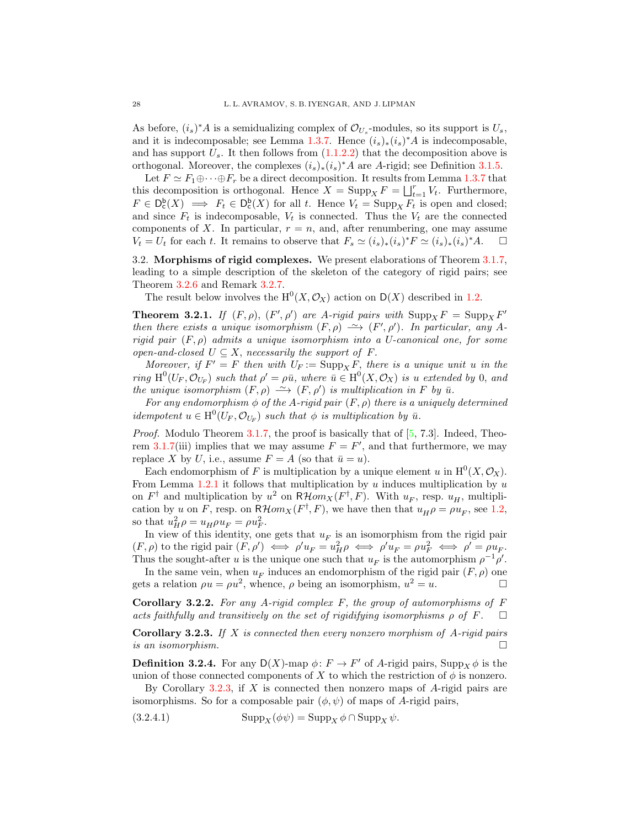As before,  $(i_s)^*A$  is a semidualizing complex of  $\mathcal{O}_{U_s}$ -modules, so its support is  $U_s$ , and it is indecomposable; see Lemma [1.3.7.](#page-8-3) Hence  $(i_s)_*(i_s)^*A$  is indecomposable, and has support  $U_s$ . It then follows from  $(1.1.2.2)$  that the decomposition above is orthogonal. Moreover, the complexes  $(i_s)_*(i_s)^*A$  are A-rigid; see Definition [3.1.5.](#page-25-3)

Let  $F \simeq F_1 \oplus \cdots \oplus F_r$  be a direct decomposition. It results from Lemma [1.3.7](#page-8-3) that this decomposition is orthogonal. Hence  $X = \text{Supp}_X F = \bigsqcup_{t=1}^r V_t$ . Furthermore,  $F \in D_{c}^{b}(X) \implies F_{t} \in D_{c}^{b}(X)$  for all t. Hence  $V_{t} = \text{Supp}_{X} F_{t}$  is open and closed; and since  $F_t$  is indecomposable,  $V_t$  is connected. Thus the  $V_t$  are the connected components of X. In particular,  $r = n$ , and, after renumbering, one may assume  $V_t = U_t$  for each t. It remains to observe that  $F_s \simeq (i_s)_*(i_s)^* F \simeq (i_s)_*(i_s)^* A$ .  $\Box$ 

<span id="page-27-0"></span>3.2. Morphisms of rigid complexes. We present elaborations of Theorem [3.1.7,](#page-25-0) leading to a simple description of the skeleton of the category of rigid pairs; see Theorem [3.2.6](#page-28-0) and Remark [3.2.7.](#page-28-1)

The result below involves the  $H^0(X, \mathcal{O}_X)$  action on  $D(X)$  described in [1.2.](#page-6-0)

<span id="page-27-1"></span>**Theorem 3.2.1.** If  $(F, \rho)$ ,  $(F', \rho')$  are A-rigid pairs with  $\text{Supp}_X F = \text{Supp}_X F'$ then there exists a unique isomorphism  $(F, \rho) \longrightarrow (F', \rho')$ . In particular, any Arigid pair  $(F, \rho)$  admits a unique isomorphism into a U-canonical one, for some open-and-closed  $U \subseteq X$ , necessarily the support of F.

Moreover, if  $F' = F$  then with  $U_F := \text{Supp}_X F$ , there is a unique unit u in the ring  $H^0(U_F, \mathcal{O}_{U_F})$  such that  $\rho' = \rho \bar{u}$ , where  $\bar{u} \in H^0(X, \mathcal{O}_X)$  is u extended by 0, and the unique isomorphism  $(F, \rho) \longrightarrow (F, \rho')$  is multiplication in F by  $\bar{u}$ .

For any endomorphism  $\phi$  of the A-rigid pair  $(F, \rho)$  there is a uniquely determined *idempotent*  $u \in H^0(U_F, \mathcal{O}_{U_F})$  such that  $\phi$  is multiplication by  $\bar{u}$ .

*Proof.* Modulo Theorem [3.1.7,](#page-25-0) the proof is basically that of  $[5, 7.3]$ . Indeed, Theo-rem [3.1.7\(](#page-25-0)iii) implies that we may assume  $F = F'$ , and that furthermore, we may replace X by U, i.e., assume  $F = A$  (so that  $\bar{u} = u$ ).

Each endomorphism of F is multiplication by a unique element u in  $H^0(X, \mathcal{O}_X)$ . From Lemma [1.2.1](#page-7-2) it follows that multiplication by u induces multiplication by  $u$ on  $F^{\dagger}$  and multiplication by  $u^2$  on  $\mathsf{R}\mathcal{H}om_X(F^{\dagger}, F)$ . With  $u_F$ , resp.  $u_H$ , multiplication by u on F, resp. on  $R\mathcal{H}om_X(F^{\dagger}, F)$ , we have then that  $u_H \rho = \rho u_F$ , see [1.2,](#page-6-0) so that  $u_H^2 \rho = u_H \rho u_F = \rho u_F^2$ .

In view of this identity, one gets that  $u_F$  is an isomorphism from the rigid pair  $(F, \rho)$  to the rigid pair  $(F, \rho') \iff \rho' u_F = u_H^2 \rho \iff \rho' u_F = \rho u_F^2 \iff \rho' = \rho u_F$ . Thus the sought-after u is the unique one such that  $u_F$  is the automorphism  $\rho^{-1}\rho'$ .

In the same vein, when  $u_F$  induces an endomorphism of the rigid pair  $(F, \rho)$  one gets a relation  $\rho u = \rho u^2$ , whence,  $\rho$  being an isomorphism,  $u^2 = u$ .

Corollary 3.2.2. For any A-rigid complex  $F$ , the group of automorphisms of  $F$ acts faithfully and transitively on the set of rigidifying isomorphisms  $\rho$  of  $F$ .

<span id="page-27-2"></span>**Corollary 3.2.3.** If X is connected then every nonzero morphism of A-rigid pairs is an isomorphism.  $\Box$ 

**Definition 3.2.4.** For any  $D(X)$ -map  $\phi: F \to F'$  of A-rigid pairs,  $\text{Supp}_X \phi$  is the union of those connected components of X to which the restriction of  $\phi$  is nonzero.

By Corollary  $3.2.3$ , if X is connected then nonzero maps of A-rigid pairs are isomorphisms. So for a composable pair  $(\phi, \psi)$  of maps of A-rigid pairs,

<span id="page-27-3"></span>(3.2.4.1) 
$$
\operatorname{Supp}_X(\phi \psi) = \operatorname{Supp}_X \phi \cap \operatorname{Supp}_X \psi.
$$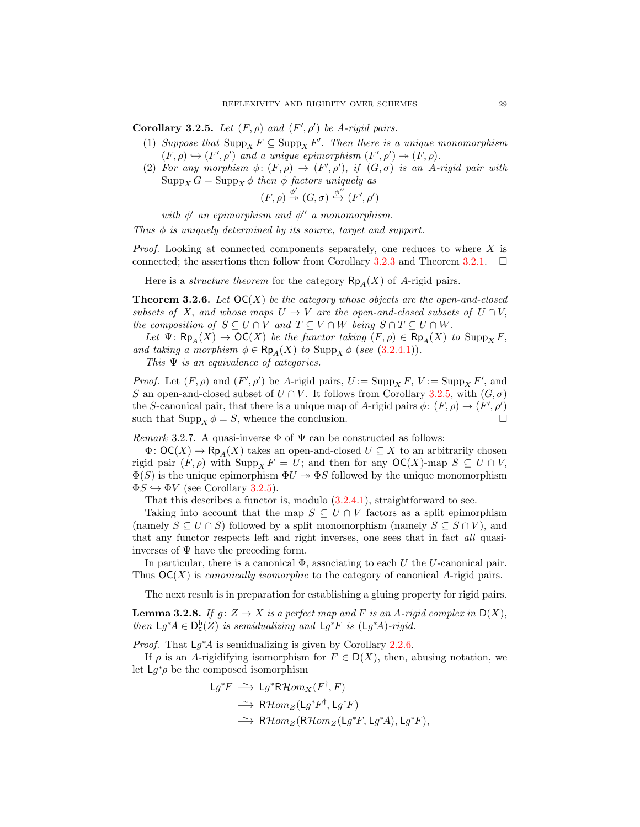<span id="page-28-2"></span>Corollary 3.2.5. Let  $(F, \rho)$  and  $(F', \rho')$  be A-rigid pairs.

- (1) Suppose that  $\text{Supp}_X F \subseteq \text{Supp}_X F'$ . Then there is a unique monomorphism  $(F, \rho) \hookrightarrow (F', \rho')$  and a unique epimorphism  $(F', \rho') \twoheadrightarrow (F, \rho)$ .
- (2) For any morphism  $\phi: (F,\rho) \to (F',\rho')$ , if  $(G,\sigma)$  is an A-rigid pair with  $\operatorname{Supp}_X G = \operatorname{Supp}_X \phi$  then  $\phi$  factors uniquely as

$$
(F,\rho) \stackrel{\phi'}{\twoheadrightarrow} (G,\sigma) \stackrel{\phi''}{\hookrightarrow} (F',\rho')
$$

with  $\phi'$  an epimorphism and  $\phi''$  a monomorphism.

Thus  $\phi$  is uniquely determined by its source, target and support.

*Proof.* Looking at connected components separately, one reduces to where  $X$  is connected; the assertions then follow from Corollary [3.2.3](#page-27-2) and Theorem [3.2.1.](#page-27-1)  $\Box$ 

Here is a *structure theorem* for the category  $\mathsf{Rp}_A(X)$  of A-rigid pairs.

<span id="page-28-0"></span>**Theorem 3.2.6.** Let  $OC(X)$  be the category whose objects are the open-and-closed subsets of X, and whose maps  $U \to V$  are the open-and-closed subsets of  $U \cap V$ , the composition of  $S \subseteq U \cap V$  and  $T \subseteq V \cap W$  being  $S \cap T \subseteq U \cap W$ .

Let  $\Psi: \mathsf{Rp}_A(X) \to \mathsf{OC}(X)$  be the functor taking  $(F, \rho) \in \mathsf{Rp}_A(X)$  to  $\mathrm{Supp}_X F$ , and taking a morphism  $\phi \in \mathsf{Rp}_A(X)$  to  $\text{Supp}_X \phi$  (see [\(3.2.4.1\)](#page-27-3)).

This  $\Psi$  is an equivalence of categories.

*Proof.* Let  $(F, \rho)$  and  $(F', \rho')$  be A-rigid pairs,  $U := \operatorname{Supp}_X F$ ,  $V := \operatorname{Supp}_X F'$ , and S an open-and-closed subset of  $U \cap V$ . It follows from Corollary [3.2.5,](#page-28-2) with  $(G, \sigma)$ the S-canonical pair, that there is a unique map of A-rigid pairs  $\phi: (F, \rho) \to (F', \rho')$ such that  $\text{Supp}_X \phi = S$ , whence the conclusion.

<span id="page-28-1"></span>Remark 3.2.7. A quasi-inverse  $\Phi$  of  $\Psi$  can be constructed as follows:

 $\Phi: \mathsf{OC}(X) \to \mathsf{Rp}_A(X)$  takes an open-and-closed  $U \subseteq X$  to an arbitrarily chosen rigid pair  $(F, \rho)$  with  $\text{Supp}_X F = U$ ; and then for any  $\mathsf{OC}(X)$ -map  $S \subseteq U \cap V$ ,  $\Phi(S)$  is the unique epimorphism  $\Phi U \to \Phi S$  followed by the unique monomorphism  $\Phi S \hookrightarrow \Phi V$  (see Corollary [3.2.5\)](#page-28-2).

That this describes a functor is, modulo [\(3.2.4.1\)](#page-27-3), straightforward to see.

Taking into account that the map  $S \subseteq U \cap V$  factors as a split epimorphism (namely  $S \subseteq U \cap S$ ) followed by a split monomorphism (namely  $S \subseteq S \cap V$ ), and that any functor respects left and right inverses, one sees that in fact all quasiinverses of  $\Psi$  have the preceding form.

In particular, there is a canonical  $\Phi$ , associating to each U the U-canonical pair. Thus  $OC(X)$  is *canonically isomorphic* to the category of canonical A-rigid pairs.

The next result is in preparation for establishing a gluing property for rigid pairs.

<span id="page-28-3"></span>**Lemma 3.2.8.** If  $g: Z \to X$  is a perfect map and F is an A-rigid complex in  $D(X)$ , then  $\mathsf{L} g^* A \in \mathsf{D}^{\mathsf{b}}_{\mathsf{c}}(Z)$  is semidualizing and  $\mathsf{L} g^* F$  is  $(\mathsf{L} g^* A)$ -rigid.

*Proof.* That  $Lg^*A$  is semidualizing is given by Corollary [2.2.6.](#page-17-1)

If  $\rho$  is an A-rigidifying isomorphism for  $F \in D(X)$ , then, abusing notation, we let  $Lg^*\rho$  be the composed isomorphism

$$
Lg^*F \xrightarrow{\sim} Lg^*R\mathcal{H}om_X(F^{\dagger}, F)
$$
  
\n
$$
\xrightarrow{\sim} R\mathcal{H}om_Z(Lg^*F^{\dagger}, Lg^*F)
$$
  
\n
$$
\xrightarrow{\sim} R\mathcal{H}om_Z(R\mathcal{H}om_Z(Lg^*F, Lg^*A), Lg^*F),
$$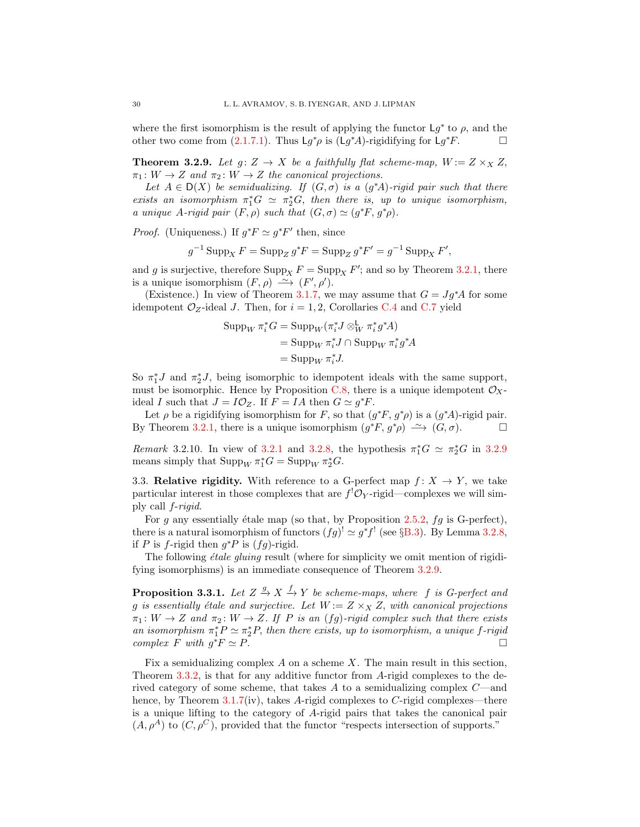where the first isomorphism is the result of applying the functor  $Lg^*$  to  $\rho$ , and the other two come from [\(2.1.7.1\)](#page-13-1). Thus  $\mathsf{L} g^* \rho$  is ( $\mathsf{L} g^* A$ )-rigidifying for  $\mathsf{L} g^* F$ .

<span id="page-29-1"></span>**Theorem 3.2.9.** Let  $g: Z \to X$  be a faithfully flat scheme-map,  $W := Z \times_X Z$ ,  $\pi_1: W \to Z$  and  $\pi_2: W \to Z$  the canonical projections.

Let  $A \in D(X)$  be semidualizing. If  $(G, \sigma)$  is a  $(g^*A)$ -rigid pair such that there exists an isomorphism  $\pi_1^*G \simeq \pi_2^*G$ , then there is, up to unique isomorphism, a unique A-rigid pair  $(F, \rho)$  such that  $(G, \sigma) \simeq (g^*F, g^*\rho)$ .

*Proof.* (Uniqueness.) If  $g^*F \simeq g^*F'$  then, since

$$
g^{-1}
$$
Supp<sub>X</sub>  $F =$ Supp<sub>Z</sub>  $g^*F =$ Supp<sub>Z</sub>  $g^*F' = g^{-1}$ Supp<sub>X</sub>  $F'$ ,

and g is surjective, therefore  $\text{Supp}_X F = \text{Supp}_X F'$ ; and so by Theorem [3.2.1,](#page-27-1) there is a unique isomorphism  $(F, \rho) \longrightarrow (F', \rho').$ 

(Existence.) In view of Theorem [3.1.7,](#page-25-0) we may assume that  $G = Jg^*A$  for some idempotent  $\mathcal{O}_Z$ -ideal J. Then, for  $i = 1, 2$ , Corollaries [C.4](#page-38-0) and [C.7](#page-38-1) yield

$$
\begin{aligned} \text{Supp}_W \, \pi_i^* G &= \text{Supp}_W(\pi_i^* J \otimes_W^{\mathbf{L}} \pi_i^* g^* A) \\ &= \text{Supp}_W \, \pi_i^* J \cap \text{Supp}_W \, \pi_i^* g^* A \\ &= \text{Supp}_W \, \pi_i^* J. \end{aligned}
$$

So  $\pi_1^* J$  and  $\pi_2^* J$ , being isomorphic to idempotent ideals with the same support, must be isomorphic. Hence by Proposition [C.8,](#page-39-4) there is a unique idempotent  $\mathcal{O}_X$ ideal I such that  $J = I \mathcal{O}_Z$ . If  $F = IA$  then  $G \simeq g^*F$ .

Let  $\rho$  be a rigidifying isomorphism for F, so that  $(g^*F, g^*\rho)$  is a  $(g^*A)$ -rigid pair. By Theorem [3.2.1,](#page-27-1) there is a unique isomorphism  $(g^*F, g^*\rho) \longrightarrow (G, \sigma)$ .

Remark [3.2.1](#page-27-1)0. In view of 3.2.1 and [3.2.8,](#page-28-3) the hypothesis  $\pi_1^*G \simeq \pi_2^*G$  in [3.2.9](#page-29-1) means simply that  $\text{Supp}_W \pi_1^* G = \text{Supp}_W \pi_2^* G$ .

<span id="page-29-0"></span>3.3. Relative rigidity. With reference to a G-perfect map  $f: X \to Y$ , we take particular interest in those complexes that are  $f^{!}\mathcal{O}_Y$ -rigid—complexes we will simply call f-rigid.

For g any essentially étale map (so that, by Proposition [2.5.2,](#page-21-1)  $fg$  is G-perfect), there is a natural isomorphism of functors  $(fg)^! \simeq g^*f^!$  (see §[B.3\)](#page-35-1). By Lemma [3.2.8,](#page-28-3) if P is f-rigid then  $g^*P$  is  $(fg)$ -rigid.

The following  $\acute{e}tale$  gluing result (where for simplicity we omit mention of rigidifying isomorphisms) is an immediate consequence of Theorem [3.2.9.](#page-29-1)

<span id="page-29-2"></span>**Proposition 3.3.1.** Let  $Z \stackrel{g}{\rightarrow} X \stackrel{f}{\rightarrow} Y$  be scheme-maps, where f is G-perfect and g is essentially étale and surjective. Let  $W := Z \times_X Z$ , with canonical projections  $\pi_1: W \to Z$  and  $\pi_2: W \to Z$ . If P is an  $(fg)$ -rigid complex such that there exists an isomorphism  $\pi_1^* P \simeq \pi_2^* P$ , then there exists, up to isomorphism, a unique f-rigid complex F with  $g^*F \simeq P$ .

Fix a semidualizing complex  $A$  on a scheme  $X$ . The main result in this section, Theorem [3.3.2,](#page-30-0) is that for any additive functor from A-rigid complexes to the derived category of some scheme, that takes A to a semidualizing complex C—and hence, by Theorem  $3.1.7(iv)$  $3.1.7(iv)$ , takes A-rigid complexes to C-rigid complexes—there is a unique lifting to the category of A-rigid pairs that takes the canonical pair  $(A, \rho^A)$  to  $(C, \rho^C)$ , provided that the functor "respects intersection of supports."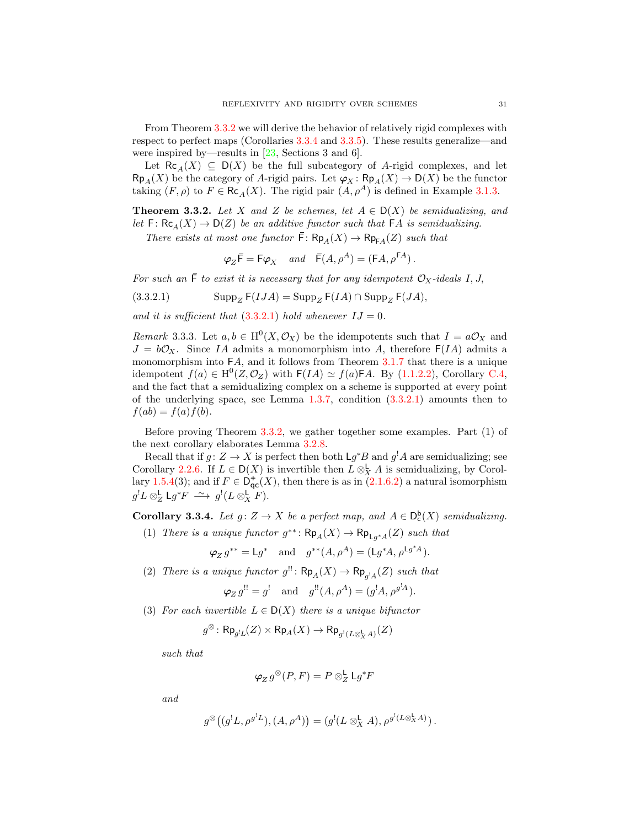From Theorem [3.3.2](#page-30-0) we will derive the behavior of relatively rigid complexes with respect to perfect maps (Corollaries [3.3.4](#page-30-1) and [3.3.5\)](#page-31-0). These results generalize—and were inspired by—results in  $[23, \text{Sections } 3 \text{ and } 6].$ 

Let  $\mathsf{Rc}_A(X) \subseteq \mathsf{D}(X)$  be the full subcategory of A-rigid complexes, and let  $\mathsf{Rp}_A(X)$  be the category of A-rigid pairs. Let  $\varphi_X : \mathsf{Rp}_A(X) \to \mathsf{D}(X)$  be the functor taking  $(F, \rho)$  to  $F \in \mathsf{Rc}_A(X)$ . The rigid pair  $(A, \rho^A)$  is defined in Example [3.1.3.](#page-24-2)

<span id="page-30-0"></span>**Theorem 3.3.2.** Let X and Z be schemes, let  $A \in D(X)$  be semidualizing, and let  $F: \text{Rc}_A(X) \to D(Z)$  be an additive functor such that  $FA$  is semidualizing.

There exists at most one functor  $\bar{F}$ :  $\mathsf{Rp}_A(X) \to \mathsf{Rp}_{\mathsf{FA}}(Z)$  such that

<span id="page-30-2"></span>
$$
\varphi_Z \bar{\mathsf{F}} = \mathsf{F} \varphi_X \quad and \quad \bar{\mathsf{F}}(A, \rho^A) = (\mathsf{F} A, \rho^{\mathsf{F} A}).
$$

For such an  $\bar{\mathsf{F}}$  to exist it is necessary that for any idempotent  $\mathcal{O}_X$ -ideals I, J,

(3.3.2.1) 
$$
\text{Supp}_Z F( IJA) = \text{Supp}_Z F(IA) \cap \text{Supp}_Z F(JA),
$$

and it is sufficient that  $(3.3.2.1)$  hold whenever  $IJ = 0$ .

<span id="page-30-3"></span>Remark 3.3.3. Let  $a, b \in H^0(X, \mathcal{O}_X)$  be the idempotents such that  $I = a\mathcal{O}_X$  and  $J = b\mathcal{O}_X$ . Since IA admits a monomorphism into A, therefore  $F(IA)$  admits a monomorphism into FA, and it follows from Theorem [3.1.7](#page-25-0) that there is a unique idempotent  $f(a) \in H^0(Z, \mathcal{O}_Z)$  with  $F(IA) \simeq f(a)FA$ . By [\(1.1.2.2\)](#page-5-6), Corollary [C.4,](#page-38-0) and the fact that a semidualizing complex on a scheme is supported at every point of the underlying space, see Lemma  $1.3.7$ , condition  $(3.3.2.1)$  amounts then to  $f(ab) = f(a)f(b).$ 

Before proving Theorem [3.3.2,](#page-30-0) we gather together some examples. Part (1) of the next corollary elaborates Lemma [3.2.8.](#page-28-3)

Recall that if  $g: Z \to X$  is perfect then both  $\mathsf{L} g^* B$  and  $g^! A$  are semidualizing; see Corollary [2.2.6.](#page-17-1) If  $L \in D(X)$  is invertible then  $L \otimes_X^{\mathsf{L}} A$  is semidualizing, by Corol-lary [1.5.4\(](#page-11-0)3); and if  $F \in \mathsf{D}^+_{\mathsf{qc}}(X)$ , then there is as in  $(2.1.6.2)$  a natural isomorphism  $g^!L \otimes^{\mathsf{L}}_{Z} \mathsf{L} g^* F \stackrel{\sim}{\longrightarrow} g^! (L \otimes^{\mathsf{L}}_X F).$ 

<span id="page-30-1"></span>**Corollary 3.3.4.** Let  $g: Z \to X$  be a perfect map, and  $A \in D_c^b(X)$  semidualizing.

(1) There is a unique functor  $g^{**}$ :  $\mathsf{Rp}_A(X) \to \mathsf{Rp}_{\mathsf{L}g^*A}(Z)$  such that

$$
\varphi_Z g^{**} = \mathsf{L} g^*
$$
 and  $g^{**}(A, \rho^A) = (\mathsf{L} g^* A, \rho^{\mathsf{L} g^* A}).$ 

(2) There is a unique functor  $g'' : \mathsf{Rp}_A(X) \to \mathsf{Rp}_{g'A}(Z)$  such that

$$
\varphi_Z g^{!!} = g^!
$$
 and  $g^{!!}(A, \rho^A) = (g^!A, \rho^{g^!A}).$ 

(3) For each invertible  $L \in D(X)$  there is a unique bifunctor

$$
g^\otimes\colon \mathsf{Rp}_{g^!L}(Z)\times \mathsf{Rp}_A(X)\to \mathsf{Rp}_{g^!(L\otimes^{\mathbf{L}}_{X}A)}(Z)
$$

such that

$$
\varphi_Z g^{\otimes}(P,F) = P \otimes_Z^{\mathsf{L}} \mathsf{L} g^* F
$$

and

$$
g^{\otimes}\big((g^!L,\rho^{g^!L}),(A,\rho^A)\big)=(g^!(L\otimes^{\mathbf{L}}_X A),\rho^{g^!(L\otimes^{\mathbf{L}}_X A)}).
$$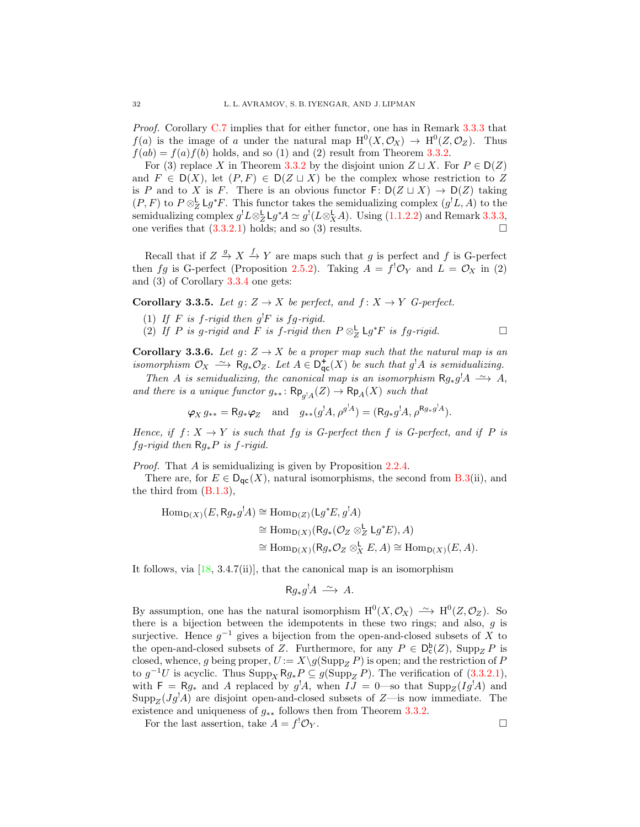Proof. Corollary [C.7](#page-38-1) implies that for either functor, one has in Remark [3.3.3](#page-30-3) that  $f(a)$  is the image of a under the natural map  $H^0(X, \mathcal{O}_X) \to H^0(Z, \mathcal{O}_Z)$ . Thus  $f(ab) = f(a)f(b)$  holds, and so (1) and (2) result from Theorem [3.3.2.](#page-30-0)

For (3) replace X in Theorem [3.3.2](#page-30-0) by the disjoint union  $Z \sqcup X$ . For  $P \in D(Z)$ and  $F \in D(X)$ , let  $(P, F) \in D(Z \sqcup X)$  be the complex whose restriction to Z is P and to X is F. There is an obvious functor  $F: D(Z \sqcup X) \to D(Z)$  taking  $(P, F)$  to  $P \otimes_Z^{\mathsf{L}} \mathsf{L} g^* F$ . This functor takes the semidualizing complex  $(g^! L, A)$  to the semidualizing complex  $g^!L\otimes^{\mathsf{L}}_{\mathsf{Z}}\mathsf{L} g^*A \simeq g^!(L\otimes^{\mathsf{L}}_{\mathsf{X}} A)$ . Using [\(1.1.2.2\)](#page-5-6) and Remark [3.3.3,](#page-30-3) one verifies that  $(3.3.2.1)$  holds; and so  $(3)$  results.

Recall that if  $Z \stackrel{g}{\to} X \stackrel{f}{\to} Y$  are maps such that g is perfect and f is G-perfect then fg is G-perfect (Proposition [2.5.2\)](#page-21-1). Taking  $A = f^{\dagger} \mathcal{O}_Y$  and  $L = \mathcal{O}_X$  in (2) and (3) of Corollary [3.3.4](#page-30-1) one gets:

# <span id="page-31-0"></span>**Corollary 3.3.5.** Let  $g: Z \to X$  be perfect, and  $f: X \to Y$  G-perfect.

- (1) If F is f-rigid then  $g^!F$  is fg-rigid.
- (2) If P is g-rigid and F is f-rigid then  $P \otimes_Z^{\mathsf{L}} \mathsf{L} g^* F$  is fg-rigid.

**Corollary 3.3.6.** Let  $g: Z \to X$  be a proper map such that the natural map is an isomorphism  $\mathcal{O}_X \rightharpoonup \overset{\sim}{R} g_* \mathcal{O}_Z$ . Let  $A \in \mathsf{D}^+_{\mathsf{qc}}(X)$  be such that  $g^!A$  is semidualizing.

Then A is semidualizing, the canonical map is an isomorphism  $Rg_*g^!A \longrightarrow A$ , and there is a unique functor  $g_{**}$ :  $\mathsf{Rp}_{g'A}(Z) \to \mathsf{Rp}_A(X)$  such that

$$
\varphi_X g_{**} = \mathsf{R} g_* \varphi_Z \text{ and } g_{**}(g^! A, \rho^{g^! A}) = (\mathsf{R} g_* g^! A, \rho^{\mathsf{R} g_* g^! A}).
$$

Hence, if  $f: X \to Y$  is such that  $fg$  is G-perfect then f is G-perfect, and if P is fg-rigid then  $Rg_*P$  is f-rigid.

Proof. That A is semidualizing is given by Proposition [2.2.4.](#page-16-0)

There are, for  $E \in D_{\text{qc}}(X)$ , natural isomorphisms, the second from [B.3\(](#page-35-1)ii), and the third from [\(B.1.3\)](#page-34-2),

$$
\begin{aligned} \text{Hom}_{\mathsf{D}(X)}(E, \mathsf{R} g_* g^! A) &\cong \text{Hom}_{\mathsf{D}(Z)}(\mathsf{L} g^* E, g^! A) \\ &\cong \text{Hom}_{\mathsf{D}(X)}(\mathsf{R} g_* (\mathcal{O}_Z \otimes_Z^{\mathsf{L}} \mathsf{L} g^* E), A) \\ &\cong \text{Hom}_{\mathsf{D}(X)}(\mathsf{R} g_* \mathcal{O}_Z \otimes_X^{\mathsf{L}} E, A) \cong \text{Hom}_{\mathsf{D}(X)}(E, A). \end{aligned}
$$

It follows, via  $[18, 3.4.7(i)$ , that the canonical map is an isomorphism

$$
Rg_*g^!A \xrightarrow{\sim} A.
$$

By assumption, one has the natural isomorphism  $H^0(X, \mathcal{O}_X) \longrightarrow H^0(Z, \mathcal{O}_Z)$ . So there is a bijection between the idempotents in these two rings; and also, g is surjective. Hence  $g^{-1}$  gives a bijection from the open-and-closed subsets of X to the open-and-closed subsets of Z. Furthermore, for any  $P \in D_c^b(Z)$ ,  $\text{Supp}_Z P$  is closed, whence, g being proper,  $U := X\setminus g(\mathrm{Supp}_Z P)$  is open; and the restriction of P to  $g^{-1}U$  is acyclic. Thus  $\text{Supp}_X Rg_* P \subseteq g(\text{Supp}_Z P)$ . The verification of  $(3.3.2.1)$ , with  $F = Rg_*$  and A replaced by  $g^!A$ , when  $IJ = 0$ —so that  $\text{Supp}_Z(Ig^!A)$  and  $\text{Supp}_Z(Jg'A)$  are disjoint open-and-closed subsets of Z—is now immediate. The existence and uniqueness of  $g_{**}$  follows then from Theorem [3.3.2.](#page-30-0)

For the last assertion, take  $A = f^{!}\mathcal{O}_Y$ .  ${}^!{\cal O}_Y.$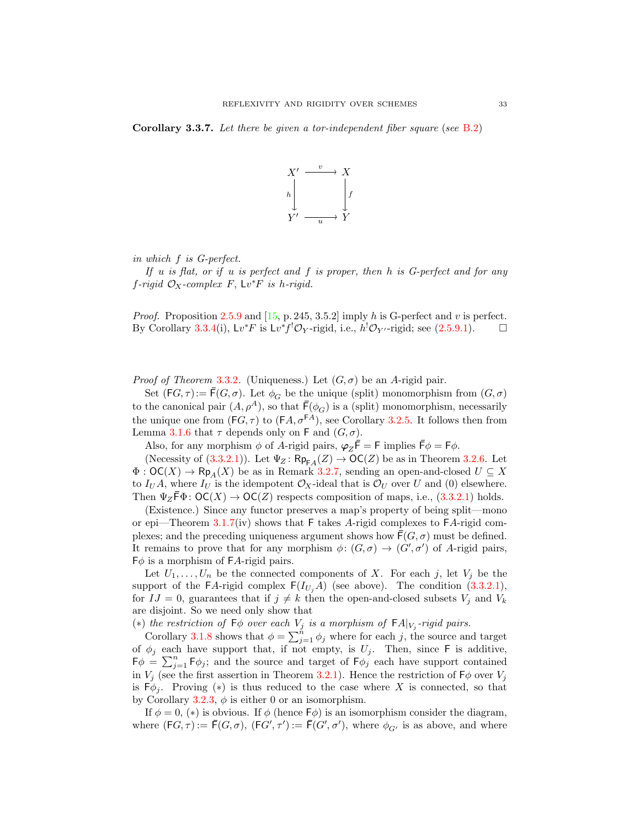<span id="page-32-0"></span>Corollary 3.3.7. Let there be given a tor-independent fiber square (see [B.2\)](#page-35-3)



in which f is G-perfect.

If u is flat, or if u is perfect and f is proper, then h is G-perfect and for any  $f$ -rigid  $\mathcal{O}_X$ -complex  $F$ ,  $\mathsf{L} v^* F$  is h-rigid.

*Proof.* Proposition [2.5.9](#page-23-2) and [\[15,](#page-40-9) p. 245, 3.5.2] imply h is G-perfect and v is perfect. By Corollary [3.3.4\(](#page-30-1)i),  $Lv^*F$  is  $Lv^*f^!\mathcal{O}_Y$ -rigid, i.e.,  $h^!\mathcal{O}_{Y'}$ -rigid; see [\(2.5.9.1\)](#page-23-1).  $\Box$ 

*Proof of Theorem* [3.3.2](#page-30-0). (Uniqueness.) Let  $(G, \sigma)$  be an A-rigid pair.

Set  $(FG, \tau) := \overline{F}(G, \sigma)$ . Let  $\phi_G$  be the unique (split) monomorphism from  $(G, \sigma)$ to the canonical pair  $(A, \rho^A)$ , so that  $\bar{\mathsf{F}}(\phi_G)$  is a (split) monomorphism, necessarily the unique one from  $(FG, \tau)$  to  $(FA, \sigma^{FA})$ , see Corollary [3.2.5.](#page-28-2) It follows then from Lemma [3.1.6](#page-25-2) that  $\tau$  depends only on F and  $(G, \sigma)$ .

Also, for any morphism  $\phi$  of A-rigid pairs,  $\varphi_Z \dot{\bar{\mathsf{F}}} = \mathsf{F}$  implies  $\bar{\mathsf{F}}\phi = \mathsf{F}\phi$ .

(Necessity of  $(3.3.2.1)$ ). Let  $\Psi_Z$ :  $\mathsf{Rp}_{\mathsf{FA}}(Z) \to \mathsf{OC}(Z)$  be as in Theorem [3.2.6.](#page-28-0) Let  $\Phi: \mathsf{OC}(X) \to \mathsf{Rp}_4(X)$  be as in Remark [3.2.7,](#page-28-1) sending an open-and-closed  $U \subseteq X$ to  $I_U A$ , where  $I_U$  is the idempotent  $\mathcal{O}_X$ -ideal that is  $\mathcal{O}_U$  over U and (0) elsewhere. Then  $\Psi_Z \mathsf{F} \Phi$ :  $\mathsf{OC}(X) \to \mathsf{OC}(Z)$  respects composition of maps, i.e., [\(3.3.2.1\)](#page-30-2) holds.

(Existence.) Since any functor preserves a map's property of being split—mono or epi—Theorem [3.1.7\(](#page-25-0)iv) shows that  $F$  takes A-rigid complexes to  $FA$ -rigid complexes; and the preceding uniqueness argument shows how  $\bar{F}(G,\sigma)$  must be defined. It remains to prove that for any morphism  $\phi: (G, \sigma) \to (G', \sigma')$  of A-rigid pairs,  $F\phi$  is a morphism of FA-rigid pairs.

Let  $U_1, \ldots, U_n$  be the connected components of X. For each j, let  $V_i$  be the support of the FA-rigid complex  $F(I_{U_i}A)$  (see above). The condition [\(3.3.2.1\)](#page-30-2), for  $IJ = 0$ , guarantees that if  $j \neq k$  then the open-and-closed subsets  $V_j$  and  $V_k$ are disjoint. So we need only show that

(\*) the restriction of  $\mathsf{F}\phi$  over each  $V_j$  is a morphism of  $\mathsf{F} A|_{V_j}$ -rigid pairs.

Corollary [3.1.8](#page-26-1) shows that  $\phi = \sum_{j=1}^{n} \phi_j$  where for each j, the source and target of  $\phi_j$  each have support that, if not empty, is  $U_j$ . Then, since F is additive,  $F\phi = \sum_{j=1}^{n} F\phi_j$ ; and the source and target of  $F\phi_j$  each have support contained in  $V_j$  (see the first assertion in Theorem [3.2.1\)](#page-27-1). Hence the restriction of  $\mathsf{F}\phi$  over  $V_j$ is  $F\phi_j$ . Proving (\*) is thus reduced to the case where X is connected, so that by Corollary [3.2.3,](#page-27-2)  $\phi$  is either 0 or an isomorphism.

If  $\phi = 0$ , (\*) is obvious. If  $\phi$  (hence  $\mathsf{F}\phi$ ) is an isomorphism consider the diagram, where  $(FG, \tau) := \overline{F}(G, \sigma)$ ,  $(FG', \tau') := \overline{F}(G', \sigma')$ , where  $\phi_{G'}$  is as above, and where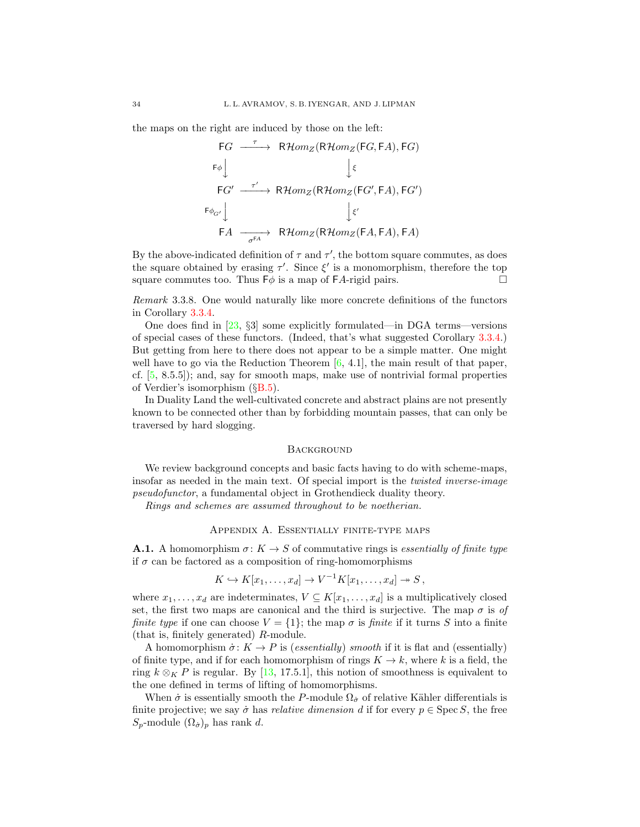the maps on the right are induced by those on the left:

$$
\begin{array}{ccc}\n\begin{array}{ccc}\nFG & \xrightarrow{\tau} & \mathsf{R}\mathcal{H}om_{Z}(\mathsf{R}\mathcal{H}om_{Z}(\mathsf{F}G,\mathsf{F}A),\mathsf{F}G) \\
\downarrow^{\epsilon} & & \downarrow^{\epsilon} \\
\hline\n\begin{array}{ccc}\n\mathsf{F}G' & \xrightarrow{\tau'} & \mathsf{R}\mathcal{H}om_{Z}(\mathsf{R}\mathcal{H}om_{Z}(\mathsf{F}G',\mathsf{F}A),\mathsf{F}G') \\
\downarrow^{\epsilon'} & & \downarrow^{\epsilon'} \\
\hline\n\mathsf{F}A & \xrightarrow{\sigma^{\mathrm{FA}}} & \mathsf{R}\mathcal{H}om_{Z}(\mathsf{R}\mathcal{H}om_{Z}(\mathsf{F}A,\mathsf{F}A),\mathsf{F}A)\n\end{array}\n\end{array}
$$

By the above-indicated definition of  $\tau$  and  $\tau'$ , the bottom square commutes, as does the square obtained by erasing  $\tau'$ . Since  $\xi'$  is a monomorphism, therefore the top square commutes too. Thus  $F\phi$  is a map of FA-rigid pairs.

Remark 3.3.8. One would naturally like more concrete definitions of the functors in Corollary [3.3.4.](#page-30-1)

One does find in [\[23,](#page-40-8) §3] some explicitly formulated—in DGA terms—versions of special cases of these functors. (Indeed, that's what suggested Corollary [3.3.4.](#page-30-1)) But getting from here to there does not appear to be a simple matter. One might well have to go via the Reduction Theorem  $[6, 4.1]$ , the main result of that paper, cf. [\[5,](#page-39-1) 8.5.5]); and, say for smooth maps, make use of nontrivial formal properties of Verdier's isomorphism  $(\&B.5)$  $(\&B.5)$ .

In Duality Land the well-cultivated concrete and abstract plains are not presently known to be connected other than by forbidding mountain passes, that can only be traversed by hard slogging.

#### **BACKGROUND**

<span id="page-33-0"></span>We review background concepts and basic facts having to do with scheme-maps, insofar as needed in the main text. Of special import is the twisted inverse-image pseudofunctor, a fundamental object in Grothendieck duality theory.

Rings and schemes are assumed throughout to be noetherian.

#### Appendix A. Essentially finite-type maps

<span id="page-33-2"></span><span id="page-33-1"></span>**A.1.** A homomorphism  $\sigma: K \to S$  of commutative rings is essentially of finite type if  $\sigma$  can be factored as a composition of ring-homomorphisms

$$
K \hookrightarrow K[x_1,\ldots,x_d] \to V^{-1}K[x_1,\ldots,x_d] \to S\,,
$$

where  $x_1, \ldots, x_d$  are indeterminates,  $V \subseteq K[x_1, \ldots, x_d]$  is a multiplicatively closed set, the first two maps are canonical and the third is surjective. The map  $\sigma$  is of finite type if one can choose  $V = \{1\}$ ; the map  $\sigma$  is finite if it turns S into a finite (that is, finitely generated) R-module.

A homomorphism  $\dot{\sigma}: K \to P$  is (essentially) smooth if it is flat and (essentially) of finite type, and if for each homomorphism of rings  $K \to k$ , where k is a field, the ring  $k \otimes_K P$  is regular. By [\[13,](#page-40-13) 17.5.1], this notion of smoothness is equivalent to the one defined in terms of lifting of homomorphisms.

When  $\dot{\sigma}$  is essentially smooth the P-module  $\Omega_{\dot{\sigma}}$  of relative Kähler differentials is finite projective; we say  $\dot{\sigma}$  has *relative dimension d* if for every  $p \in \text{Spec } S$ , the free  $S_p$ -module  $(\Omega_{\sigma})_p$  has rank d.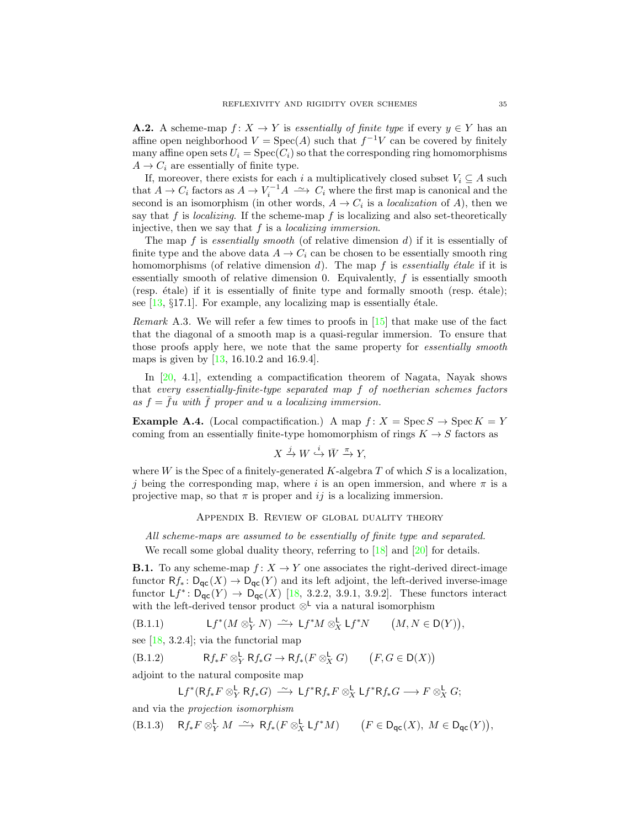**A.2.** A scheme-map  $f: X \to Y$  is essentially of finite type if every  $y \in Y$  has an affine open neighborhood  $V = \text{Spec}(A)$  such that  $f^{-1}V$  can be covered by finitely many affine open sets  $U_i = \text{Spec}(C_i)$  so that the corresponding ring homomorphisms  $A \rightarrow C_i$  are essentially of finite type.

If, moreover, there exists for each i a multiplicatively closed subset  $V_i \subseteq A$  such that  $A \to C_i$  factors as  $A \to V_i^{-1}A \longrightarrow C_i$  where the first map is canonical and the second is an isomorphism (in other words,  $A \to C_i$  is a *localization* of A), then we say that f is *localizing*. If the scheme-map f is localizing and also set-theoretically injective, then we say that  $f$  is a *localizing immersion*.

The map  $f$  is essentially smooth (of relative dimension  $d$ ) if it is essentially of finite type and the above data  $A \to C_i$  can be chosen to be essentially smooth ring homomorphisms (of relative dimension d). The map  $f$  is essentially étale if it is essentially smooth of relative dimension 0. Equivalently, f is essentially smooth  $(resp. étale)$  if it is essentially of finite type and formally smooth  $(resp. étale);$ see  $[13, §17.1]$ . For example, any localizing map is essentially étale.

<span id="page-34-1"></span>*Remark* A.3. We will refer a few times to proofs in  $[15]$  that make use of the fact that the diagonal of a smooth map is a quasi-regular immersion. To ensure that those proofs apply here, we note that the same property for *essentially smooth* maps is given by [\[13,](#page-40-13) 16.10.2 and 16.9.4].

In [\[20,](#page-40-6) 4.1], extending a compactification theorem of Nagata, Nayak shows that every essentially-finite-type separated map f of noetherian schemes factors as  $f = \bar{f}u$  with  $\bar{f}$  proper and u a localizing immersion.

**Example A.4.** (Local compactification.) A map  $f: X = \text{Spec } S \to \text{Spec } K = Y$ coming from an essentially finite-type homomorphism of rings  $K \to S$  factors as

$$
X \xrightarrow{j} W \xrightarrow{i} \bar{W} \xrightarrow{\pi} Y,
$$

where W is the Spec of a finitely-generated K-algebra  $T$  of which  $S$  is a localization, j being the corresponding map, where i is an open immersion, and where  $\pi$  is a projective map, so that  $\pi$  is proper and ij is a localizing immersion.

Appendix B. Review of global duality theory

<span id="page-34-0"></span>All scheme-maps are assumed to be essentially of finite type and separated. We recall some global duality theory, referring to [\[18\]](#page-40-2) and [\[20\]](#page-40-6) for details.

**B.1.** To any scheme-map  $f: X \to Y$  one associates the right-derived direct-image functor  $Rf_*: D_{\text{GC}}(X) \to D_{\text{GC}}(Y)$  and its left adjoint, the left-derived inverse-image functor  $Lf^* \colon D_{\mathsf{qc}}(Y) \to D_{\mathsf{qc}}(X)$  [\[18,](#page-40-2) 3.2.2, 3.9.1, 3.9.2]. These functors interact with the left-derived tensor product  $\otimes^{\mathsf{L}}$  via a natural isomorphism

(B.1.1) 
$$
Lf^*(M \otimes^{\mathsf{L}}_Y N) \xrightarrow{\sim} \mathsf{L} f^*M \otimes^{\mathsf{L}}_X \mathsf{L} f^*N \qquad (M, N \in \mathsf{D}(Y)),
$$

see  $[18, 3.2.4]$ ; via the functorial map

(B.1.2)  $\mathsf{R}f_*F \otimes^{\mathsf{L}}_{Y} \mathsf{R}f_*G \to \mathsf{R}f_*(F \otimes^{\mathsf{L}}_{X} G) \qquad (F, G \in \mathsf{D}(X))$ 

adjoint to the natural composite map

<span id="page-34-3"></span><span id="page-34-2"></span>
$$
Lf^*(Rf_*F\otimes^{\mathbf{L}}_Y Rf_*G)\ \xrightarrow{\sim} \ Lf^*Rf_*F\otimes^{\mathbf{L}}_X Lf^*Rf_*G \longrightarrow F\otimes^{\mathbf{L}}_X G;
$$

and via the projection isomorphism

(B.1.3)  $\mathsf{R} f_* F \otimes_Y^{\mathsf{L}} M \xrightarrow{\sim} \mathsf{R} f_*(F \otimes_X^{\mathsf{L}} \mathsf{L} f^* M) \qquad (F \in \mathsf{D}_{\mathsf{qc}}(X), M \in \mathsf{D}_{\mathsf{qc}}(Y)),$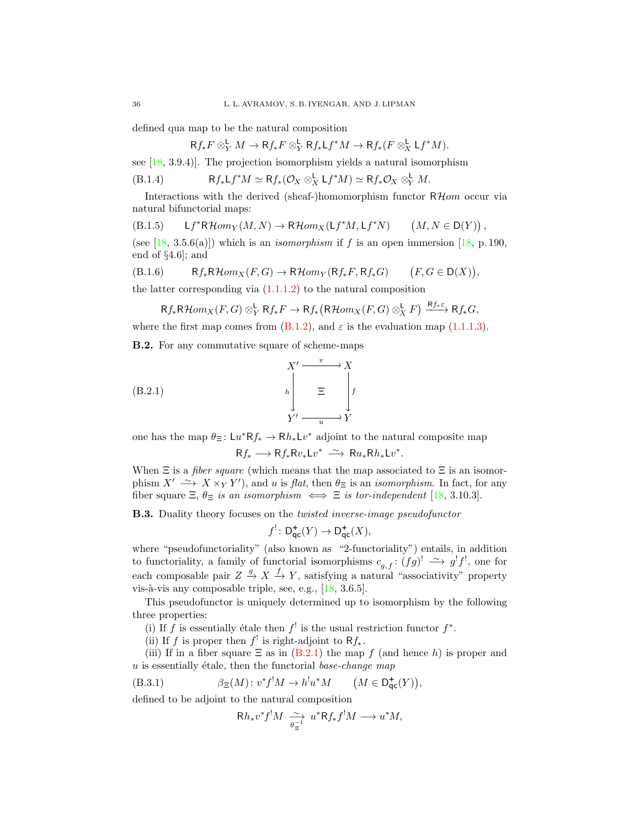defined qua map to be the natural composition

<span id="page-35-2"></span>
$$
Rf_*F \otimes^{\mathsf{L}}_Y M \to Rf_*F \otimes^{\mathsf{L}}_Y Rf_*\mathsf{L}f^*M \to Rf_*(F \otimes^{\mathsf{L}}_X \mathsf{L}f^*M).
$$

see  $[18, 3.9.4]$ . The projection isomorphism yields a natural isomorphism

(B.1.4) 
$$
\mathsf{R} f_* \mathsf{L} f^* M \simeq \mathsf{R} f_* (\mathcal{O}_X \otimes_X^{\mathsf{L}} \mathsf{L} f^* M) \simeq \mathsf{R} f_* \mathcal{O}_X \otimes_Y^{\mathsf{L}} M.
$$

Interactions with the derived (sheaf-)homomorphism functor  $R\mathcal{H}$ om occur via natural bifunctorial maps:

<span id="page-35-0"></span>
$$
\text{(B.1.5)} \qquad \mathsf{L} f^* \mathsf{R} \mathcal{H} om_Y(M,N) \rightarrow \mathsf{R} \mathcal{H} om_X(\mathsf{L} f^*M,\mathsf{L} f^*N) \qquad \left(M,N \in \mathsf{D}(Y)\right),
$$

(see [\[18,](#page-40-2) 3.5.6(a)]) which is an *isomorphism* if f is an open immersion [18, p. 190, end of §4.6]; and

(B.1.6) 
$$
Rf_*\mathsf{R}\mathcal{H}om_X(F,G) \to \mathsf{R}\mathcal{H}om_Y(\mathsf{R}f_*F,\mathsf{R}f_*G) \qquad (F,G \in \mathsf{D}(X)),
$$
 the latter corresponding via (1.1.1.2) to the natural composition

<span id="page-35-6"></span>
$$
\mathsf{R} f_*\mathsf{R}\mathcal{H} om_X(F,G) \otimes^{\mathsf{L}}_\mathsf{Y} \mathsf{R} f_*F \to \mathsf{R} f_*\big(\mathsf{R}\mathcal{H} om_X(F,G) \otimes^{\mathsf{L}}_\mathsf{X} F\big) \xrightarrow{\mathsf{R} f_*\varepsilon} \mathsf{R} f_*G,
$$

where the first map comes from  $(B.1.2)$ , and  $\varepsilon$  is the evaluation map  $(1.1.1.3)$ .

<span id="page-35-3"></span>B.2. For any commutative square of scheme-maps

(B.2.1)  

$$
\begin{array}{ccc}\n & X' & \xrightarrow{v} & X \\
 & & h & \xrightarrow{E} & f \\
 & & \searrow^{f} & \xrightarrow{u} & Y\n\end{array}
$$

one has the map  $\theta_{\Xi} : Lu^* Rf_* \to Rh_* Lv^*$  adjoint to the natural composite map  $Rf_* \longrightarrow Rf_*Rv_*Lv^* \stackrel{\sim}{\longrightarrow} Ru_*Rh_*Lv^*.$ 

When  $\Xi$  is a *fiber square* (which means that the map associated to  $\Xi$  is an isomorphism  $X' \longrightarrow X \times_Y Y'$ , and u is flat, then  $\theta_{\Xi}$  is an *isomorphism*. In fact, for any fiber square  $\Xi$ ,  $\theta_{\Xi}$  is an isomorphism  $\iff \Xi$  is tor-independent [\[18,](#page-40-2) 3.10.3].

<span id="page-35-1"></span>**B.3.** Duality theory focuses on the *twisted inverse-image pseudofunctor* 

<span id="page-35-4"></span>
$$
f^!\colon \mathsf{D}^+_{\mathsf{qc}}(Y)\to \mathsf{D}^+_{\mathsf{qc}}(X),
$$

where "pseudofunctoriality" (also known as "2-functoriality") entails, in addition to functoriality, a family of functorial isomorphisms  $c_{g,f}: (fg)^! \longrightarrow g'f'$ , one for each composable pair  $Z \stackrel{g}{\to} X \stackrel{f}{\to} Y$ , satisfying a natural "associativity" property vis-à-vis any composable triple, see, e.g.,  $[18, 3.6.5]$ .

This pseudofunctor is uniquely determined up to isomorphism by the following three properties:

- (i) If f is essentially étale then  $f^!$  is the usual restriction functor  $f^*$ .
- (ii) If f is proper then  $f'$  is right-adjoint to  $Rf_*$ .

(iii) If in a fiber square  $\Xi$  as in  $(B.2.1)$  the map f (and hence h) is proper and  $u$  is essentially étale, then the functorial base-change map

(B.3.1) 
$$
\beta_{\Xi}(M) \colon v^* f^! M \to h^! u^* M \qquad \big(M \in \mathsf{D}^+_{\mathsf{qc}}(Y)\big),
$$

defined to be adjoint to the natural composition

<span id="page-35-5"></span>
$$
Rh_*v^*f^!M \xrightarrow[\theta_{\Xi}^{-1} u^*Rf_*f^!M \longrightarrow u^*M,
$$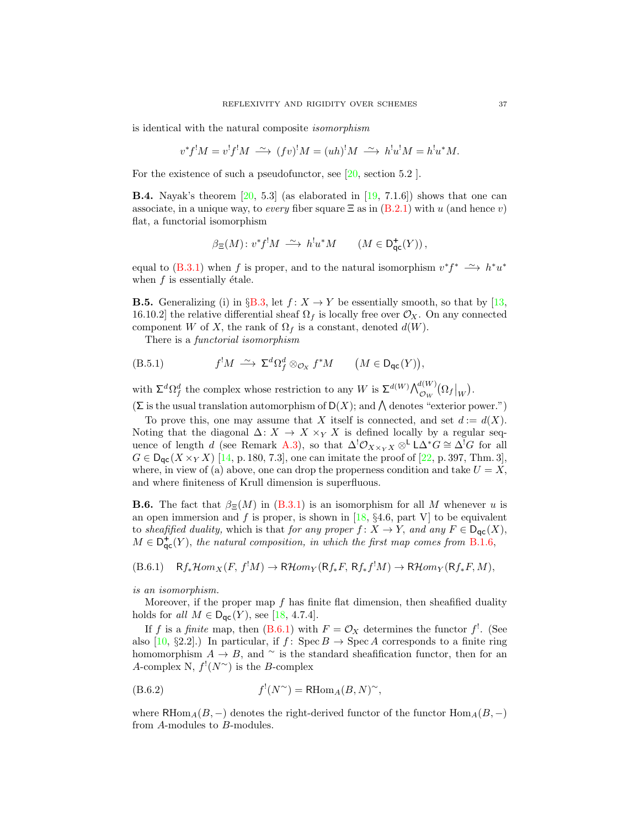is identical with the natural composite isomorphism

$$
v^*f^!M = v^!f^!M \stackrel{\sim}{\longrightarrow} (fv)^!M = (uh)^!M \stackrel{\sim}{\longrightarrow} h^!u^!M = h^!u^*M.
$$

For the existence of such a pseudofunctor, see [\[20,](#page-40-6) section 5.2 ].

<span id="page-36-2"></span>**B.4.** Nayak's theorem  $\begin{bmatrix} 20, 5.3 \end{bmatrix}$  (as elaborated in  $\begin{bmatrix} 19, 7.1.6 \end{bmatrix}$ ) shows that one can associate, in a unique way, to every fiber square  $\Xi$  as in  $(B.2.1)$  with u (and hence v) flat, a functorial isomorphism

$$
\beta_{\Xi}(M) \colon v^*f^!M \; \stackrel{\sim}{\longrightarrow} \; h^!u^*M \qquad (M \in \mathsf{D}^+_{\mathsf{qc}}(Y)) \, ,
$$

equal to [\(B.3.1\)](#page-35-5) when f is proper, and to the natural isomorphism  $v^*f^* \rightharpoonup h^*u^*$ when  $f$  is essentially étale.

<span id="page-36-3"></span>**B.5.** Generalizing (i) in §[B.3,](#page-35-1) let  $f: X \to Y$  be essentially smooth, so that by [\[13,](#page-40-13) 16.10.2] the relative differential sheaf  $\Omega_f$  is locally free over  $\mathcal{O}_X$ . On any connected component W of X, the rank of  $\Omega_f$  is a constant, denoted  $d(W)$ .

<span id="page-36-1"></span>There is a *functorial isomorphism* 

(B.5.1) 
$$
f^!M \xrightarrow{\sim} \Sigma^d \Omega_f^d \otimes_{\mathcal{O}_X} f^*M \qquad (M \in \mathsf{D}_{\mathsf{qc}}(Y)),
$$

with  $\Sigma^d \Omega_f^d$  the complex whose restriction to any W is  $\Sigma^{d(W)} \bigwedge_{\mathcal{O}_W}^{d(W)} (\Omega_f|_W)$ .

 $(\Sigma$  is the usual translation automorphism of  $D(X)$ ; and  $\Lambda$  denotes "exterior power.")

To prove this, one may assume that X itself is connected, and set  $d := d(X)$ . Noting that the diagonal  $\Delta: X \to X \times_Y X$  is defined locally by a regular seq-uence of length d (see Remark [A.3\)](#page-34-1), so that  $\Delta^!\mathcal{O}_{X\times_Y X}\otimes^{\mathsf{L}}\mathsf{L}\Delta^*G\cong \Delta^!G$  for all  $G \in D_{\text{qc}}(X \times_Y X)$  [\[14,](#page-40-0) p. 180, 7.3], one can imitate the proof of [\[22,](#page-40-1) p. 397, Thm. 3], where, in view of (a) above, one can drop the properness condition and take  $U = X$ , and where finiteness of Krull dimension is superfluous.

**B.6.** The fact that  $\beta_{\Xi}(M)$  in [\(B.3.1\)](#page-35-5) is an isomorphism for all M whenever u is an open immersion and f is proper, is shown in [\[18,](#page-40-2)  $\S 4.6$ , part V] to be equivalent to sheafified duality, which is that for any proper  $f: X \to Y$ , and any  $F \in D_{\text{qc}}(X)$ ,  $M \in \mathsf{D}^+_{\mathsf{qc}}(Y)$ , the natural composition, in which the first map comes from [B.1.6,](#page-35-6)

<span id="page-36-0"></span> $(B.6.1)$   $Rf_*\mathcal{H}om_X(F, f^!M) \to \mathsf{R}\mathcal{H}om_Y(\mathsf{R}f_*F, \mathsf{R}f_*f^!M) \to \mathsf{R}\mathcal{H}om_Y(\mathsf{R}f_*F, M),$ 

is an isomorphism.

Moreover, if the proper map  $f$  has finite flat dimension, then sheafified duality holds for all  $M \in \mathsf{D}_{\mathsf{qc}}(Y)$ , see [\[18,](#page-40-2) 4.7.4].

If f is a finite map, then [\(B.6.1\)](#page-36-0) with  $F = \mathcal{O}_X$  determines the functor f<sup>1</sup>. (See also  $[10, §2.2]$ .) In particular, if  $f: \text{Spec } B \to \text{Spec } A$  corresponds to a finite ring homomorphism  $A \to B$ , and ∼ is the standard sheafification functor, then for an A-complex N,  $f'(N^{\sim})$  is the B-complex

<span id="page-36-4"></span>
$$
(B.6.2) \t\t f'(N^{\sim}) = \text{RHom}_A(B, N)^{\sim},
$$

where RHom<sub>A</sub>( $B, -$ ) denotes the right-derived functor of the functor Hom<sub>A</sub>( $B, -$ ) from A-modules to B-modules.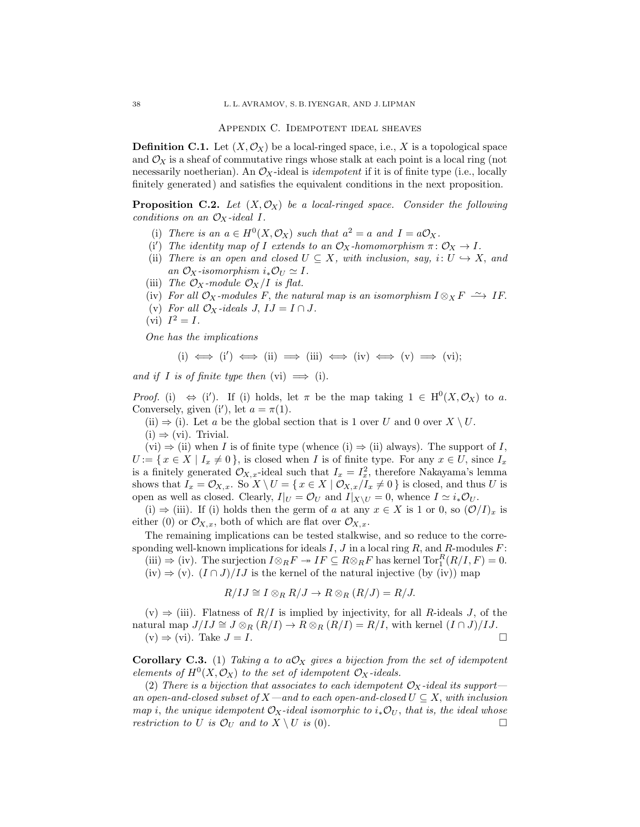Appendix C. Idempotent ideal sheaves

<span id="page-37-0"></span>**Definition C.1.** Let  $(X, \mathcal{O}_X)$  be a local-ringed space, i.e., X is a topological space and  $\mathcal{O}_X$  is a sheaf of commutative rings whose stalk at each point is a local ring (not necessarily noetherian). An  $\mathcal{O}_X$ -ideal is *idempotent* if it is of finite type (i.e., locally finitely generated) and satisfies the equivalent conditions in the next proposition.

<span id="page-37-2"></span>**Proposition C.2.** Let  $(X, \mathcal{O}_X)$  be a local-ringed space. Consider the following conditions on an  $\mathcal{O}_X$ -ideal I.

- (i) There is an  $a \in H^0(X, \mathcal{O}_X)$  such that  $a^2 = a$  and  $I = a\mathcal{O}_X$ .
- (i') The identity map of I extends to an  $\mathcal{O}_X$ -homomorphism  $\pi \colon \mathcal{O}_X \to I$ .
- (ii) There is an open and closed  $U \subseteq X$ , with inclusion, say,  $i: U \hookrightarrow X$ , and an  $\mathcal{O}_X$ -isomorphism  $i_*\mathcal{O}_U \simeq I$ .
- (iii) The  $\mathcal{O}_X$ -module  $\mathcal{O}_X/I$  is flat.
- (iv) For all  $\mathcal{O}_X$ -modules F, the natural map is an isomorphism  $I \otimes_X F \longrightarrow I$ F.
- (v) For all  $\mathcal{O}_X$ -ideals J,  $IJ = I \cap J$ .
- (vi)  $I^2 = I$ .

One has the implications

$$
\text{(i)}\iff\text{(i')}\iff\text{(ii)}\implies\text{(iii)}\iff\text{(iv)}\iff\text{(v)}\implies\text{(vi)};
$$

and if I is of finite type then  $(vi) \implies (i)$ .

*Proof.* (i)  $\Leftrightarrow$  (i'). If (i) holds, let  $\pi$  be the map taking  $1 \in H^0(X, \mathcal{O}_X)$  to a. Conversely, given (i'), let  $a = \pi(1)$ .

(ii)  $\Rightarrow$  (i). Let a be the global section that is 1 over U and 0 over  $X \setminus U$ .

 $(i) \Rightarrow (vi)$ . Trivial.

 $(vi) \Rightarrow (ii)$  when I is of finite type (whence  $(i) \Rightarrow (ii)$  always). The support of I,  $U := \{ x \in X \mid I_x \neq 0 \}$ , is closed when I is of finite type. For any  $x \in U$ , since  $I_x$ is a finitely generated  $\mathcal{O}_{X,x}$ -ideal such that  $I_x = I_x^2$ , therefore Nakayama's lemma shows that  $I_x = \mathcal{O}_{X,x}$ . So  $X \setminus U = \{x \in X \mid \mathcal{O}_{X,x}/I_x \neq 0\}$  is closed, and thus U is open as well as closed. Clearly,  $I|_U = \mathcal{O}_U$  and  $I|_{X\setminus U} = 0$ , whence  $I \simeq i_*\mathcal{O}_U$ .

(i)  $\Rightarrow$  (iii). If (i) holds then the germ of a at any  $x \in X$  is 1 or 0, so  $(\mathcal{O}/I)_x$  is either (0) or  $\mathcal{O}_{X,x}$ , both of which are flat over  $\mathcal{O}_{X,x}$ .

The remaining implications can be tested stalkwise, and so reduce to the corresponding well-known implications for ideals  $I, J$  in a local ring  $R$ , and  $R$ -modules  $F$ : (iii)  $\Rightarrow$  (iv). The surjection  $I \otimes_R F \twoheadrightarrow IF \subseteq R \otimes_R F$  has kernel  $\text{Tor}_1^R(R/I, F) = 0$ .

(iv)  $\Rightarrow$  (v).  $(I \cap J)/IJ$  is the kernel of the natural injective (by (iv)) map

$$
R/IJ \cong I \otimes_R R/J \to R \otimes_R (R/J) = R/J.
$$

 $(v) \Rightarrow (iii)$ . Flatness of  $R/I$  is implied by injectivity, for all R-ideals J, of the natural map  $J/IJ \cong J \otimes_R (R/I) \to R \otimes_R (R/I) = R/I$ , with kernel  $(I \cap J)/IJ$ .  $(v) \Rightarrow (vi)$ . Take  $J = I$ .

<span id="page-37-1"></span>Corollary C.3. (1) Taking a to  $a\mathcal{O}_X$  gives a bijection from the set of idempotent elements of  $H^0(X, \mathcal{O}_X)$  to the set of idempotent  $\mathcal{O}_X$ -ideals.

(2) There is a bijection that associates to each idempotent  $\mathcal{O}_X$ -ideal its support an open-and-closed subset of X—and to each open-and-closed  $U \subseteq X$ , with inclusion map i, the unique idempotent  $\mathcal{O}_X$ -ideal isomorphic to  $i_*\mathcal{O}_U$ , that is, the ideal whose restriction to U is  $\mathcal{O}_U$  and to  $X \setminus U$  is (0).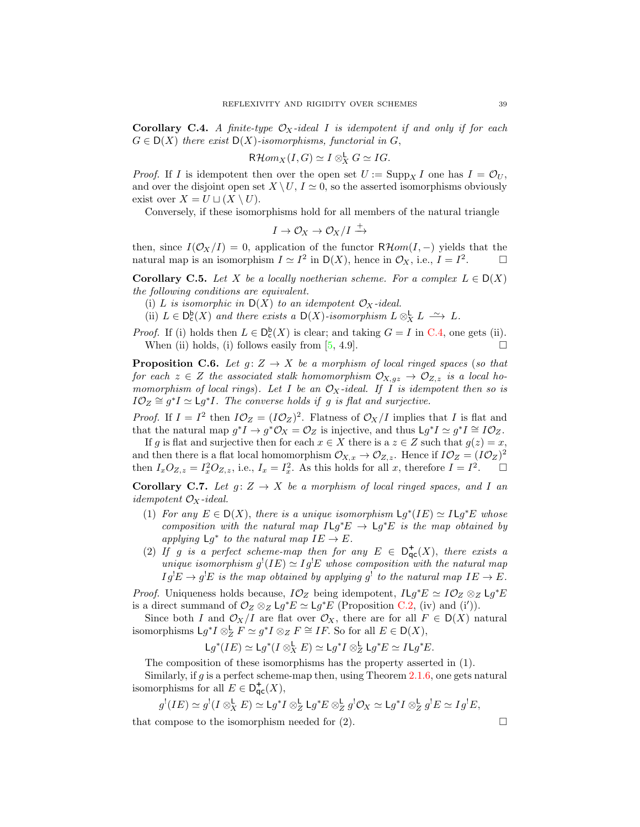<span id="page-38-0"></span>**Corollary C.4.** A finite-type  $\mathcal{O}_X$ -ideal I is idempotent if and only if for each  $G \in D(X)$  there exist  $D(X)$ -isomorphisms, functorial in G,

$$
\mathsf{R}\mathcal{H}om_X(I,G)\simeq I\otimes^{\mathsf{L}}_X G\simeq IG.
$$

*Proof.* If I is idempotent then over the open set  $U := \text{Supp}_X I$  one has  $I = \mathcal{O}_U$ , and over the disjoint open set  $X \setminus U$ ,  $I \simeq 0$ , so the asserted isomorphisms obviously exist over  $X = U \sqcup (X \setminus U)$ .

Conversely, if these isomorphisms hold for all members of the natural triangle

$$
I\to \mathcal{O}_X\to \mathcal{O}_X/I\stackrel{+}{\to}
$$

then, since  $I(\mathcal{O}_X/I) = 0$ , application of the functor  $R\mathcal{H}om(I,-)$  yields that the natural map is an isomorphism  $I \simeq I^2$  in  $\mathsf{D}(X)$ , hence in  $\mathcal{O}_X$ , i.e.,  $I = I^2$  $\Box$ 

**Corollary C.5.** Let X be a locally noetherian scheme. For a complex  $L \in D(X)$ the following conditions are equivalent.

- (i) L is isomorphic in  $D(X)$  to an idempotent  $\mathcal{O}_X$ -ideal.
- (ii)  $L \in D_{c}^{b}(X)$  and there exists a  $D(X)$ -isomorphism  $L \otimes_{X}^{b} L \longrightarrow L$ .

*Proof.* If (i) holds then  $L \in D_c^b(X)$  is clear; and taking  $G = I$  in [C.4,](#page-38-0) one gets (ii). When (ii) holds, (i) follows easily from  $[5, 4.9]$ .

**Proposition C.6.** Let  $g: Z \to X$  be a morphism of local ringed spaces (so that for each  $z \in Z$  the associated stalk homomorphism  $\mathcal{O}_{X,qz} \to \mathcal{O}_{Z,z}$  is a local homomorphism of local rings). Let I be an  $\mathcal{O}_X$ -ideal. If I is idempotent then so is  $I\mathcal{O}_Z \cong g^*I \simeq Lg^*I$ . The converse holds if g is flat and surjective.

*Proof.* If  $I = I^2$  then  $I\mathcal{O}_Z = (I\mathcal{O}_Z)^2$ . Flatness of  $\mathcal{O}_X/I$  implies that I is flat and that the natural map  $g^*I \to g^*\mathcal{O}_X = \mathcal{O}_Z$  is injective, and thus  $\mathsf{L} g^*I \simeq g^*I \cong I\mathcal{O}_Z$ .

If g is flat and surjective then for each  $x \in X$  there is a  $z \in Z$  such that  $g(z) = x$ , and then there is a flat local homomorphism  $\mathcal{O}_{X,x} \to \mathcal{O}_{Z,z}$ . Hence if  $I\mathcal{O}_Z = (I\mathcal{O}_Z)^2$ then  $I_xO_{Z,z} = I_x^2O_{Z,z}$ , i.e.,  $I_x = I_x^2$ . As this holds for all x, therefore  $I = I^2$  $\Box$ 

<span id="page-38-1"></span>Corollary C.7. Let  $g: Z \to X$  be a morphism of local ringed spaces, and I an *idempotent*  $\mathcal{O}_X$ -ideal.

- (1) For any  $E \in D(X)$ , there is a unique isomorphism  $\mathsf{L} g^*(IE) \simeq I \mathsf{L} g^*E$  whose composition with the natural map  $I \mathsf{L} g^* E \to \mathsf{L} g^* E$  is the map obtained by applying  $Lg^*$  to the natural map  $IE \to E$ .
- (2) If g is a perfect scheme-map then for any  $E \in D_{\text{qc}}^{+}(X)$ , there exists a unique isomorphism  $g'(IE) \simeq Ig'E$  whose composition with the natural map  $I g^! E \to g^! E$  is the map obtained by applying  $g^!$  to the natural map  $I E \to E$ .

*Proof.* Uniqueness holds because,  $I\mathcal{O}_Z$  being idempotent,  $I\mathsf{L} g^*E \simeq I\mathcal{O}_Z \otimes_Z \mathsf{L} g^*E$ is a direct summand of  $\mathcal{O}_Z \otimes_Z \mathsf{L} g^* E \simeq \mathsf{L} g^* E$  (Proposition [C.2,](#page-37-2) (iv) and (i')).

Since both I and  $\mathcal{O}_X/I$  are flat over  $\mathcal{O}_X$ , there are for all  $F \in D(X)$  natural isomorphisms  $\mathsf{L} g^* I \otimes_{\mathbb{Z}}^{\mathsf{L}} F \simeq g^* I \otimes_{\mathbb{Z}} F \cong IF$ . So for all  $E \in \mathsf{D}(X)$ ,

$$
\mathsf{L} g^*(IE) \simeq \mathsf{L} g^*(I \otimes_X^{\mathsf{L}} E) \simeq \mathsf{L} g^*I \otimes_Z^{\mathsf{L}} \mathsf{L} g^*E \simeq I \mathsf{L} g^*E.
$$

The composition of these isomorphisms has the property asserted in (1).

Similarly, if g is a perfect scheme-map then, using Theorem [2.1.6,](#page-13-3) one gets natural isomorphisms for all  $E \in D_{\text{qc}}^{+}(X)$ ,

$$
g^!(IE) \simeq g^!(I \otimes_X^{\mathbf{L}} E) \simeq \mathsf{L} g^*I \otimes_Z^{\mathbf{L}} \mathsf{L} g^*E \otimes_Z^{\mathbf{L}} g^! \mathcal{O}_X \simeq \mathsf{L} g^*I \otimes_Z^{\mathbf{L}} g^!E \simeq Ig^!E,
$$

that compose to the isomorphism needed for  $(2)$ .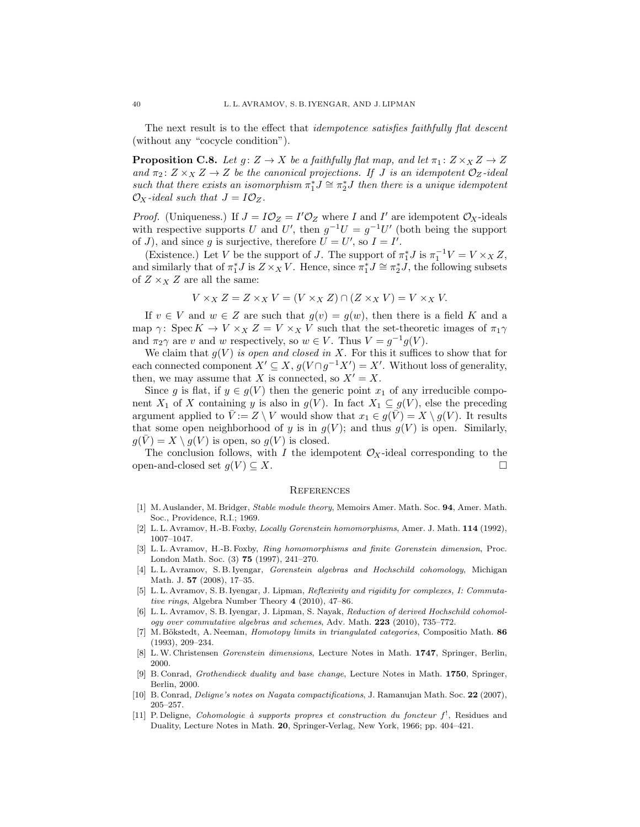The next result is to the effect that *idempotence satisfies faithfully flat descent* (without any "cocycle condition").

<span id="page-39-4"></span>**Proposition C.8.** Let  $g: Z \to X$  be a faithfully flat map, and let  $\pi_1: Z \times_X Z \to Z$ and  $\pi_2: Z \times_X Z \to Z$  be the canonical projections. If J is an idempotent  $\mathcal{O}_Z$ -ideal such that there exists an isomorphism  $\pi_1^* J \cong \pi_2^* J$  then there is a unique idempotent  $\mathcal{O}_X$ -ideal such that  $J = I \mathcal{O}_Z$ .

*Proof.* (Uniqueness.) If  $J = I \mathcal{O}_Z = I' \mathcal{O}_Z$  where I and I' are idempotent  $\mathcal{O}_X$ -ideals with respective supports U and U', then  $g^{-1}U = g^{-1}U'$  (both being the support of J), and since g is surjective, therefore  $U = U'$ , so  $I = I'$ .

(Existence.) Let V be the support of J. The support of  $\pi_1^* J$  is  $\pi_1^{-1} V = V \times_X Z$ , and similarly that of  $\pi_1^* J$  is  $Z \times_X V$ . Hence, since  $\pi_1^* J \cong \pi_2^* \overline{J}$ , the following subsets of  $Z \times_X Z$  are all the same:

$$
V \times_X Z = Z \times_X V = (V \times_X Z) \cap (Z \times_X V) = V \times_X V.
$$

If  $v \in V$  and  $w \in Z$  are such that  $g(v) = g(w)$ , then there is a field K and a map  $\gamma$ : Spec  $K \to V \times_X Z = V \times_X V$  such that the set-theoretic images of  $\pi_1 \gamma$ and  $\pi_2 \gamma$  are v and w respectively, so  $w \in V$ . Thus  $V = g^{-1}g(V)$ .

We claim that  $g(V)$  is open and closed in X. For this it suffices to show that for each connected component  $X' \subseteq X$ ,  $g(V \cap g^{-1}X') = X'$ . Without loss of generality, then, we may assume that X is connected, so  $X' = X$ .

Since g is flat, if  $y \in g(V)$  then the generic point  $x_1$  of any irreducible component  $X_1$  of X containing y is also in  $g(V)$ . In fact  $X_1 \subseteq g(V)$ , else the preceding argument applied to  $\bar{V} := Z \setminus V$  would show that  $x_1 \in g(\bar{V}) = X \setminus g(V)$ . It results that some open neighborhood of y is in  $g(V)$ ; and thus  $g(V)$  is open. Similarly,  $g(V) = X \setminus g(V)$  is open, so  $g(V)$  is closed.

The conclusion follows, with I the idempotent  $\mathcal{O}_X$ -ideal corresponding to the open-and-closed set  $g(V) \subseteq X$ .

#### **REFERENCES**

- <span id="page-39-0"></span>[1] M. Auslander, M. Bridger, Stable module theory, Memoirs Amer. Math. Soc. 94, Amer. Math. Soc., Providence, R.I.; 1969.
- <span id="page-39-6"></span>[2] L. L. Avramov, H.-B. Foxby, Locally Gorenstein homomorphisms, Amer. J. Math. 114 (1992), 1007–1047.
- <span id="page-39-7"></span>[3] L. L. Avramov, H.-B. Foxby, Ring homomorphisms and finite Gorenstein dimension, Proc. London Math. Soc. (3) 75 (1997), 241–270.
- <span id="page-39-10"></span>[4] L. L. Avramov, S. B. Iyengar, Gorenstein algebras and Hochschild cohomology, Michigan Math. J. 57 (2008), 17–35.
- <span id="page-39-1"></span>[5] L. L. Avramov, S. B. Iyengar, J. Lipman, Reflexivity and rigidity for complexes, I: Commutative rings, Algebra Number Theory 4 (2010), 47–86.
- <span id="page-39-5"></span>[6] L. L. Avramov, S. B. Iyengar, J. Lipman, S. Nayak, Reduction of derived Hochschild cohomology over commutative algebras and schemes, Adv. Math. 223 (2010), 735–772.
- <span id="page-39-8"></span>[7] M. Bökstedt, A. Neeman, *Homotopy limits in triangulated categories*, Compositio Math. 86 (1993), 209–234.
- <span id="page-39-9"></span>[8] L.W. Christensen Gorenstein dimensions, Lecture Notes in Math. 1747, Springer, Berlin, 2000.
- <span id="page-39-2"></span>[9] B. Conrad, Grothendieck duality and base change, Lecture Notes in Math. 1750, Springer, Berlin, 2000.
- <span id="page-39-11"></span>[10] B. Conrad, Deligne's notes on Nagata compactifications, J. Ramanujan Math. Soc. 22 (2007), 205–257.
- <span id="page-39-3"></span>[11] P. Deligne, Cohomologie à supports propres et construction du foncteur  $f^!$ , Residues and Duality, Lecture Notes in Math. 20, Springer-Verlag, New York, 1966; pp. 404–421.